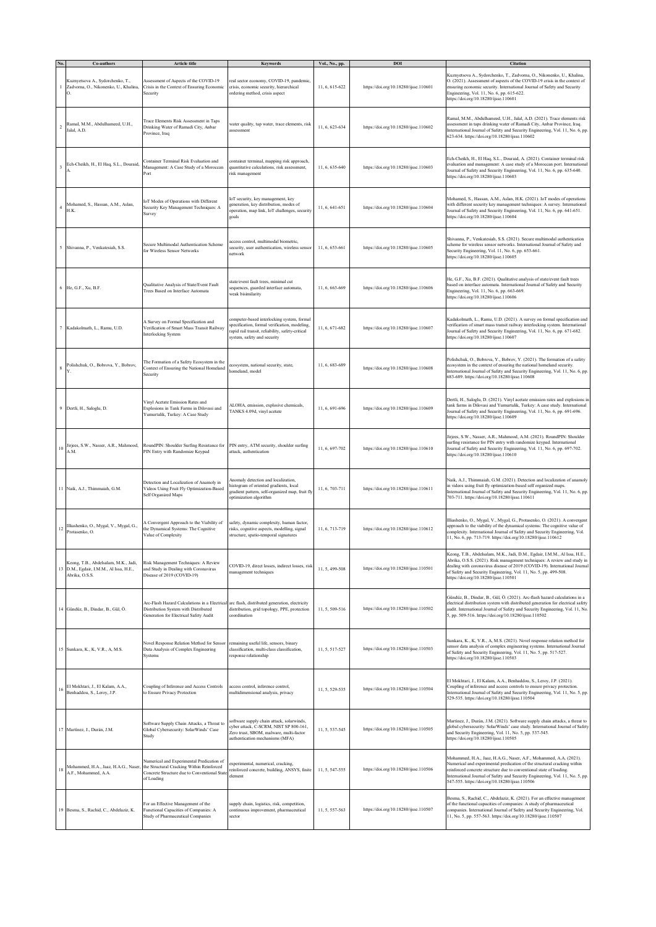|    | Co-authors                                                                                     | Article title                                                                                                                                        | Keywords                                                                                                                                                                     | Vol., No., pp. | DOI                                   | <b>Citation</b>                                                                                                                                                                                                                                                                                                                                         |
|----|------------------------------------------------------------------------------------------------|------------------------------------------------------------------------------------------------------------------------------------------------------|------------------------------------------------------------------------------------------------------------------------------------------------------------------------------|----------------|---------------------------------------|---------------------------------------------------------------------------------------------------------------------------------------------------------------------------------------------------------------------------------------------------------------------------------------------------------------------------------------------------------|
|    | Kuznyetsova A., Sydorchenko, T.,<br>Zadvorna, O., Nikonenko, U., Khalina,<br>О.                | Assessment of Aspects of the COVID-19<br>Crisis in the Context of Ensuring Economic<br>Security                                                      | real sector economy, COVID-19, pandemic,<br>crisis, economic security, hierarchical<br>ordering method, crisis aspect                                                        | 11, 6, 615-622 | https://doi.org/10.18280/ijsse.110601 | Kuznyetsova A., Sydorchenko, T., Zadvorna, O., Nikonenko, U., Khalina,<br>O. (2021). Assessment of aspects of the COVID-19 crisis in the context of<br>ensuring economic security. International Journal of Safety and Security<br>Engineering, Vol. 11, No. 6, pp. 615-622.<br>https://doi.org/10.18280/ijsse.110601                                   |
|    | Ramal, M.M., Abdulhameed, U.H.,<br>Jalal, A.D.                                                 | Trace Elements Risk Assessment in Taps<br>Drinking Water of Ramadi City, Anbar<br>Province, Iraq                                                     | water quality, tap water, trace elements, risk<br>assessment                                                                                                                 | 11, 6, 623-634 | https://doi.org/10.18280/ijsse.110602 | Ramal, M.M., Abdulhameed, U.H., Jalal, A.D. (2021). Trace elements risk<br>assessment in taps drinking water of Ramadi City, Anbar Province, Iraq.<br>International Journal of Safety and Security Engineering, Vol. 11, No. 6, pp.<br>623-634. https://doi.org/10.18280/ijsse.110602                                                                   |
|    | Ech-Cheikh, H., El Haq, S.L., Douraid,                                                         | Container Terminal Risk Evaluation and<br>Management: A Case Study of a Moroccan<br>Port                                                             | container terminal, mapping risk approach,<br>quantitative calculations, risk assessment,<br>risk management                                                                 | 11, 6, 635-640 | https://doi.org/10.18280/ijsse.110603 | Ech-Cheikh, H., El Haq, S.L., Douraid, A. (2021). Container terminal risk<br>evaluation and management: A case study of a Moroccan port. International<br>Journal of Safety and Security Engineering, Vol. 11, No. 6, pp. 635-640.<br>https://doi.org/10.18280/ijsse.110603                                                                             |
|    | Mohamed, S., Hassan, A.M., Aslan,<br>H.K.                                                      | IoT Modes of Operations with Different<br>Security Key Management Techniques: A<br>Survey                                                            | IoT security, key management, key<br>generation, key distribution, modes of<br>operation, map link, IoT challenges, security<br>goals                                        | 11, 6, 641-651 | https://doi.org/10.18280/ijsse.110604 | Mohamed, S., Hassan, A.M., Aslan, H.K. (2021). IoT modes of operations<br>with different security key management techniques: A survey. International<br>Journal of Safety and Security Engineering, Vol. 11, No. 6, pp. 641-651.<br>https://doi.org/10.18280/ijsse.110604                                                                               |
|    | 5 Shivanna, P., Venkatesiah, S.S.                                                              | Secure Multimodal Authentication Scheme<br>for Wireless Sensor Networks                                                                              | cess control, multimodal biometric,<br>security, user authentication, wireless sensor<br>network                                                                             | 11, 6, 653-661 | https://doi.org/10.18280/ijsse.110605 | Shivanna, P., Venkatesiah, S.S. (2021). Secure multimodal authentication<br>scheme for wireless sensor networks. International Journal of Safety and<br>Security Engineering, Vol. 11, No. 6, pp. 653-661.<br>https://doi.org/10.18280/ijsse.110605                                                                                                     |
|    | 6 He, G.F., Xu, B.F.                                                                           | Qualitative Analysis of State/Event Fault<br>Trees Based on Interface Automata                                                                       | state/event fault trees, minimal cut<br>sequences, guarded interface automata,<br>weak bisimilarity                                                                          | 11, 6, 663-669 | https://doi.org/10.18280/ijsse.110606 | He, G.F., Xu, B.F. (2021). Qualitative analysis of state/event fault trees<br>based on interface automata. International Journal of Safety and Security<br>Engineering, Vol. 11, No. 6, pp. 663-669.<br>https://doi.org/10.18280/ijsse.110606                                                                                                           |
|    | Kadakolmath, L., Ramu, U.D.                                                                    | A Survey on Formal Specification and<br>Verification of Smart Mass Transit Railway<br>Interlocking System                                            | omputer-based interlocking system, formal<br>specification, formal verification, modeling,<br>apid rail transit, reliability, safety-critical<br>system, safety and security | 11, 6, 671-682 | https://doi.org/10.18280/ijsse.110607 | Kadakolmath, L., Ramu, U.D. (2021). A survey on formal specification and<br>verification of smart mass transit railway interlocking system. International<br>Journal of Safety and Security Engineering, Vol. 11, No. 6, pp. 671-682.<br>https://doi.org/10.18280/ijsse.110607                                                                          |
|    | Polishchuk, O., Bobrova, Y., Bobrov,                                                           | The Formation of a Safety Ecosystem in the<br>Context of Ensuring the National Homeland<br>Security                                                  | cosystem, national security, state,<br>homeland, model                                                                                                                       | 11, 6, 683-689 | https://doi.org/10.18280/ijsse.110608 | Polishchuk, O., Bobrova, Y., Bobrov, Y. (2021). The formation of a safety<br>ecosystem in the context of ensuring the national homeland security.<br>International Journal of Safety and Security Engineering, Vol. 11, No. 6, pp.<br>683-689. https://doi.org/10.18280/ijsse.110608                                                                    |
|    | 9 Dertli, H., Saloglu, D.                                                                      | Vinyl Acetate Emission Rates and<br>Explosions in Tank Farms in Dilovasi and<br>Yumurtalik, Turkey: A Case Study                                     | ALOHA, emission, explosive chemicals,<br>TANKS 4.09d, vinyl acetate                                                                                                          | 11, 6, 691-696 | https://doi.org/10.18280/ijsse.110609 | Dertli, H., Saloglu, D. (2021). Vinyl acetate emission rates and explosions in<br>tank farms in Dilovasi and Yumurtalik, Turkey: A case study. International<br>Journal of Safety and Security Engineering, Vol. 11, No. 6, pp. 691-696.<br>https://doi.org/10.18280/ijsse.110609                                                                       |
| 10 | Jirjees, S.W., Nasser, A.R., Mahmood,<br>A.M.                                                  | RoundPIN: Shoulder Surfing Resistance for<br>PIN Entry with Randomize Keypad                                                                         | PIN entry, ATM security, shoulder surfing<br>attack, authentication                                                                                                          | 11, 6, 697-702 | https://doi.org/10.18280/ijsse.110610 | Jirjees, S.W., Nasser, A.R., Mahmood, A.M. (2021). RoundPIN: Shoulder<br>surfing resistance for PIN entry with randomize keypad. International<br>Journal of Safety and Security Engineering, Vol. 11, No. 6, pp. 697-702.<br>https://doi.org/10.18280/ijsse.110610                                                                                     |
|    | 11 Naik, A.J., Thimmaiah, G.M.                                                                 | Detection and Localization of Anamoly in<br>Videos Using Fruit Fly Optimization-Based<br>Self Organized Maps                                         | Anomaly detection and localization,<br>nistogram of oriented gradients, local<br>gradient pattern, self-organized map, fruit fly<br>optimization algorithm                   | 11, 6, 703-711 | https://doi.org/10.18280/ijsse.110611 | Naik, A.J., Thimmaiah, G.M. (2021). Detection and localization of anamoly<br>in videos using fruit fly optimization-based self organized maps.<br>International Journal of Safety and Security Engineering, Vol. 11, No. 6, pp.<br>703-711. https://doi.org/10.18280/ijsse.110611                                                                       |
| 12 | Illiashenko, O., Mygal, V., Mygal, G.,<br>Protasenko, O.                                       | A Convergent Approach to the Viability of<br>the Dynamical Systems: The Cognitive<br>Value of Complexity                                             | safety, dynamic complexity, human factor,<br>risks, cognitive aspects, modelling, signal<br>structure, spatio-temporal signatures                                            | 11, 6, 713-719 | https://doi.org/10.18280/ijsse.110612 | Illiashenko, O., Mygal, V., Mygal, G., Protasenko, O. (2021). A convergent<br>approach to the viability of the dynamical systems: The cognitive value of<br>complexity. International Journal of Safety and Security Engineering, Vol.<br>11, No. 6, pp. 713-719. https://doi.org/10.18280/ijsse.110612                                                 |
| 13 | Keong, T.B., Abdelsalam, M.K., Jadi,<br>D.M., Egdair, I.M.M., Al Issa, H.E.,<br>Abrika, O.S.S. | Risk Management Techniques: A Review<br>and Study in Dealing with Coronavirus<br>Disease of 2019 (COVID-19)                                          | COVID-19, direct losses, indirect losses, risk<br>management techniques                                                                                                      | 11, 5, 499-508 | https://doi.org/10.18280/ijsse.110501 | Keong, T.B., Abdelsalam, M.K., Jadi, D.M., Egdair, I.M.M., Al Issa, H.E.,<br>Abrika, O.S.S. (2021). Risk management techniques: A review and study in<br>dealing with coronavirus disease of 2019 (COVID-19). International Journal<br>of Safety and Security Engineering, Vol. 11, No. 5, pp. 499-508.<br>https://doi.org/10.18280/ijsse.110501        |
|    | 14 Gündüz, B., Dindar, B., Gül, Ö.                                                             | Arc-Flash Hazard Calculations in a Electrica<br>Distribution System with Distributed<br>Generation for Electrical Safety Audit                       | arc flash, distributed generation, electricity<br>distribution, grid topology, PPE, protection<br>coordination                                                               | 11, 5, 509-516 | https://doi.org/10.18280/ijsse.110502 | Gündüz, B., Dindar, B., Gül, Ö. (2021). Arc-flash hazard calculations in a<br>electrical distribution system with distributed generation for electrical safety<br>audit. International Journal of Safety and Security Engineering, Vol. 11, No.<br>5, pp. 509-516. https://doi.org/10.18280/ijsse.110502                                                |
|    | 15 Sunkara, K., K, V.R., A, M.S.                                                               | Novel Response Relation Method for Sensor<br>Data Analysis of Complex Engineering<br>Systems                                                         | remaining useful life, sensors, binary<br>classification, multi-class classification,<br>response relationship                                                               | 11, 5, 517-527 | https://doi.org/10.18280/ijsse.110503 | Sunkara, K., K, V.R., A, M.S. (2021). Novel response relation method for<br>sensor data analysis of complex engineering systems. International Journal<br>of Safety and Security Engineering, Vol. 11, No. 5, pp. 517-527.<br>https://doi.org/10.18280/ijsse.110503                                                                                     |
| 16 | El Mokhtari, J., El Kalam, A.A.,<br>Benhaddou, S., Leroy, J.P.                                 | Coupling of Inference and Access Controls<br>to Ensure Privacy Protection                                                                            | access control, inference control.<br>multidimensional analysis, privacy                                                                                                     | 11, 5, 529-535 | https://doi.org/10.18280/ijsse.110504 | El Mokhtari, J., El Kalam, A.A., Benhaddou, S., Leroy, J.P. (2021).<br>Coupling of inference and access controls to ensure privacy protection.<br>International Journal of Safety and Security Engineering, Vol. 11, No. 5, pp.<br>529-535. https://doi.org/10.18280/ijsse.110504                                                                       |
|    | 17 Martínez, J., Durán, J.M.                                                                   | Software Supply Chain Attacks, a Threat to<br>Global Cybersecurity: SolarWinds' Case<br>Study                                                        | software supply chain attack, solarwinds,<br>cyber attack, C-SCRM, NIST SP 800-161,<br>Zero trust, SBOM, malware, multi-factor<br>authentication mechanisms (MFA)            | 11, 5, 537-545 | https://doi.org/10.18280/ijsse.110505 | Martínez, J., Durán, J.M. (2021). Software supply chain attacks, a threat to<br>global cybersecurity: SolarWinds' case study. International Journal of Safety<br>and Security Engineering, Vol. 11, No. 5, pp. 537-545.<br>https://doi.org/10.18280/ijsse.110505                                                                                        |
| 18 | Mohammed, H.A., Jaaz, H.A.G., Naser,<br>A.F., Mohammed, A.A.                                   | Numerical and Experimental Predication of<br>the Structural Cracking Within Reinforced<br>Concrete Structure due to Conventional State<br>of Loading | xperimental, numerical, cracking,<br>reinforced concrete, building, ANSYS, finite<br>element                                                                                 | 11, 5, 547-555 | https://doi.org/10.18280/ijsse.110506 | Mohammed, H.A., Jaaz, H.A.G., Naser, A.F., Mohammed, A.A. (2021).<br>Numerical and experimental predication of the structural cracking within<br>reinforced concrete structure due to conventional state of loading.<br>International Journal of Safety and Security Engineering, Vol. 11, No. 5, pp.<br>547-555. https://doi.org/10.18280/ijsse.110506 |
|    | 19 Besma, S., Rachid, C., Abdelaziz, K.                                                        | For an Effective Management of the<br>Functional Capacities of Companies: A<br>Study of Pharmaceutical Companies                                     | supply chain, logistics, risk, competition,<br>continuous improvement, pharmaceutical<br>sector                                                                              | 11, 5, 557-563 | https://doi.org/10.18280/ijsse.110507 | Besma, S., Rachid, C., Abdelaziz, K. (2021). For an effective management<br>of the functional capacities of companies: A study of pharmaceutical<br>companies. International Journal of Safety and Security Engineering, Vol.<br>11, No. 5, pp. 557-563. https://doi.org/10.18280/ijsse.110507                                                          |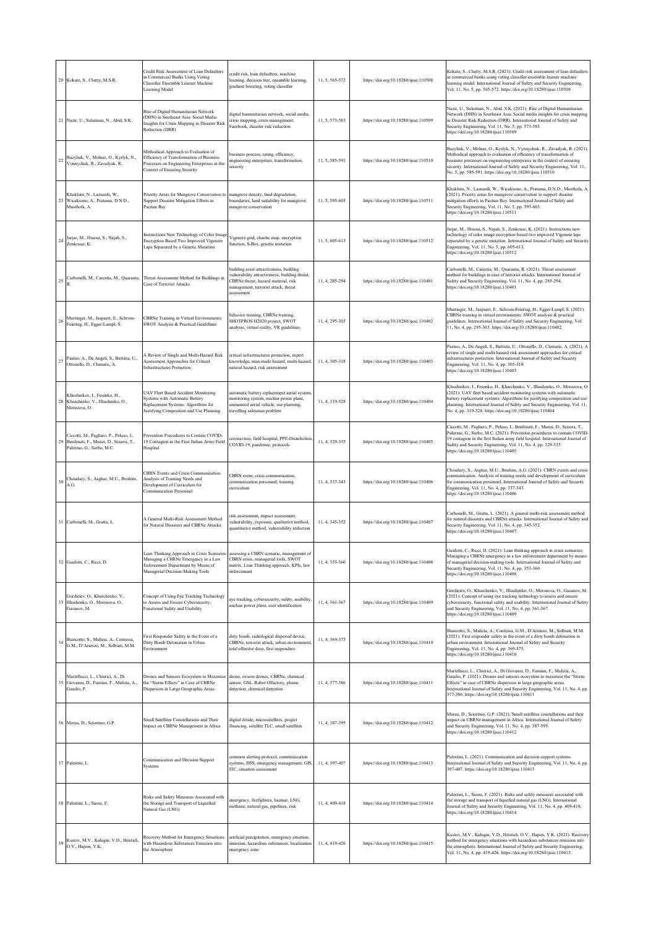|    | 20 Kokate, S., Chetty, M.S.R.                                                                                 | Credit Risk Assessment of Loan Defaulters<br>in Commercial Banks Using Voting<br>Classifier Ensemble Learner Machine<br>Learning Model                          | redit risk, loan defaulters, machine<br>learning, decision tree, ensemble learning,<br>gradient boosting, voting classifier                                                            | 11, 5, 565-572 | https://doi.org/10.18280/ijsse.110508 | Kokate, S., Chetty, M.S.R. (2021). Credit risk assessment of loan defaulters<br>in commercial banks using voting classifier ensemble learner machine<br>learning model. International Journal of Safety and Security Engineering,<br>Vol. 11, No. 5, pp. 565-572. https://doi.org/10.18280/ijsse.110508                                                                      |
|----|---------------------------------------------------------------------------------------------------------------|-----------------------------------------------------------------------------------------------------------------------------------------------------------------|----------------------------------------------------------------------------------------------------------------------------------------------------------------------------------------|----------------|---------------------------------------|------------------------------------------------------------------------------------------------------------------------------------------------------------------------------------------------------------------------------------------------------------------------------------------------------------------------------------------------------------------------------|
|    | 21 Nazir, U., Sulaiman, N., Abid, S.K.                                                                        | Rise of Digital Humanitarian Network<br>(DHN) in Southeast Asia: Social Media<br>Insights for Crisis Mapping in Disaster Risk<br>Reduction (DRR)                | digital humanitarian network, social media,<br>crisis mapping, crisis management,<br>Facebook, disaster risk reduction                                                                 | 11, 5, 573-583 | https://doi.org/10.18280/ijsse.110509 | Nazir, U., Sulaiman, N., Abid, S.K. (2021). Rise of Digital Humanitarian<br>Network (DHN) in Southeast Asia: Social media insights for crisis mapping<br>in Disaster Risk Reduction (DRR). International Journal of Safety and<br>Security Engineering, Vol. 11, No. 5, pp. 573-583.<br>https://doi.org/10.18280/ijsse.110509                                                |
| 22 | Bazyliuk, V., Molnar, O., Kyrlyk, N.,<br>Vynnychuk, R., Zavadyak, R.                                          | Methodical Approach to Evaluation of<br>Efficiency of Transformation of Business<br>Processes on Engineering Enterprises in the<br>Context of Ensuring Security | business process, rating, efficiency,<br>engineering enterprises, transformation,<br>security                                                                                          | 11, 5, 585-591 | https://doi.org/10.18280/ijsse.110510 | Bazyliuk, V., Molnar, O., Kyrlyk, N., Vynnychuk, R., Zavadyak, R. (2021).<br>Methodical approach to evaluation of efficiency of transformation of<br>business processes on engineering enterprises in the context of ensuring<br>security. International Journal of Safety and Security Engineering, Vol. 11,<br>No. 5, pp. 585-591. https://doi.org/10.18280/ijsse.110510   |
| 23 | Khakhim, N., Lazuardi, W.,<br>Wicaksono, A., Pratama, D.N.D.,<br>Musthofa, A.                                 | Priority Areas for Mangrove Conservation to mangrove density, land degradation,<br>Support Disaster Mitigation Efforts in<br>Pacitan Bay                        | boundaries, land suitability for mangrove,<br>mangrove conservation                                                                                                                    | 11, 5, 593-603 | https://doi.org/10.18280/ijsse.110511 | Khakhim, N., Lazuardi, W., Wicaksono, A., Pratama, D.N.D., Musthofa, A.<br>(2021). Priority areas for mangrove conservation to support disaster<br>mitigation efforts in Pacitan Bay. International Journal of Safety and<br>Security Engineering, Vol. 11, No. 5, pp. 593-603.<br>https://doi.org/10.18280/ijsse.110511                                                     |
| 24 | Jarjar, M., Hraoui, S., Najah, S.,<br>Zenkouar, K.                                                            | Instructions New Technology of Color Image<br>Encryption Based Two Improved Vigenere<br>Laps Separated by a Genetic Mutation                                    | Vigenere grid, chaotic map, encryption<br>function, S-Box, genetic mutation                                                                                                            | 11, 5, 605-613 | https://doi.org/10.18280/ijsse.110512 | Jarjar, M., Hraoui, S., Najah, S., Zenkouar, K. (2021). Instructions new<br>technology of color image encryption based two improved Vigenere laps<br>separated by a genetic mutation. International Journal of Safety and Security<br>Engineering, Vol. 11, No. 5, pp. 605-613.<br>https://doi.org/10.18280/ijsse.110512                                                     |
| 25 | Carbonelli, M., Carestia, M., Quaranta,                                                                       | Threat Assessment Method for Buildings in<br>Case of Terrorist Attacks                                                                                          | building asset attractiveness, building<br>vulnerability attractiveness, building threat,<br>'BRNe threat, hazard material, risk<br>nanagement, terrorist attack, threat<br>assessment | 11, 4, 285-294 | https://doi.org/10.18280/ijsse.110401 | Carbonelli, M., Carestia, M., Quaranta, R. (2021). Threat assessment<br>method for buildings in case of terrorist attacks. International Journal of<br>Safety and Security Engineering, Vol. 11, No. 4, pp. 285-294.<br>https://doi.org/10.18280/ijsse.110401                                                                                                                |
| 26 | Murtinger, M., Jaspaert, E., Schrom-<br>Feiertag, H., Egger-Lampl, S.                                         | CBRNe Training in Virtual Environments:<br>SWOT Analysis & Practical Guidelines                                                                                 | behavior training, CBRNe training,<br>SHOTPROS H2020 project, SWOT<br>analysis, virtual reality, VR guidelines                                                                         | 11, 4, 295-303 | https://doi.org/10.18280/ijsse.110402 | Murtinger, M., Jaspaert, E., Schrom-Feiertag, H., Egger-Lampl, S. (2021).<br>CBRNe training in virtual environments: SWOT analysis & practical<br>guidelines. International Journal of Safety and Security Engineering, Vol.<br>11, No. 4, pp. 295-303. https://doi.org/10.18280/ijsse.110402                                                                                |
| 27 | Pasino, A., De Angeli, S., Battista, U.<br>Ottonello, D., Clematis, A.                                        | A Review of Single and Multi-Hazard Risk<br>Assessment Approaches for Critical<br><b>Infrastructures Protection</b>                                             | critical infrastructures protection, expert<br>knowledge, man-made hazard, multi-hazard,<br>natural hazard, risk assessment                                                            | 11, 4, 305-318 | https://doi.org/10.18280/ijsse.110403 | Pasino, A., De Angeli, S., Battista, U., Ottonello, D., Clematis, A. (2021). A<br>review of single and multi-hazard risk assessment approaches for critical<br>infrastructures protection. International Journal of Safety and Security<br>Engineering, Vol. 11, No. 4, pp. 305-318.<br>https://doi.org/10.18280/ijsse.110403                                                |
| 28 | Kliushnikov, I., Fesenko, H.,<br>Kharchenko, V., Illiashenko, O.,<br>Morozova, O.                             | <b>UAV Fleet Based Accident Monitoring</b><br>Systems with Automatic Battery<br>Replacement Systems: Algorithms for<br>Justifying Composition and Use Planning  | automatic battery replacement aerial system,<br>monitoring system, nuclear power plant,<br>unmanned aerial vehicle, use planning,<br>travelling salesman problem                       | 11, 4, 319-328 | https://doi.org/10.18280/ijsse.110404 | Kliushnikov, I., Fesenko, H., Kharchenko, V., Illiashenko, O., Morozova, O.<br>(2021). UAV fleet based accident monitoring systems with automatic<br>battery replacement systems: Algorithms for justifying composition and use<br>planning. International Journal of Safety and Security Engineering, Vol. 11,<br>No. 4, pp. 319-328. https://doi.org/10.18280/ijsse.110404 |
| 29 | Ciccotti, M., Pagliaro, P., Peluso, I.,<br>Benfenati, F., Munzi, D., Sciarra, T.,<br>Palermo, G., Sorbo, M.C. | Prevention Procedures to Contain COVID-<br>19 Contagion in the First Italian Army Field<br>Hospital                                                             | pronavirus, field hospital, PPE-Disinfection,<br>COVID-19, pandemic, protocols                                                                                                         | 11, 4, 329-335 | https://doi.org/10.18280/ijsse.110405 | Ciccotti, M., Pagliaro, P., Peluso, I., Benfenati, F., Munzi, D., Sciarra, T.,<br>Palermo, G., Sorbo, M.C. (2021). Prevention procedures to contain COVID-<br>19 contagion in the first Italian army field hospital. International Journal of<br>Safety and Security Engineering, Vol. 11, No. 4, pp. 329-335.<br>https://doi.org/10.18280/ijsse.110405                      |
| 30 | Choudary, S., Asghar, M.U., Ibrahim,<br>A.G.                                                                  | CBRN Events and Crisis Communication:<br>Analysis of Training Needs and<br>Development of Curriculum for<br>Communication Personnel                             | CBRN event, crisis communication,<br>communication personnel, training<br>curriculum                                                                                                   | 11, 4, 337-343 | https://doi.org/10.18280/ijsse.110406 | Choudary, S., Asghar, M.U., Ibrahim, A.G. (2021). CBRN events and crisis<br>communication: Analysis of training needs and development of curriculum<br>for communication personnel. International Journal of Safety and Security<br>Engineering, Vol. 11, No. 4, pp. 337-343.<br>https://doi.org/10.18280/ijsse.110406                                                       |
|    | 31 Carbonelli, M., Gratta, L.                                                                                 | A General Multi-Risk Assessment Method<br>for Natural Disasters and CBRNe Attacks                                                                               | isk assessment, impact assessment,<br>vulnerability, exposure, qualitative method,<br>quantitative method, vulnerability reduction                                                     | 11, 4, 345-352 | https://doi.org/10.18280/ijsse.110407 | Carbonelli, M., Gratta, L. (2021). A general multi-risk assessment method<br>for natural disasters and CBRNe attacks. International Journal of Safety and<br>Security Engineering, Vol. 11, No. 4, pp. 345-352.<br>https://doi.org/10.18280/ijsse.110407                                                                                                                     |
| 32 | Guidotti, C., Ricci, D.                                                                                       | Lean Thinking Approach in Crisis Scenarios:<br>Managing a CBRNe Emergency in a Law<br>Enforcement Department by Means of<br>Managerial Decision-Making Tools    | assessing a CBRN scenario, management of<br>CBRN crisis, managerial tools, SWOT<br>matrix, Lean Thinking approach, KPIs, law<br>enforcement                                            | 11, 4, 353-360 | https://doi.org/10.18280/ijsse.110408 | Guidotti, C., Ricci, D. (2021). Lean thinking approach in crisis scenarios:<br>Managing a CBRNe emergency in a law enforcement department by means<br>of managerial decision-making tools. International Journal of Safety and<br>Security Engineering, Vol. 11, No. 4, pp. 353-360.<br>https://doi.org/10.18280/ijsse.110408                                                |
| 33 | Gordieiev, O., Kharchenko, V.,<br>Illiashenko, O., Morozova, O.,<br>Gasanov, M.                               | Concept of Using Eye Tracking Technology<br>to Assess and Ensure Cybersecurity,<br>Functional Safety and Usability                                              | eye tracking, cybersecurity, safety, usability,<br>nuclear power plant, user identification                                                                                            | 11, 4, 361-367 | https://doi.org/10.18280/ijsse.110409 | Gordieiev, O., Kharchenko, V., Illiashenko, O., Morozova, O., Gasanov, M.<br>(2021). Concept of using eye tracking technology to assess and ensure<br>cybersecurity, functional safety and usability. International Journal of Safety<br>and Security Engineering, Vol. 11, No. 4, pp. 361-367.<br>https://doi.org/10.18280/ijsse.110409                                     |
| 34 | Biancotto, S., Malizia, A., Contessa,<br>G.M., D'Arienzo, M., Solbiati, M.M.                                  | First Responder Safety in the Event of a<br>Dirty Bomb Detonation in Urban<br>Environment                                                                       | dirty bomb, radiological dispersal device,<br>CBRNe, terrorist attack, urban environment,<br>total effective dose, first responders                                                    | 11, 4, 369-375 | https://doi.org/10.18280/ijsse.110410 | Biancotto, S., Malizia, A., Contessa, G.M., D'Arienzo, M., Solbiati, M.M.<br>(2021). First responder safety in the event of a dirty bomb detonation in<br>urban environment. International Journal of Safety and Security<br>Engineering, Vol. 11, No. 4, pp. 369-375.<br>https://doi.org/10.18280/ijsse.110410                                                              |
|    | Martellucci, L., Chierici, A., Di<br>35 Giovanni, D., Fumian, F., Malizia, A.<br>Gaudio, P.                   | Drones and Sensors Ecosystem to Maximise<br>the "Storm Effects" in Case of CBRNe<br>Dispersion in Large Geographic Areas                                        | drone, swarm drones, CBRNe, chemical<br>sensor, GSL. Robot Olfactory, plume<br>detection, chemical detection                                                                           | 11, 4, 377-386 | https://doi.org/10.18280/ijsse.110411 | Martellucci, L., Chierici, A., Di Giovanni, D., Fumian, F., Malizia, A.,<br>Gaudio, P. (2021). Drones and sensors ecosystem to maximise the "Storm<br>Effects" in case of CBRNe dispersion in large geographic areas.<br>International Journal of Safety and Security Engineering, Vol. 11, No. 4, pp.<br>377-386. https://doi.org/10.18280/ijsse.110411                     |
|    | 36 Morea, D., Sciortino, G.P.                                                                                 | Small Satellites Constellations and Their<br>Impact on CBRNe Management in Africa                                                                               | digital divide, microsatellites, project<br>financing, satellite TLC, small satellites                                                                                                 | 11, 4, 387-395 | https://doi.org/10.18280/ijsse.110412 | Morea, D., Sciortino, G.P. (2021). Small satellites constellations and their<br>impact on CBRNe management in Africa. International Journal of Safety<br>and Security Engineering, Vol. 11, No. 4, pp. 387-395.<br>https://doi.org/10.18280/ijsse.110412                                                                                                                     |
|    | 37 Palestini, L.                                                                                              | Communication and Decision Support<br>Systems                                                                                                                   | common alerting protocol, communication<br>systems, DSS, emergency management, GIS,<br>ITC, situation assessment                                                                       | 11, 4, 397-407 | https://doi.org/10.18280/ijsse.110413 | Palestini, L. (2021). Communication and decision support systems.<br>International Journal of Safety and Security Engineering, Vol. 11, No. 4, pp.<br>397-407. https://doi.org/10.18280/ijsse.110413                                                                                                                                                                         |
|    | 38 Palestini, L., Sassu, F.                                                                                   | Risks and Safety Measures Associated with<br>the Storage and Transport of Liquefied<br>Natural Gas (LNG)                                                        | emergency, firefighters, hazmat, LNG,<br>methane, natural gas, pipelines, risk                                                                                                         | 11, 4, 409-418 | https://doi.org/10.18280/ijsse.110414 | Palestini, L., Sassu, F. (2021). Risks and safety measures associated with<br>the storage and transport of liquefied natural gas (LNG). International<br>Journal of Safety and Security Engineering, Vol. 11, No. 4, pp. 409-418.<br>https://doi.org/10.18280/ijsse.110414                                                                                                   |
| 39 | Kustov, M.V., Kalugin, V.D., Hristich,<br>O.V., Hapon, Y.K.                                                   | Recovery Method for Emergency Situations<br>with Hazardous Substances Emission into<br>the Atmosphere                                                           | artificial precipitation, emergency situation,<br>emission, hazardous substances, localization<br>emergency zone                                                                       | 11, 4, 419-426 | https://doi.org/10.18280/ijsse.110415 | Kustov, M.V., Kalugin, V.D., Hristich, O.V., Hapon, Y.K. (2021). Recovery<br>method for emergency situations with hazardous substances emission into<br>the atmosphere. International Journal of Safety and Security Engineering,<br>Vol. 11, No. 4, pp. 419-426. https://doi.org/10.18280/ijsse.110415                                                                      |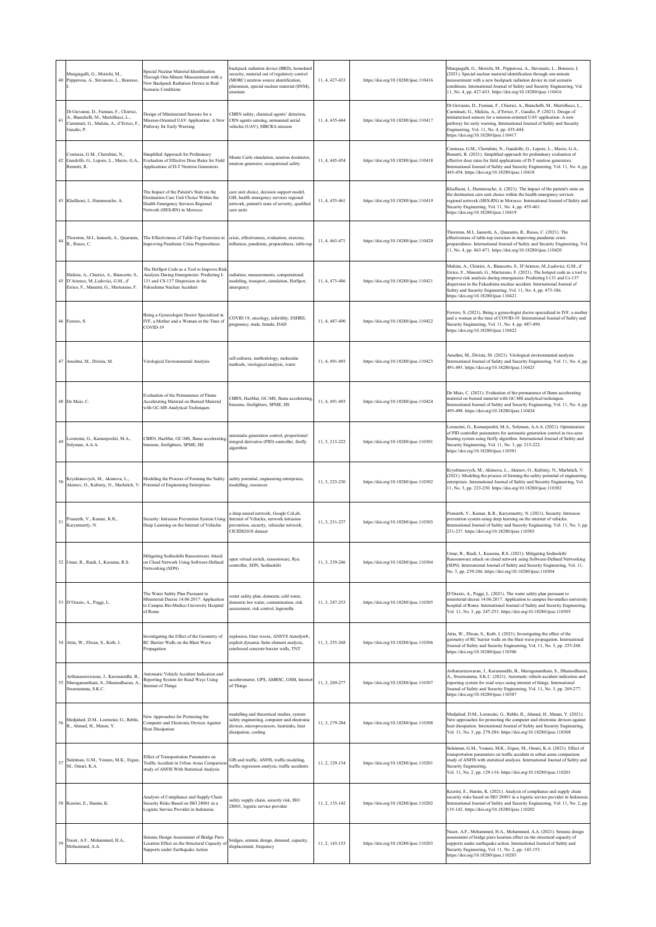| 40 | Mangiagalli, G., Morichi, M.,<br>Pepperosa, A., Stevanato, L., Bonesso,                                                                  | Special Nuclear Material Identification<br>Through One-Minute Measurement with a<br>New Backpack Radiation Device in Real<br>Scenario Conditions           | packpack radiation device (BRD), homeland<br>security, material out of regulatory control<br>(MORC) neutron source identification,<br>plutonium, special nuclear material (SNM),<br>uranium | 11, 4, 427-433 | https://doi.org/10.18280/ijsse.110416 | Mangiagalli, G., Morichi, M., Pepperosa, A., Stevanato, L., Bonesso, I.<br>(2021). Special nuclear material identification through one-minute<br>measurement with a new backpack radiation device in real scenario<br>conditions. International Journal of Safety and Security Engineering, Vol.<br>11, No. 4, pp. 427-433. https://doi.org/10.18280/ijsse.110416                                                        |
|----|------------------------------------------------------------------------------------------------------------------------------------------|------------------------------------------------------------------------------------------------------------------------------------------------------------|---------------------------------------------------------------------------------------------------------------------------------------------------------------------------------------------|----------------|---------------------------------------|--------------------------------------------------------------------------------------------------------------------------------------------------------------------------------------------------------------------------------------------------------------------------------------------------------------------------------------------------------------------------------------------------------------------------|
|    | Di Giovanni, D., Fumian, F., Chierici,<br>A., Bianchelli, M., Martellucci, L.,<br>Carminati, G., Malizia, A., d'Errico, F.<br>Gaudio, P. | Design of Miniaturized Sensors for a<br>Mission-Oriented UAV Application: A New<br>Pathway for Early Warning                                               | CBRN safety, chemical agents' detection,<br>CRN agents sensing, unmanned aerial<br>vehicles (UAV), SIBCRA mission                                                                           | 11, 4, 435-444 | https://doi.org/10.18280/ijsse.110417 | Di Giovanni, D., Fumian, F., Chierici, A., Bianchelli, M., Martellucci, L.,<br>Carminati, G., Malizia, A., d'Errico, F., Gaudio, P. (2021). Design of<br>miniaturized sensors for a mission-oriented UAV application: A new<br>pathway for early warning. International Journal of Safety and Security<br>Engineering, Vol. 11, No. 4, pp. 435-444.<br>https://doi.org/10.18280/ijsse.110417                             |
| 42 | Contessa, G.M., Cherubini, N.,<br>Gandolfo, G., Lepore, L., Marzo, G.A.<br>Remetti, R.                                                   | Simplified Approach for Preliminary<br>Evaluation of Effective Dose Rates for Field<br>Applications of D-T Neutron Generators                              | Monte Carlo simulation, neutron dosimeter,<br>neutron generator, occupational safety                                                                                                        | 11, 4, 445-454 | https://doi.org/10.18280/ijsse.110418 | Contessa, G.M., Cherubini, N., Gandolfo, G., Lepore, L., Marzo, G.A.,<br>Remetti, R. (2021). Simplified approach for preliminary evaluation of<br>effective dose rates for field applications of D-T neutron generators.<br>International Journal of Safety and Security Engineering, Vol. 11, No. 4, pp.<br>445-454. https://doi.org/10.18280/ijsse.110418                                                              |
|    | 43 Khalfaoui, I., Hammouche, A.                                                                                                          | The Impact of the Patient's State on the<br>Destination Care Unit Choice Within the<br>Health Emergency Services Regional<br>Network (HES-RN) in Morocco   | care unit choice, decision support model,<br>GIS, health emergency services regional<br>network, patient's state of severity, qualified<br>care units                                       | 11, 4, 455-461 | https://doi.org/10.18280/ijsse.110419 | Khalfaoui, I., Hammouche, A. (2021). The impact of the patient's state on<br>the destination care unit choice within the health emergency services<br>regional network (HES-RN) in Morocco. International Journal of Safety and<br>Security Engineering, Vol. 11, No. 4, pp. 455-461.<br>https://doi.org/10.18280/ijsse.110419                                                                                           |
| 44 | Thornton, M.I., Iannotti, A., Quaranta,<br>R., Russo, C.                                                                                 | The Effectiveness of Table-Top Exercises in<br>Improving Pandemic Crisis Preparedness                                                                      | crisis, effectiveness, evaluation, exercise,<br>influenza, pandemic, preparedness, table-top                                                                                                | 11, 4, 463-471 | https://doi.org/10.18280/ijsse.110420 | Thornton, M.I., Iannotti, A., Quaranta, R., Russo, C. (2021). The<br>effectiveness of table-top exercises in improving pandemic crisis<br>preparedness. International Journal of Safety and Security Engineering, Vol.<br>11, No. 4, pp. 463-471. https://doi.org/10.18280/ijsse.110420                                                                                                                                  |
| 45 | Malizia, A., Chierici, A., Biancotto, S.<br>D'Arienzo, M., Ludovici, G.M., d'<br>Errico, F., Manenti, G., Marturano, F.                  | The HotSpot Code as a Tool to Improve Risk<br>Analysis During Emergencies: Predicting I-<br>131 and CS-137 Dispersion in the<br>Fukushima Nuclear Accident | radiation, measurements, computational<br>modeling, transport, simulation, HotSpot,<br>emergency                                                                                            | 11, 4, 473-486 | https://doi.org/10.18280/ijsse.110421 | Malizia, A., Chierici, A., Biancotto, S., D'Arienzo, M., Ludovici, G.M., d'<br>Errico, F., Manenti, G., Marturano, F. (2021). The hotspot code as a tool to<br>improve risk analysis during emergencies: Predicting I-131 and Cs-137<br>dispersion in the Fukushima nuclear accident. International Journal of<br>Safety and Security Engineering, Vol. 11, No. 4, pp. 473-186.<br>https://doi.org/10.18280/ijsse.110421 |
|    | 46 Ferrero, S.                                                                                                                           | Being a Gynecologist Doctor Specialized in<br>IVF, a Mother and a Woman at the Time of<br>COVID-19                                                         | COVID 19, oncology, infertility, ESHRE,<br>pregnancy, male, female, DAD                                                                                                                     | 11, 4, 487-490 | https://doi.org/10.18280/ijsse.110422 | Ferrero, S. (2021). Being a gynecologist doctor specialized in IVF, a mother<br>and a woman at the time of COVID-19. International Journal of Safety and<br>Security Engineering, Vol. 11, No. 4, pp. 487-490.<br>https://doi.org/10.18280/ijsse.110422                                                                                                                                                                  |
|    | 47 Anselmi, M., Divizia, M.                                                                                                              | Virological Environmental Analysis                                                                                                                         | cell cultures, methodology, molecular<br>methods, virological analysis, water                                                                                                               | 11, 4, 491-493 | https://doi.org/10.18280/ijsse.110423 | Anselmi, M., Divizia, M. (2021). Virological environmental analysis.<br>International Journal of Safety and Security Engineering, Vol. 11, No. 4, pp.<br>491-493. https://doi.org/10.18280/ijsse.110423                                                                                                                                                                                                                  |
|    | 48 De Maio, C.                                                                                                                           | Evaluation of the Permanence of Flame<br>Accelerating Material on Burned Material<br>with GC-MS Analytical Techniques                                      | CBRN, HazMat, GC-MS, flame accelerating,<br>benzene, firefighters, SPME, HS                                                                                                                 | 11, 4, 491-493 | https://doi.org/10.18280/ijsse.110424 | De Maio, C. (2021). Evaluation of the permanence of flame accelerating<br>material on burned material with GC-MS analytical techniques.<br>International Journal of Safety and Security Engineering, Vol. 11, No. 4, pp.<br>495-498. https://doi.org/10.18280/ijsse.110424                                                                                                                                               |
| 49 | Lorenzini, G., Kamarposhti, M.A.,<br>Solyman, A.A.A.                                                                                     | CBRN, HazMat, GC-MS, flame accelerating,<br>benzene, firefighters, SPME, HS                                                                                | automatic generation control, proportional<br>integral derivative (PID) controller, firefly<br>algorithm                                                                                    | 11, 3, 213-222 | https://doi.org/10.18280/ijsse.110301 | Lorenzini, G., Kamarposhti, M.A., Solyman, A.A.A. (2021). Optimization<br>of PID controller parameters for automatic generation control in two-area<br>heating system using firefly algorithm. International Journal of Safety and<br>Security Engineering, Vol. 11, No. 3, pp. 213-222.<br>https://doi.org/10.18280/ijsse.110301                                                                                        |
| 50 | Kryshtanovych, M., Akimova, L.,<br>Akimov, O., Kubiniy, N., Marhitich, V                                                                 | Modeling the Process of Forming the Safety<br>Potential of Engineering Enterprises                                                                         | safety potential, engineering enterprises,<br>modelling, resources                                                                                                                          | 11, 3, 223-230 | https://doi.org/10.18280/ijsse.110302 | Kryshtanovych, M., Akimova, L., Akimov, O., Kubiniy, N., Marhitich, V.<br>(2021). Modeling the process of forming the safety potential of engineering<br>enterprises. International Journal of Safety and Security Engineering, Vol.<br>11, No. 3, pp. 223-230. https://doi.org/10.18280/ijsse.110302                                                                                                                    |
| 51 | Praneeth, V., Kumar, K.R.,<br>Karyemsetty, N.                                                                                            | Security: Intrusion Prevention System Using<br>Deep Learning on the Internet of Vehicles                                                                   | a deep neural network, Google CoLab,<br>Internet of Vehicles, network intrusion<br>prevention, security, vehicular network,<br>CICIDS2018 dataset                                           | 11, 3, 231-237 | https://doi.org/10.18280/ijsse.110303 | Praneeth, V., Kumar, K.R., Karyemsetty, N. (2021). Security: Intrusion<br>prevention system using deep learning on the internet of vehicles.<br>International Journal of Safety and Security Engineering, Vol. 11, No. 3, pp.<br>231-237. https://doi.org/10.18280/ijsse.110303                                                                                                                                          |
|    | 52 Umar, R., Riadi, I., Kusuma, R.S.                                                                                                     | Mitigating Sodinokibi Ransomware Attack<br>on Cloud Network Using Software-Defined<br>Networking (SDN)                                                     | open virtual switch, ransomware, Ryu<br>controller, SDN, Sodinokibi                                                                                                                         | 11, 3, 239-246 | https://doi.org/10.18280/ijsse.110304 | Jmar, R., Riadi, I., Kusuma, R.S. (2021). Mitigating Sodinokibi<br>Ransomware attack on cloud network using Software-Defined Networking<br>SDN). International Journal of Safety and Security Engineering, Vol. 11,<br>No. 3, pp. 239-246. https://doi.org/10.18280/ijsse.110304                                                                                                                                         |
|    | 53 D'Orazio, A., Poggi, L.                                                                                                               | The Water Safety Plan Pursuant to<br>Ministerial Decree 14.06.2017: Application<br>to Campus Bio-Medico University Hospital<br>of Rome                     | water safety plan, domestic cold water,<br>domestic hot water, contamination, risk<br>assessment, risk control, legionella                                                                  | 11, 3, 247-253 | https://doi.org/10.18280/ijsse.110305 | D'Orazio, A., Poggi, L. (2021). The water safety plan pursuant to<br>ministerial decree 14.06.2017: Application to campus bio-medico university<br>hospital of Rome. International Journal of Safety and Security Engineering,<br>Vol. 11, No. 3, pp. 247-253. https://doi.org/10.18280/ijsse.110305                                                                                                                     |
|    | 54 Attia, W., Elwan, S., Kotb, I.                                                                                                        | Investigating the Effect of the Geometry of<br>RC Barrier Walls on the Blast Wave<br>Propagation                                                           | explosion, blast waves, ANSYS Autodyn®,<br>explicit dynamic finite element analysis,<br>reinforced concrete barrier walls, TNT                                                              | 11, 3, 255-268 | https://doi.org/10.18280/ijsse.110306 | Attia, W., Elwan, S., Kotb, I. (2021). Investigating the effect of the<br>geometry of RC barrier walls on the blast wave propagation. International<br>Journal of Safety and Security Engineering, Vol. 11, No. 3, pp. 255-268.<br>https://doi.org/10.18280/ijsse.110306                                                                                                                                                 |
|    | Arthanareeswaran, J., Karunanidhi, B.,<br>55 Muruganantham, S., Dhamodharan, A.<br>Swarnamma, S.K.C.                                     | Automatic Vehicle Accident Indication and<br>Reporting System for Road Ways Using<br>Internet of Things                                                    | accelerometer, GPS, AMRSC, GSM, Internet<br>of Things                                                                                                                                       | 11, 3, 269-277 | https://doi.org/10.18280/ijsse.110307 | Arthanareeswaran, J., Karunanidhi, B., Muruganantham, S., Dhamodharan,<br>A., Swarnamma, S.K.C. (2021). Automatic vehicle accident indication and<br>reporting system for road ways using internet of things. International<br>Journal of Safety and Security Engineering, Vol. 11, No. 3, pp. 269-277.<br>https://doi.org/10.18280/ijsse.110307                                                                         |
| 56 | Medjahed, D.M., Lorenzini, G., Rebhi,<br>R., Ahmad, H., Menni, Y.                                                                        | New Approaches for Protecting the<br>Computer and Electronic Devices Against<br><b>Heat Dissipation</b>                                                    | modelling and theoretical studies, system<br>safety engineering, computer and electronic<br>devices, microprocessors, heatsinks, heat<br>dissipation, cooling                               | 11, 3, 279-284 | https://doi.org/10.18280/ijsse.110308 | Medjahed, D.M., Lorenzini, G., Rebhi, R., Ahmad, H., Menni, Y. (2021).<br>New approaches for protecting the computer and electronic devices against<br>heat dissipation. International Journal of Safety and Security Engineering,<br>Vol. 11, No. 3, pp. 279-284. https://doi.org/10.18280/ijsse.110308                                                                                                                 |
| 57 | Suleiman, G.M., Younes, M.K., Ergun,<br>M., Omari, K.A.                                                                                  | Effect of Transportation Parameters on<br>Traffic Accident in Urban Areas Comparis<br>study of ANFIS With Statistical Analysis                             | GIS and traffic, ANFIS, traffic modeling,<br>traffic regression analysis, traffic accidents                                                                                                 | 11, 2, 129-134 | https://doi.org/10.18280/ijsse.110201 | Suleiman, G.M., Younes, M.K., Ergun, M., Omari, K.A. (2021). Effect of<br>transportation parameters on traffic accident in urban areas comparison<br>study of ANFIS with statistical analysis. International Journal of Safety and<br>Security Engineering,<br>Vol. 11, No. 2, pp. 129-134. https://doi.org/10.18280/ijsse.110201                                                                                        |
|    | 58 Kusrini, E., Hanim, K.                                                                                                                | Analysis of Compliance and Supply Chain<br>Security Risks Based on ISO 28001 in a<br>Logistic Service Provider in Indonesia                                | safety supply chain, security risk, ISO<br>28001, logistic service provider                                                                                                                 | 11, 2, 135-142 | https://doi.org/10.18280/ijsse.110202 | Kusrini, E., Hanim, K. (2021). Analysis of compliance and supply chain<br>security risks based on ISO 28001 in a logistic service provider in Indonesia<br>International Journal of Safety and Security Engineering, Vol. 11, No. 2, pp.<br>135-142. https://doi.org/10.18280/ijsse.110202                                                                                                                               |
| 59 | Naser, A.F., Mohammed, H.A.,<br>Mohammed, A.A.                                                                                           | Seismic Design Assessment of Bridge Piers<br>Location Effect on the Structural Capacity o<br>Supports under Earthquake Action                              | bridges, seismic design, demand, capacity,<br>displacement, frequency                                                                                                                       | 11, 2, 143-153 | https://doi.org/10.18280/ijsse.110203 | Naser, A.F., Mohammed, H.A., Mohammed, A.A. (2021). Seismic design<br>assessment of bridge piers location effect on the structural capacity of<br>supports under earthquake action. International Journal of Safety and<br>Security Engineering, Vol. 11, No. 2, pp. 143-153.<br>https://doi.org/10.18280/ijsse.110203                                                                                                   |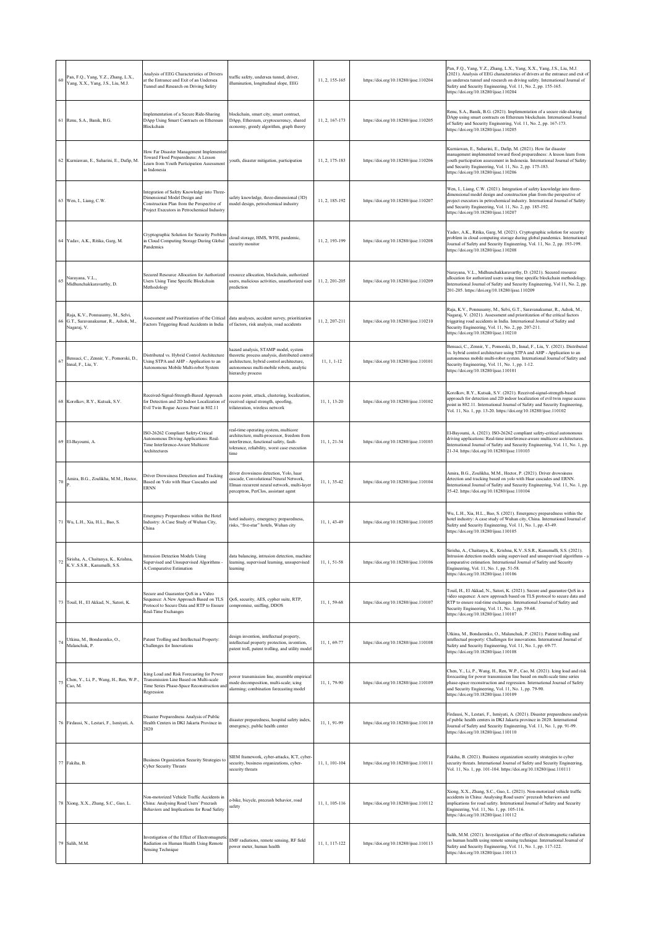| 60 | Pan, F.Q., Yang, Y.Z., Zhang, L.X.,<br>Yang, X.X., Yang, J.S., Liu, M.J.                | Analysis of EEG Characteristics of Drivers<br>at the Entrance and Exit of an Undersea<br>Tunnel and Research on Driving Safety                                          | traffic safety, undersea tunnel, driver,<br>illumination, longitudinal slope, EEG                                                                                                                     | 11, 2, 155-165 | https://doi.org/10.18280/ijsse.110204 | Pan, F.Q., Yang, Y.Z., Zhang, L.X., Yang, X.X., Yang, J.S., Liu, M.J.<br>(2021). Analysis of EEG characteristics of drivers at the entrance and exit of<br>an undersea tunnel and research on driving safety. International Journal of<br>Safety and Security Engineering, Vol. 11, No. 2, pp. 155-165.<br>https://doi.org/10.18280/ijsse.110204 |
|----|-----------------------------------------------------------------------------------------|-------------------------------------------------------------------------------------------------------------------------------------------------------------------------|-------------------------------------------------------------------------------------------------------------------------------------------------------------------------------------------------------|----------------|---------------------------------------|--------------------------------------------------------------------------------------------------------------------------------------------------------------------------------------------------------------------------------------------------------------------------------------------------------------------------------------------------|
|    | 61 Renu, S.A., Banik, B.G.                                                              | Implementation of a Secure Ride-Sharing<br>DApp Using Smart Contracts on Ethereum<br>Blockchain                                                                         | blockchain, smart city, smart contract,<br>DApp, Ethereum, cryptocurrency, shared<br>economy, greedy algorithm, graph theory                                                                          | 11, 2, 167-173 | https://doi.org/10.18280/ijsse.110205 | Renu, S.A., Banik, B.G. (2021). Implementation of a secure ride-sharing<br>DApp using smart contracts on Ethereum blockchain. International Journal<br>of Safety and Security Engineering, Vol. 11, No. 2, pp. 167-173.<br>https://doi.org/10.18280/ijsse.110205                                                                                 |
|    | 62 Kurniawan, E., Suharini, E., Dafip, M                                                | How Far Disaster Management Implemented<br>Toward Flood Preparedness: A Lesson<br>Learn from Youth Participation Assessment<br>in Indonesia                             | youth, disaster mitigation, participation                                                                                                                                                             | 11, 2, 175-183 | https://doi.org/10.18280/ijsse.110206 | Kurniawan, E., Suharini, E., Dafip, M. (2021). How far disaster<br>management implemented toward flood preparedness: A lesson learn from<br>youth participation assessment in Indonesia. International Journal of Safety<br>and Security Engineering, Vol. 11, No. 2, pp. 175-183.<br>https://doi.org/10.18280/ijsse.110206                      |
|    | 63 Wen, I., Liang, C.W.                                                                 | Integration of Safety Knowledge into Three-<br>Dimensional Model Design and<br>Construction Plan from the Perspective of<br>Project Executors in Petrochemical Industry | safety knowledge, three-dimensional (3D)<br>model design, petrochemical industry                                                                                                                      | 11, 2, 185-192 | https://doi.org/10.18280/ijsse.110207 | Wen, I., Liang, C.W. (2021). Integration of safety knowledge into three-<br>dimensional model design and construction plan from the perspective of<br>project executors in petrochemical industry. International Journal of Safety<br>and Security Engineering, Vol. 11, No. 2, pp. 185-192.<br>https://doi.org/10.18280/ijsse.110207            |
|    | 64 Yadav, A.K., Ritika, Garg, M.                                                        | Cryptographic Solution for Security Problem<br>in Cloud Computing Storage During Global<br>Pandemics                                                                    | cloud storage, HMS, WFH, pandemic,<br>security monitor                                                                                                                                                | 11, 2, 193-199 | https://doi.org/10.18280/ijsse.110208 | Yadav, A.K., Ritika, Garg, M. (2021). Cryptographic solution for security<br>problem in cloud computing storage during global pandemics. International<br>Journal of Safety and Security Engineering, Vol. 11, No. 2, pp. 193-199.<br>https://doi.org/10.18280/ijsse.110208                                                                      |
| 65 | Narayana, V.L.,<br>Midhunchakkaravarthy, D.                                             | Secured Resource Allocation for Authorized<br>Users Using Time Specific Blockchain<br>Methodology                                                                       | resource allocation, blockchain, authorized<br>asers, malicious activities, unauthorized user<br>prediction                                                                                           | 11, 2, 201-205 | https://doi.org/10.18280/ijsse.110209 | Narayana, V.L., Midhunchakkaravarthy, D. (2021). Secured resource<br>allocation for authorized users using time specific blockchain methodology<br>International Journal of Safety and Security Engineering, Vol 11, No. 2, pp.<br>201-205. https://doi.org/10.18280/ijsse.110209                                                                |
|    | Raja, K.V., Ponnusamy, M., Selvi,<br>G.T., Saravanakumar, R., Ashok, M.,<br>Nagaraj, V. | Assessment and Prioritization of the Critical<br>Factors Triggering Road Accidents in India                                                                             | data analyses, accident survey, prioritization<br>of factors, risk analysis, road accidents                                                                                                           | 11, 2, 207-211 | https://doi.org/10.18280/ijsse.110210 | Raja, K.V., Ponnusamy, M., Selvi, G.T., Saravanakumar, R., Ashok, M.,<br>Nagaraj, V. (2021). Assessment and prioritization of the critical factors<br>triggering road accidents in India. International Journal of Safety and<br>Security Engineering, Vol. 11, No. 2, pp. 207-211.<br>https://doi.org/10.18280/ijsse.110210                     |
| 67 | Bensaci, C., Zennir, Y., Pomorski, D.<br>Innal, F., Liu, Y.                             | Distributed vs. Hybrid Control Architecture<br>Using STPA and AHP - Application to an<br>Autonomous Mobile Multi-robot System                                           | hazard analysis, STAMP model, system<br>theoretic process analysis, distributed contro<br>architecture, hybrid control architecture,<br>autonomous multi-mobile robots, analytic<br>hierarchy process | $11, 1, 1-12$  | https://doi.org/10.18280/ijsse.110101 | Bensaci, C., Zennir, Y., Pomorski, D., Innal, F., Liu, Y. (2021). Distributed<br>vs. hybrid control architecture using STPA and AHP - Application to an<br>autonomous mobile multi-robot system. International Journal of Safety and<br>Security Engineering, Vol. 11, No. 1, pp. 1-12.<br>https://doi.org/10.18280/ijsse.110101                 |
|    | Korolkov, R.Y., Kutsak, S.V.                                                            | Received-Signal-Strength-Based Approach<br>for Detection and 2D Indoor Localization of<br>Evil Twin Rogue Access Point in 802.11                                        | access point, attack, clustering, localization,<br>received signal strength, spoofing,<br>trilateration, wireless network                                                                             | 11, 1, 13-20   | https://doi.org/10.18280/ijsse.110102 | Korolkov, R.Y., Kutsak, S.V. (2021). Received-signal-strength-based<br>approach for detection and 2D indoor localization of evil twin rogue access<br>point in 802.11. International Journal of Safety and Security Engineering,<br>Vol. 11, No. 1, pp. 13-20. https://doi.org/10.18280/ijsse.110102                                             |
|    | 69 El-Bayoumi, A.                                                                       | ISO-26262 Compliant Safety-Critical<br>Autonomous Driving Applications: Real-<br>Time Interference-Aware Multicore<br>Architectures                                     | real-time operating system, multicore<br>architecture, multi-processor, freedom from<br>interference, functional safety, fault-<br>tolerance, reliability, worst case execution<br>time               | 11, 1, 21-34   | https://doi.org/10.18280/ijsse.110103 | El-Bayoumi, A. (2021). ISO-26262 compliant safety-critical autonomous<br>driving applications: Real-time interference-aware multicore architectures.<br>International Journal of Safety and Security Engineering, Vol. 11, No. 1, pp.<br>21-34. https://doi.org/10.18280/ijsse.110103                                                            |
|    | Amira, B.G., Zoulikha, M.M., Hector,                                                    | Driver Drowsiness Detection and Tracking<br>Based on Yolo with Haar Cascades and<br><b>ERNN</b>                                                                         | driver drowsiness detection, Yolo, haar<br>ascade, Convolutional Neural Network,<br>Elman recurrent neural network, multi-layer<br>perceptron, PerClos, assistant agent                               | 11, 1, 35-42   | https://doi.org/10.18280/ijsse.110104 | Amira, B.G., Zoulikha, M.M., Hector, P. (2021). Driver drowsiness<br>detection and tracking based on yolo with Haar cascades and ERNN.<br>International Journal of Safety and Security Engineering, Vol. 11, No. 1, pp.<br>35-42. https://doi.org/10.18280/ijsse.110104                                                                          |
|    | 71 Wu, L.H., Xia, H.L., Bao, S.                                                         | Emergency Preparedness within the Hotel<br>Industry: A Case Study of Wuhan City,<br>China                                                                               | notel industry, emergency preparedness,<br>risks, "five-star" hotels, Wuhan city                                                                                                                      | 11, 1, 43-49   | https://doi.org/10.18280/ijsse.110105 | Wu, L.H., Xia, H.L., Bao, S. (2021). Emergency preparedness within the<br>hotel industry: A case study of Wuhan city, China. International Journal of<br>Safety and Security Engineering, Vol. 11, No. 1, pp. 43-49.<br>https://doi.org/10.18280/ijsse.110105                                                                                    |
|    | Sirisha, A., Chaitanya, K., Krishna,<br>K.VS.S.R., Kanumalli, S.S.                      | Intrusion Detection Models Using<br>Supervised and Unsupervised Algorithms -<br>A Comparative Estimation                                                                | data balancing, intrusion detection, machine<br>learning, supervised learning, unsupervised<br>learning                                                                                               | 11, 1, 51-58   | https://doi.org/10.18280/ijsse.110106 | Sirisha, A., Chaitanya, K., Krishna, K.VS.S.R., Kanumalli, S.S. (2021).<br>Intrusion detection models using supervised and unsupervised algorithms - a<br>comparative estimation. International Journal of Safety and Security<br>Engineering, Vol. 11, No. 1, pp. 51-58.<br>https://doi.org/10.18280/ijsse.110106                               |
|    | 73 Touil, H., El Akkad, N., Satori, K.                                                  | Secure and Guarantee QoS in a Video<br>Sequence: A New Approach Based on TLS<br>Protocol to Secure Data and RTP to Ensure<br>Real-Time Exchanges                        | QoS, security, AES, cypher suite, RTP,<br>compromise, sniffing, DDOS                                                                                                                                  | 11, 1, 59-68   | https://doi.org/10.18280/ijsse.110107 | Touil, H., El Akkad, N., Satori, K. (2021). Secure and guarantee QoS in a<br>video sequence: A new approach based on TLS protocol to secure data and<br>RTP to ensure real-time exchanges. International Journal of Safety and<br>Security Engineering, Vol. 11, No. 1, pp. 59-68.<br>https://doi.org/10.18280/ijsse.110107                      |
| 74 | Utkina, M., Bondarenko, O.,<br>Malanchuk, P.                                            | Patent Trolling and Intellectual Property:<br>Challenges for Innovations                                                                                                | design invention, intellectual property,<br>intellectual property protection, invention,<br>patent troll, patent trolling, and utility model                                                          | 11, 1, 69-77   | https://doi.org/10.18280/ijsse.110108 | Utkina, M., Bondarenko, O., Malanchuk, P. (2021). Patent trolling and<br>intellectual property: Challenges for innovations. International Journal of<br>Safety and Security Engineering, Vol. 11, No. 1, pp. 69-77.<br>https://doi.org/10.18280/ijsse.110108                                                                                     |
| 75 | Chen, Y., Li, P., Wang, H., Ren, W.P.,<br>Cao, M.                                       | Icing Load and Risk Forecasting for Power<br>Transmission Line Based on Multi-scale<br>Time Series Phase-Space Reconstruction and<br>Regression                         | ower transmission line, ensemble empirical<br>mode decomposition, multi-scale; icing<br>alarming; combination forecasting model                                                                       | 11, 1, 79-90   | https://doi.org/10.18280/ijsse.110109 | Chen, Y., Li, P., Wang, H., Ren, W.P., Cao, M. (2021). Icing load and risk<br>forecasting for power transmission line based on multi-scale time series<br>phase-space reconstruction and regression. International Journal of Safety<br>and Security Engineering, Vol. 11, No. 1, pp. 79-90.<br>https://doi.org/10.18280/ijsse.110109            |
|    | 76 Firdausi, N., Lestari, F., Ismiyati, A.                                              | Disaster Preparedness Analysis of Public<br>Health Centers in DKI Jakarta Province in<br>2020                                                                           | disaster preparedness, hospital safety index,<br>emergency, public health center                                                                                                                      | 11, 1, 91-99   | https://doi.org/10.18280/ijsse.110110 | Firdausi, N., Lestari, F., Ismiyati, A. (2021). Disaster preparedness analysis<br>of public health centers in DKI Jakarta province in 2020. International<br>Journal of Safety and Security Engineering, Vol. 11, No. 1, pp. 91-99.<br>https://doi.org/10.18280/ijsse.110110                                                                     |
|    | 77 Fakiha, B.                                                                           | Business Organization Security Strategies to<br>Cyber Security Threats                                                                                                  | SIEM framework, cyber-attacks, ICT, cyber-<br>security, business organizations, cyber-<br>security threats                                                                                            | 11, 1, 101-104 | https://doi.org/10.18280/ijsse.110111 | Fakiha, B. (2021). Business organization security strategies to cyber<br>security threats. International Journal of Safety and Security Engineering,<br>Vol. 11, No. 1, pp. 101-104. https://doi.org/10.18280/ijsse.110111                                                                                                                       |
|    | 78 Xiong, X.X., Zhang, S.C., Guo, L.                                                    | Non-motorized Vehicle Traffic Accidents in<br>China: Analysing Road Users' Precrash<br>Behaviors and Implications for Road Safety                                       | s-bike, bicycle, precrash behavior, road<br>safety                                                                                                                                                    | 11, 1, 105-116 | https://doi.org/10.18280/ijsse.110112 | Xiong, X.X., Zhang, S.C., Guo, L. (2021). Non-motorized vehicle traffic<br>accidents in China: Analysing Road users' precrash behaviors and<br>implications for road safety. International Journal of Safety and Security<br>Engineering, Vol. 11, No. 1, pp. 105-116.<br>https://doi.org/10.18280/ijsse.110112                                  |
|    | 79 Salih, M.M.                                                                          | Investigation of the Effect of Electromagnetic<br>Radiation on Human Health Using Remote<br>Sensing Technique                                                           | EMF radiations, remote sensing, RF field<br>power meter, human health                                                                                                                                 | 11, 1, 117-122 | https://doi.org/10.18280/ijsse.110113 | Salih, M.M. (2021). Investigation of the effect of electromagnetic radiation<br>on human health using remote sensing technique. International Journal of<br>Safety and Security Engineering, Vol. 11, No. 1, pp. 117-122.<br>https://doi.org/10.18280/ijsse.110113                                                                               |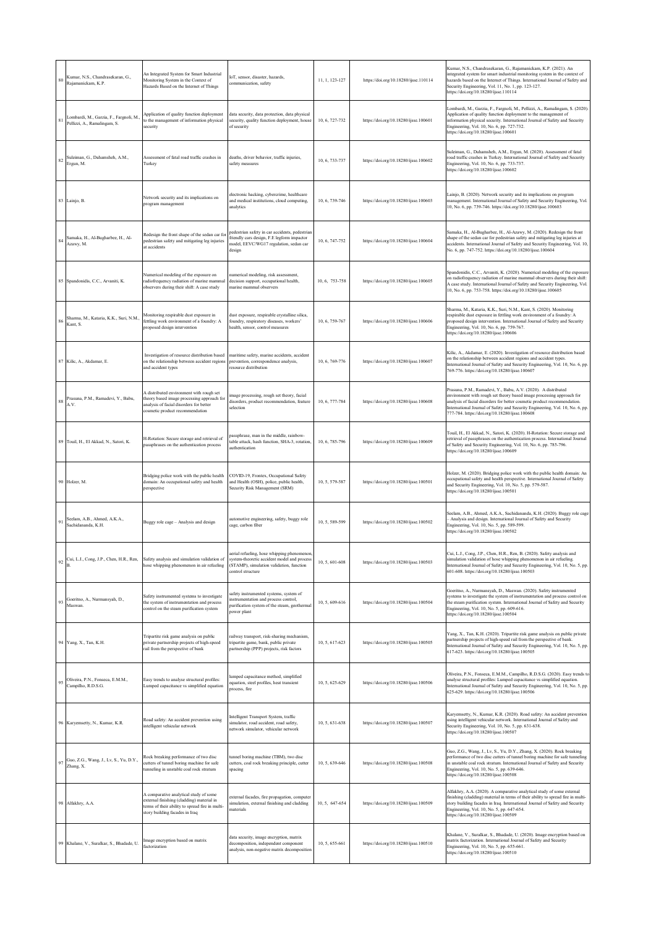| 80 | Kumar, N.S., Chandrasekaran, G.,<br>Rajamanickam, K.P.                 | An Integrated System for Smart Industrial<br>Monitoring System in the Context of<br>Hazards Based on the Internet of Things                                              | IoT, sensor, disaster, hazards,<br>communication, safety                                                                                                   | 11, 1, 123-127 | https://doi.org/10.18280/ijsse.110114 | Kumar, N.S., Chandrasekaran, G., Rajamanickam, K.P. (2021). An<br>integrated system for smart industrial monitoring system in the context of<br>hazards based on the Internet of Things. International Journal of Safety and<br>Security Engineering, Vol. 11, No. 1, pp. 123-127.<br>https://doi.org/10.18280/ijsse.110114                           |
|----|------------------------------------------------------------------------|--------------------------------------------------------------------------------------------------------------------------------------------------------------------------|------------------------------------------------------------------------------------------------------------------------------------------------------------|----------------|---------------------------------------|-------------------------------------------------------------------------------------------------------------------------------------------------------------------------------------------------------------------------------------------------------------------------------------------------------------------------------------------------------|
| 81 | Lombardi, M., Garzia, F., Fargnoli, M.<br>Pellizzi, A., Ramalingam, S. | Application of quality function deployment<br>to the management of information physical<br>security                                                                      | data security, data protection, data physical<br>security, quality function deployment, house<br>of security                                               | 10, 6, 727-732 | https://doi.org/10.18280/ijsse.100601 | Lombardi, M., Garzia, F., Fargnoli, M., Pellizzi, A., Ramalingam, S. (2020).<br>Application of quality function deployment to the management of<br>information physical security. International Journal of Safety and Security<br>Engineering, Vol. 10, No. 6, pp. 727-732.<br>https://doi.org/10.18280/ijsse.100601                                  |
| 82 | Suleiman, G., Dahamsheh, A.M.,<br>Ergun, M.                            | Assessment of fatal road traffic crashes in<br>Turkey                                                                                                                    | deaths, driver behavior, traffic injuries,<br>safety measures                                                                                              | 10, 6, 733-737 | https://doi.org/10.18280/ijsse.100602 | Suleiman, G., Dahamsheh, A.M., Ergun, M. (2020). Assessment of fatal<br>road traffic crashes in Turkey. International Journal of Safety and Security<br>Engineering, Vol. 10, No. 6, pp. 733-737.<br>https://doi.org/10.18280/ijsse.100602                                                                                                            |
|    | 83 Lainjo, B.                                                          | Network security and its implications on<br>program management                                                                                                           | electronic hacking, cybercrime, healthcare<br>and medical institutions, cloud computing,<br>analytics                                                      | 10, 6, 739-746 | https://doi.org/10.18280/ijsse.100603 | Lainjo, B. (2020). Network security and its implications on program<br>management. International Journal of Safety and Security Engineering, Vol.<br>10, No. 6, pp. 739-746. https://doi.org/10.18280/ijsse.100603                                                                                                                                    |
| 84 | Samaka, H., Al-Bugharbee, H., Al-<br>Azawy, M.                         | Redesign the front shape of the sedan car for<br>pedestrian safety and mitigating leg injuries<br>at accidents                                                           | pedestrian safety in car accidents, pedestrian<br>friendly cars design, F.E legform impactor<br>nodel, EEVC/WG17 regulation, sedan car<br>design           | 10, 6, 747-752 | https://doi.org/10.18280/ijsse.100604 | Samaka, H., Al-Bugharbee, H., Al-Azawy, M. (2020). Redesign the front<br>shape of the sedan car for pedestrian safety and mitigating leg injuries at<br>accidents. International Journal of Safety and Security Engineering, Vol. 10,<br>No. 6, pp. 747-752. https://doi.org/10.18280/ijsse.100604                                                    |
|    | 85 Spandonidis, C.C., Arvaniti, K.                                     | Numerical modeling of the exposure on<br>radiofrequency radiation of marine mamma<br>observers during their shift: A case study                                          | numerical modeling, risk assessment,<br>decision support, occupational health,<br>marine mammal observers                                                  | 10, 6, 753-758 | https://doi.org/10.18280/ijsse.100605 | Spandonidis, C.C., Arvaniti, K. (2020). Numerical modeling of the exposure<br>on radiofrequency radiation of marine mammal observers during their shift:<br>A case study. International Journal of Safety and Security Engineering, Vol.<br>10, No. 6, pp. 753-758. https://doi.org/10.18280/ijsse.100605                                             |
| 86 | Sharma, M., Kataria, K.K., Suri, N.M.,<br>Kant, S.                     | Monitoring respirable dust exposure in<br>fettling work environment of a foundry: A<br>proposed design intervention                                                      | dust exposure, respirable crystalline silica,<br>foundry, respiratory diseases, workers'<br>health, sensor, control measures                               | 10, 6, 759-767 | https://doi.org/10.18280/ijsse.100606 | Sharma, M., Kataria, K.K., Suri, N.M., Kant, S. (2020). Monitoring<br>respirable dust exposure in fettling work environment of a foundry: A<br>proposed design intervention. International Journal of Safety and Security<br>Engineering, Vol. 10, No. 6, pp. 759-767.<br>https://doi.org/10.18280/ijsse.100606                                       |
| 87 | Kilic, A., Akdamar, E.                                                 | Investigation of resource distribution based<br>on the relationship between accident regions<br>and accident types                                                       | maritime safety, marine accidents, accident<br>prevention, correspondence analysis,<br>resource distribution                                               | 10, 6, 769-776 | https://doi.org/10.18280/ijsse.100607 | Kilic, A., Akdamar, E. (2020). Investigation of resource distribution based<br>on the relationship between accident regions and accident types.<br>International Journal of Safety and Security Engineering, Vol. 10, No. 6, pp.<br>769-776. https://doi.org/10.18280/ijsse.100607                                                                    |
| 88 | Prasuna, P.M., Ramadevi, Y., Babu,<br>A.V.                             | A distributed environment with rough set<br>theory based image processing approach for<br>analysis of facial disorders for better<br>cosmetic product recommendation     | mage processing, rough set theory, facial<br>disorders, product recommendation, feature<br>selection                                                       | 10, 6, 777-784 | https://doi.org/10.18280/ijsse.100608 | Prasuna, P.M., Ramadevi, Y., Babu, A.V. (2020). A distributed<br>environment with rough set theory based image processing approach for<br>analysis of facial disorders for better cosmetic product recommendation.<br>International Journal of Safety and Security Engineering, Vol. 10, No. 6, pp.<br>777-784. https://doi.org/10.18280/ijsse.100608 |
| 89 | Touil, H., El Akkad, N., Satori, K.                                    | H-Rotation: Secure storage and retrieval of<br>passphrases on the authentication process                                                                                 | passphrase, man in the middle, rainbow-<br>table attack, hash function, SHA-3, rotation,<br>authentication                                                 | 10, 6, 785-796 | https://doi.org/10.18280/ijsse.100609 | Touil, H., El Akkad, N., Satori, K. (2020). H-Rotation: Secure storage and<br>retrieval of passphrases on the authentication process. International Journal<br>of Safety and Security Engineering, Vol. 10, No. 6, pp. 785-796.<br>https://doi.org/10.18280/ijsse.100609                                                                              |
|    | 90 Holzer, M.                                                          | Bridging police work with the public health<br>domain: An occupational safety and health<br>perspective                                                                  | COVID-19, Frontex, Occupational Safety<br>and Health (OSH), police, public health,<br>Security Risk Management (SRM)                                       | 10, 5, 579-587 | https://doi.org/10.18280/ijsse.100501 | Holzer, M. (2020). Bridging police work with the public health domain: An<br>occupational safety and health perspective. International Journal of Safety<br>and Security Engineering, Vol. 10, No. 5, pp. 579-587.<br>https://doi.org/10.18280/ijsse.100501                                                                                           |
| 91 | Seelam, A.B., Ahmed, A.K.A.,<br>Sachidananda, K.H.                     | Buggy role cage - Analysis and design                                                                                                                                    | automotive engineering, safety, buggy role<br>cage, carbon fiber                                                                                           | 10, 5, 589-599 | https://doi.org/10.18280/ijsse.100502 | Seelam, A.B., Ahmed, A.K.A., Sachidananda, K.H. (2020). Buggy role cage<br>Analysis and design. International Journal of Safety and Security<br>Engineering, Vol. 10, No. 5, pp. 589-599.<br>https://doi.org/10.18280/ijsse.100502                                                                                                                    |
|    | 92 Cui, L.J., Cong, J.P., Chen, H.R., Ren,                             | Safety analysis and simulation validation of<br>hose whipping phenomenon in air refueling                                                                                | aerial refueling, hose whipping phenomenor<br>system-theoretic accident model and process<br>(STAMP), simulation validation, function<br>control structure | 10, 5, 601-608 | https://doi.org/10.18280/ijsse.100503 | Cui, L.J., Cong, J.P., Chen, H.R., Ren, B. (2020). Safety analysis and<br>simulation validation of hose whipping phenomenon in air refueling.<br>International Journal of Safety and Security Engineering, Vol. 10, No. 5, pp.<br>601-608. https://doi.org/10.18280/ijsse.100503                                                                      |
| 93 | Goeritno, A., Nurmansyah, D.,<br>Maswan.                               | Safety instrumented systems to investigate<br>the system of instrumentation and process<br>control on the steam purification system                                      | safety instrumented systems, system of<br>instrumentation and process control,<br>purification system of the steam, geothermal<br>power plant              | 10, 5, 609-616 | https://doi.org/10.18280/ijsse.100504 | Goeritno, A., Nurmansyah, D., Maswan. (2020). Safety instrumented<br>systems to investigate the system of instrumentation and process control on<br>the steam purification system. International Journal of Safety and Security<br>Engineering, Vol. 10, No. 5, pp. 609-616.<br>https://doi.org/10.18280/ijsse.100504                                 |
|    | 94 Yang, X., Tan, K.H.                                                 | Tripartite risk game analysis on public<br>private partnership projects of high-speed<br>rail from the perspective of bank                                               | railway transport, risk-sharing mechanism,<br>tripartite game, bank, public private<br>partnership (PPP) projects, risk factors                            | 10, 5, 617-623 | https://doi.org/10.18280/ijsse.100505 | Yang, X., Tan, K.H. (2020). Tripartite risk game analysis on public private<br>partnership projects of high-speed rail from the perspective of bank.<br>International Journal of Safety and Security Engineering, Vol. 10, No. 5, pp.<br>617-623. https://doi.org/10.18280/ijsse.100505                                                               |
| 95 | Oliveira, P.N., Fonseca, E.M.M.,<br>Campilho, R.D.S.G.                 | Easy trends to analyse structural profiles:<br>Lumped capacitance vs simplified equation                                                                                 | lumped capacitance method, simplified<br>equation, steel profiles, heat transient<br>process, fire                                                         | 10, 5, 625-629 | https://doi.org/10.18280/ijsse.100506 | Oliveira, P.N., Fonseca, E.M.M., Campilho, R.D.S.G. (2020). Easy trends to<br>analyse structural profiles: Lumped capacitance vs simplified equation.<br>International Journal of Safety and Security Engineering, Vol. 10, No. 5, pp.<br>625-629. https://doi.org/10.18280/ijsse.100506                                                              |
|    | 96 Karyemsetty, N., Kumar, K.R.                                        | Road safety: An accident prevention using<br>intelligent vehicular network                                                                                               | Intelligent Transport System, traffic<br>simulator, road accident, road safety,<br>network simulator, vehicular network                                    | 10.5.631-638   | https://doi.org/10.18280/ijsse.100507 | Karyemsetty, N., Kumar, K.R. (2020). Road safety: An accident prevention<br>using intelligent vehicular network. International Journal of Safety and<br>Security Engineering, Vol. 10, No. 5, pp. 631-638.<br>https://doi.org/10.18280/ijsse.100507                                                                                                   |
| 97 | Guo, Z.G., Wang, J., Lv, S., Yu, D.Y.,<br>Zhang, X.                    | Rock breaking performance of two disc<br>cutters of tunnel boring machine for safe<br>tunneling in unstable coal rock stratum                                            | tunnel boring machine (TBM), two disc<br>cutters, coal rock breaking principle, cutter<br>spacing                                                          | 10, 5, 639-646 | https://doi.org/10.18280/ijsse.100508 | Guo, Z.G., Wang, J., Lv, S., Yu, D.Y., Zhang, X. (2020). Rock breaking<br>performance of two disc cutters of tunnel boring machine for safe tunneling<br>in unstable coal rock stratum. International Journal of Safety and Security<br>Engineering, Vol. 10, No. 5, pp. 639-646.<br>https://doi.org/10.18280/ijsse.100508                            |
|    | 98 Alfakhry, A.A.                                                      | A comparative analytical study of some<br>external finishing (cladding) material in<br>terms of their ability to spread fire in multi-<br>story building facades in Iraq | external facades, fire propagation, computer<br>simulation, external finishing and cladding<br>materials                                                   | 10, 5, 647-654 | https://doi.org/10.18280/ijsse.100509 | Alfakhry, A.A. (2020). A comparative analytical study of some external<br>finishing (cladding) material in terms of their ability to spread fire in multi-<br>story building facades in Iraq. International Journal of Safety and Security<br>Engineering, Vol. 10, No. 5, pp. 647-654.<br>https://doi.org/10.18280/ijsse.100509                      |
| 99 | Khalane, V., Suralkar, S., Bhadade, U.                                 | Image encryption based on matrix<br>factorization                                                                                                                        | data security, image encryption, matrix<br>decomposition, independent component<br>analysis, non-negative matrix decomposition                             | 10.5.655-661   | https://doi.org/10.18280/ijsse.100510 | Khalane, V., Suralkar, S., Bhadade, U. (2020). Image encryption based on<br>matrix factorization. International Journal of Safety and Security<br>Engineering, Vol. 10, No. 5, pp. 655-661.<br>https://doi.org/10.18280/ijsse.100510                                                                                                                  |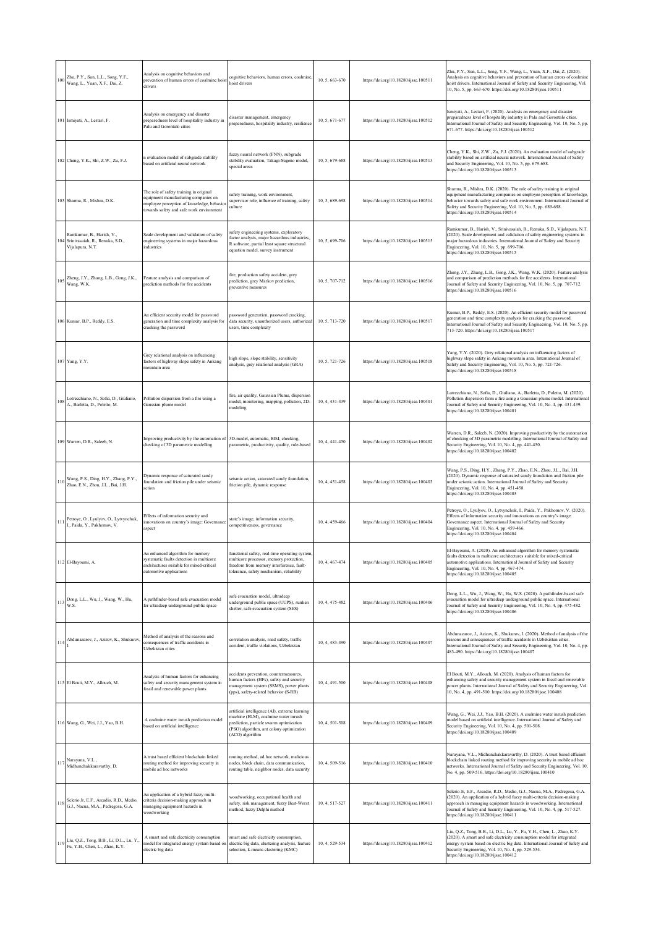| 100 | Zhu, P.Y., Sun, L.L., Song, Y.F.,<br>Wang, L., Yuan, X.F., Dai, Z.                   | Analysis on cognitive behaviors and<br>prevention of human errors of coalmine hoist<br>drivers                                                                            | cognitive behaviors, human errors, coalmine,<br>hoist drivers                                                                                                                                    | 10, 5, 663-670 | https://doi.org/10.18280/ijsse.100511 | Zhu, P.Y., Sun, L.L., Song, Y.F., Wang, L., Yuan, X.F., Dai, Z. (2020).<br>Analysis on cognitive behaviors and prevention of human errors of coalmine<br>hoist drivers. International Journal of Safety and Security Engineering, Vol.<br>10, No. 5, pp. 663-670. https://doi.org/10.18280/ijsse.100511                                            |
|-----|--------------------------------------------------------------------------------------|---------------------------------------------------------------------------------------------------------------------------------------------------------------------------|--------------------------------------------------------------------------------------------------------------------------------------------------------------------------------------------------|----------------|---------------------------------------|----------------------------------------------------------------------------------------------------------------------------------------------------------------------------------------------------------------------------------------------------------------------------------------------------------------------------------------------------|
|     | 101 Ismiyati, A., Lestari, F.                                                        | Analysis on emergency and disaster<br>preparedness level of hospitality industry in<br>Palu and Gorontalo cities                                                          | disaster management, emergency<br>preparedness, hospitality industry, resilience                                                                                                                 | 10, 5, 671-677 | https://doi.org/10.18280/ijsse.100512 | Ismiyati, A., Lestari, F. (2020). Analysis on emergency and disaster<br>preparedness level of hospitality industry in Palu and Gorontalo cities.<br>International Journal of Safety and Security Engineering, Vol. 10, No. 5, pp.<br>671-677. https://doi.org/10.18280/ijsse.100512                                                                |
|     | 102 Cheng, Y.K., Shi, Z.W., Zu, F.J.                                                 | n evaluation model of subgrade stability<br>based on artificial neural network                                                                                            | fuzzy neural network (FNN), subgrade<br>stability evaluation, Takagi-Sugeno model,<br>special areas                                                                                              | 10, 5, 679-688 | https://doi.org/10.18280/ijsse.100513 | Cheng, Y.K., Shi, Z.W., Zu, F.J. (2020). An evaluation model of subgrade<br>stability based on artificial neural network. International Journal of Safety<br>and Security Engineering, Vol. 10, No. 5, pp. 679-688.<br>https://doi.org/10.18280/ijsse.100513                                                                                       |
|     | 103 Sharma, R., Mishra, D.K.                                                         | The role of safety training in original<br>equipment manufacturing companies on<br>employee perception of knowledge, behavior<br>towards safety and safe work environment | safety training, work environment,<br>supervisor role, influence of training, safety<br>culture                                                                                                  | 10, 5, 689-698 | https://doi.org/10.18280/ijsse.100514 | Sharma, R., Mishra, D.K. (2020). The role of safety training in original<br>equipment manufacturing companies on employee perception of knowledge,<br>behavior towards safety and safe work environment. International Journal of<br>Safety and Security Engineering, Vol. 10, No. 5, pp. 689-698.<br>https://doi.org/10.18280/ijsse.100514        |
|     | Ramkumar, B., Harish, V.,<br>104 Srinivasaiah, R., Renuka, S.D.,<br>Vijalapura, N.T. | Scale development and validation of safety<br>engineering systems in major hazardous<br>industries                                                                        | safety engineering systems, exploratory<br>factor analysis, major hazardous industries,<br>R software, partial least square structural<br>equation model, survey instrument                      | 10, 5, 699-706 | https://doi.org/10.18280/ijsse.100515 | Ramkumar, B., Harish, V., Srinivasaiah, R., Renuka, S.D., Vijalapura, N.T.<br>(2020). Scale development and validation of safety engineering systems in<br>major hazardous industries. International Journal of Safety and Security<br>Engineering, Vol. 10, No. 5, pp. 699-706.<br>https://doi.org/10.18280/ijsse.100515                          |
|     | Zheng, J.Y., Zhang, L.B., Gong, J.K.,<br>$105$ Wang, W.K.                            | Feature analysis and comparison of<br>prediction methods for fire accidents                                                                                               | fire, production safety accident, grey<br>prediction, grey Markov prediction,<br>preventive measures                                                                                             | 10.5.707-712   | https://doi.org/10.18280/ijsse.100516 | Zheng, J.Y., Zhang, L.B., Gong, J.K., Wang, W.K. (2020). Feature analysis<br>and comparison of prediction methods for fire accidents. International<br>Journal of Safety and Security Engineering, Vol. 10, No. 5, pp. 707-712.<br>https://doi.org/10.18280/ijsse.100516                                                                           |
|     | 106 Kumar, B.P., Reddy, E.S.                                                         | An efficient security model for password<br>generation and time complexity analysis for<br>cracking the password                                                          | password generation, password cracking,<br>data security, unauthorized users, authorized<br>users, time complexity                                                                               | 10, 5, 713-720 | https://doi.org/10.18280/ijsse.100517 | Kumar, B.P., Reddy, E.S. (2020). An efficient security model for password<br>generation and time complexity analysis for cracking the password.<br>International Journal of Safety and Security Engineering, Vol. 10, No. 5, pp.<br>713-720. https://doi.org/10.18280/ijsse.100517                                                                 |
|     | 107 Yang, Y.Y.                                                                       | Grey relational analysis on influencing<br>factors of highway slope safety in Ankang<br>mountain area                                                                     | high slope, slope stability, sensitivity<br>analysis, grey relational analysis (GRA)                                                                                                             | 10, 5, 721-726 | https://doi.org/10.18280/ijsse.100518 | Yang, Y.Y. (2020). Grey relational analysis on influencing factors of<br>highway slope safety in Ankang mountain area. International Journal of<br>Safety and Security Engineering, Vol. 10, No. 5, pp. 721-726.<br>https://doi.org/10.18280/ijsse.100518                                                                                          |
|     | Lotrecchiano, N., Sofia, D., Giuliano,<br>A., Barletta, D., Poletto, M.              | Pollution dispersion from a fire using a<br>Gaussian plume model                                                                                                          | fire, air quality, Gaussian Plume, dispersion<br>model, monitoring, mapping, pollution, 2D-<br>modeling                                                                                          | 10, 4, 431-439 | https://doi.org/10.18280/ijsse.100401 | Lotrecchiano, N., Sofia, D., Giuliano, A., Barletta, D., Poletto, M. (2020).<br>Pollution dispersion from a fire using a Gaussian plume model. International<br>Journal of Safety and Security Engineering, Vol. 10, No. 4, pp. 431-439.<br>https://doi.org/10.18280/ijsse.100401                                                                  |
|     | 109 Warren, D.R., Saleeb, N.                                                         | Improving productivity by the automation of<br>checking of 3D parametric modelling                                                                                        | 3D-model, automatic, BIM, checking,<br>parametric, productivity, quality, rule-based                                                                                                             | 10, 4, 441-450 | https://doi.org/10.18280/ijsse.100402 | Warren, D.R., Saleeb, N. (2020). Improving productivity by the automation<br>of checking of 3D parametric modelling. International Journal of Safety and<br>Security Engineering, Vol. 10, No. 4, pp. 441-450.<br>https://doi.org/10.18280/ijsse.100402                                                                                            |
|     | Wang, P.S., Ding, H.Y., Zhang, P.Y.,<br>Zhao, E.N., Zhou, J.L., Bai, J.H.            | Dynamic response of saturated sandy<br>foundation and friction pile under seismic<br>action                                                                               | eismic action, saturated sandy foundation,<br>friction pile, dynamic response                                                                                                                    | 10, 4, 451-458 | https://doi.org/10.18280/ijsse.100403 | Wang, P.S., Ding, H.Y., Zhang, P.Y., Zhao, E.N., Zhou, J.L., Bai, J.H.<br>(2020). Dynamic response of saturated sandy foundation and friction pile<br>under seismic action. International Journal of Safety and Security<br>Engineering, Vol. 10, No. 4, pp. 451-458.<br>https://doi.org/10.18280/ijsse.100403                                     |
| 111 | Petroye, O., Lyulyov, O., Lytvynchuk,<br>I., Paida, Y., Pakhomov, V.                 | Effects of information security and<br>innovations on country's image: Governance<br>aspect                                                                               | state's image, information security,<br>competitiveness, governance                                                                                                                              | 10, 4, 459-466 | https://doi.org/10.18280/ijsse.100404 | Petroye, O., Lyulyov, O., Lytvynchuk, I., Paida, Y., Pakhomov, V. (2020).<br>Effects of information security and innovations on country's image:<br>Governance aspect. International Journal of Safety and Security<br>Engineering, Vol. 10, No. 4, pp. 459-466.<br>https://doi.org/10.18280/ijsse.100404                                          |
|     | 112 El-Bayoumi, A.                                                                   | An enhanced algorithm for memory<br>systematic faults detection in multicore<br>architectures suitable for mixed-critical<br>automotive applications                      | functional safety, real-time operating system<br>multicore processor, memory protection,<br>freedom from memory interference, fault-<br>tolerance, safety mechanism, reliability                 | 10, 4, 467-474 | https://doi.org/10.18280/ijsse.100405 | El-Bayoumi, A. (2020). An enhanced algorithm for memory systematic<br>faults detection in multicore architectures suitable for mixed-critical<br>automotive applications. International Journal of Safety and Security<br>Engineering, Vol. 10, No. 4, pp. 467-474.<br>https://doi.org/10.18280/ijsse.100405                                       |
| 113 | Dong, L.L., Wu, J., Wang, W., Hu,<br>W.S.                                            | A pathfinder-based safe evacuation model<br>for ultradeep underground public space                                                                                        | safe evacuation model, ultradeep<br>underground public space (UUPS), sunken<br>shelter, safe evacuation system (SES)                                                                             | 10, 4, 475-482 | https://doi.org/10.18280/ijsse.100406 | Dong, L.L., Wu, J., Wang, W., Hu, W.S. (2020). A pathfinder-based safe<br>evacuation model for ultradeep underground public space. International<br>Journal of Safety and Security Engineering, Vol. 10, No. 4, pp. 475-482.<br>https://doi.org/10.18280/ijsse.100406                                                                              |
| 114 | Abdunazarov, J., Azizov, K., Shukurov                                                | Method of analysis of the reasons and<br>consequences of traffic accidents in<br>Uzbekistan cities                                                                        | correlation analysis, road safety, traffic<br>accident, traffic violations, Uzbekistan                                                                                                           | 10, 4, 483-490 | https://doi.org/10.18280/ijsse.100407 | Abdunazarov, J., Azizov, K., Shukurov, I. (2020). Method of analysis of the<br>reasons and consequences of traffic accidents in Uzbekistan cities.<br>International Journal of Safety and Security Engineering, Vol. 10, No. 4, pp.<br>483-490. https://doi.org/10.18280/ijsse.100407                                                              |
|     | 115 El Bouti, M.Y., Allouch, M.                                                      | Analysis of human factors for enhancing<br>safety and security management system in<br>fossil and renewable power plants                                                  | accidents prevention, countermeasures,<br>human factors (HFs), safety and security<br>management system (SSMS), power plants<br>(pps), safety-related behavior (S-RB)                            | 10, 4, 491-500 | https://doi.org/10.18280/ijsse.100408 | El Bouti, M.Y., Allouch, M. (2020). Analysis of human factors for<br>enhancing safety and security management system in fossil and renewable<br>power plants. International Journal of Safety and Security Engineering, Vol.<br>10, No. 4, pp. 491-500. https://doi.org/10.18280/ijsse.100408                                                      |
|     | 116 Wang, G., Wei, J.J., Yao, B.H.                                                   | A coalmine water inrush prediction model<br>based on artificial intelligence                                                                                              | artificial intelligence (AI), extreme learning<br>machine (ELM), coalmine water inrush<br>prediction, particle swarm optimization<br>(PSO) algorithm, ant colony optimization<br>(ACO) algorithm | 10, 4, 501-508 | https://doi.org/10.18280/ijsse.100409 | Wang, G., Wei, J.J., Yao, B.H. (2020). A coalmine water inrush prediction<br>model based on artificial intelligence. International Journal of Safety and<br>Security Engineering, Vol. 10, No. 4, pp. 501-508.<br>https://doi.org/10.18280/ijsse.100409                                                                                            |
| 117 | Narayana, V.L.,<br>Midhunchakkaravarthy, D.                                          | A trust based efficient blockchain linked<br>routing method for improving security in<br>mobile ad hoc networks                                                           | routing method, ad hoc network, malicious<br>nodes, block chain, data communication.<br>routing table, neighbor nodes, data security                                                             | 10, 4, 509-516 | https://doi.org/10.18280/ijsse.100410 | Narayana, V.L., Midhunchakkaravarthy, D. (2020). A trust based efficient<br>blockchain linked routing method for improving security in mobile ad hoc<br>networks. International Journal of Safety and Security Engineering, Vol. 10,<br>No. 4, pp. 509-516. https://doi.org/10.18280/ijsse.100410                                                  |
| 118 | Selerio Jr, E.F., Arcadio, R.D., Medio,<br>G.J., Nacua, M.A., Pedregosa, G.A.        | An application of a hybrid fuzzy multi-<br>criteria decision-making approach in<br>managing equipment hazards in<br>woodworking                                           | voodworking, occupational health and<br>safety, risk management, fuzzy Best-Worst<br>method, fuzzy Delphi method                                                                                 | 10, 4, 517-527 | https://doi.org/10.18280/ijsse.100411 | Selerio Jr, E.F., Arcadio, R.D., Medio, G.J., Nacua, M.A., Pedregosa, G.A.<br>(2020). An application of a hybrid fuzzy multi-criteria decision-making<br>approach in managing equipment hazards in woodworking. International<br>Journal of Safety and Security Engineering, Vol. 10, No. 4, pp. 517-527.<br>https://doi.org/10.18280/ijsse.100411 |
|     | Liu, Q.Z., Tong, B.B., Li, D.L., Lu, Y.,<br>119 Eu, Y.H., Chen, L., Zhao, K.Y.       | A smart and safe electricity consumption<br>model for integrated energy system based on<br>electric big data                                                              | smart and safe electricity consumption,<br>electric big data, clustering analysis, feature<br>selection, k-means clustering (KMC)                                                                | 10, 4, 529-534 | https://doi.org/10.18280/ijsse.100412 | Liu, Q.Z., Tong, B.B., Li, D.L., Lu, Y., Fu, Y.H., Chen, L., Zhao, K.Y.<br>(2020). A smart and safe electricity consumption model for integrated<br>energy system based on electric big data. International Journal of Safety and<br>Security Engineering, Vol. 10, No. 4, pp. 529-534.<br>https://doi.org/10.18280/ijsse.100412                   |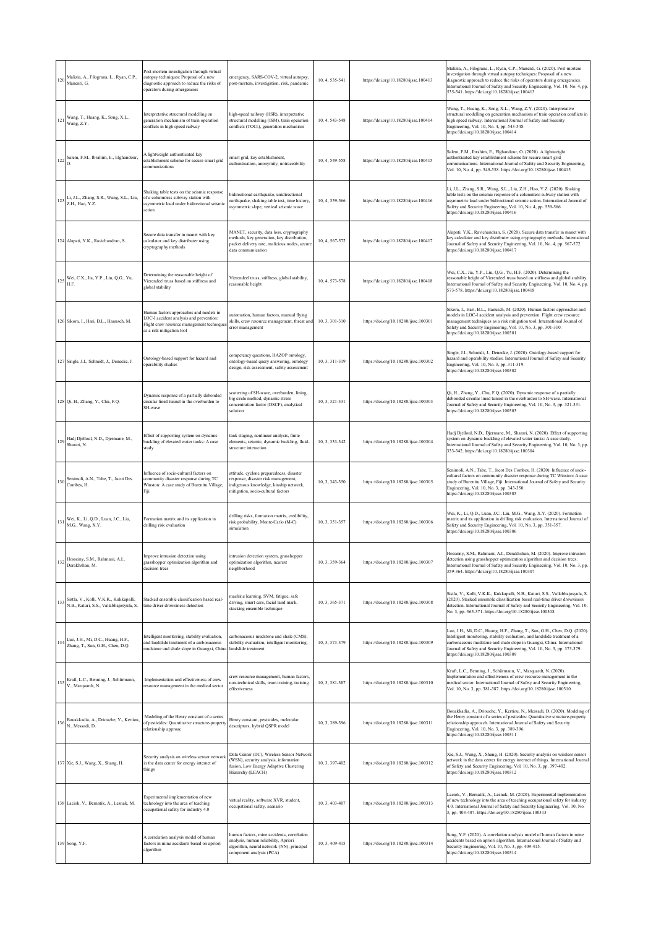| 120 | Malizia, A., Filograna, L., Ryan, C.P.,<br>Manenti, G.                            | Post-mortem investigation through virtual<br>autopsy techniques: Proposal of a new<br>diagnostic approach to reduce the risks of<br>operators during emergencies | emergency, SARS-COV-2, virtual autopsy,<br>post-mortem, investigation, risk, pandemic                                                                           | 10, 4, 535-541 | https://doi.org/10.18280/ijsse.100413 | Malizia, A., Filograna, L., Ryan, C.P., Manenti, G. (2020). Post-mortem<br>investigation through virtual autopsy techniques: Proposal of a new<br>diagnostic approach to reduce the risks of operators during emergencies.<br>International Journal of Safety and Security Engineering, Vol. 10, No. 4, pp.<br>535-541. https://doi.org/10.18280/ijsse.100413 |
|-----|-----------------------------------------------------------------------------------|------------------------------------------------------------------------------------------------------------------------------------------------------------------|-----------------------------------------------------------------------------------------------------------------------------------------------------------------|----------------|---------------------------------------|---------------------------------------------------------------------------------------------------------------------------------------------------------------------------------------------------------------------------------------------------------------------------------------------------------------------------------------------------------------|
| 121 | Wang, T., Huang, K., Song, X.L.,<br>Wang, Z.Y.                                    | Interpretative structural modelling on<br>generation mechanism of train operation<br>conflicts in high speed railway                                             | high-speed railway (HSR), interpretative<br>structural modelling (ISM), train operation<br>conflicts (TOCs), generation mechanism                               | 10, 4, 543-548 | https://doi.org/10.18280/ijsse.100414 | Wang, T., Huang, K., Song, X.L., Wang, Z.Y. (2020). Interpretative<br>structural modelling on generation mechanism of train operation conflicts in<br>high speed railway. International Journal of Safety and Security<br>Engineering, Vol. 10, No. 4, pp. 543-548.<br>https://doi.org/10.18280/ijsse.100414                                                  |
| 122 | Salem, F.M., Ibrahim, E., Elghandour,                                             | A lightweight authenticated key<br>establishment scheme for secure smart grid<br>communications                                                                  | smart grid, key establishment,<br>authentication, anonymity, untraceability                                                                                     | 10, 4, 549-558 | https://doi.org/10.18280/ijsse.100415 | Salem, F.M., Ibrahim, E., Elghandour, O. (2020). A lightweight<br>authenticated key establishment scheme for secure smart grid<br>communications. International Journal of Safety and Security Engineering,<br>Vol. 10, No. 4, pp. 549-558. https://doi.org/10.18280/ijsse.100415                                                                             |
| 123 | Li, J.L., Zhang, S.R., Wang, S.L., Liu,<br>Z.H., Hao, Y.Z.                        | Shaking table tests on the seismic response<br>of a columnless subway station with<br>asymmetric load under bidirectional seismic<br>action                      | pidirectional earthquake, unidirectional<br>earthquake, shaking table test, time history,<br>asymmetric slope, vertical seismic wave                            | 10, 4, 559-566 | https://doi.org/10.18280/ijsse.100416 | Li, J.L., Zhang, S.R., Wang, S.L., Liu, Z.H., Hao, Y.Z. (2020). Shaking<br>table tests on the seismic response of a columnless subway station with<br>asymmetric load under bidirectional seismic action. International Journal of<br>Safety and Security Engineering, Vol. 10, No. 4, pp. 559-566.<br>https://doi.org/10.18280/ijsse.100416                  |
|     | 124 Alapati, Y.K., Ravichandran, S.                                               | Secure data transfer in manet with key<br>calculator and key distributer using<br>cryptography methods                                                           | MANET, security, data loss, cryptography<br>methods, key generation, key distribution,<br>packet delivery rate, malicious nodes, secure<br>data communication   | 10, 4, 567-572 | https://doi.org/10.18280/ijsse.100417 | Alapati, Y.K., Ravichandran, S. (2020). Secure data transfer in manet with<br>key calculator and key distributer using cryptography methods. Internationa<br>Journal of Safety and Security Engineering, Vol. 10, No. 4, pp. 567-572.<br>https://doi.org/10.18280/ijsse.100417                                                                                |
| 125 | Wei, C.X., Jia, Y.P., Liu, Q.G., Yu,<br>H.F.                                      | Determining the reasonable height of<br>Vierendeel truss based on stiffness and<br>global stability                                                              | Vierendeel truss, stiffness, global stability,<br>reasonable height                                                                                             | 10, 4, 573-578 | https://doi.org/10.18280/ijsse.100418 | Wei, C.X., Jia, Y.P., Liu, Q.G., Yu, H.F. (2020). Determining the<br>reasonable height of Vierendeel truss based on stiffness and global stability.<br>International Journal of Safety and Security Engineering, Vol. 10, No. 4, pp.<br>573-578. https://doi.org/10.18280/ijsse.100418                                                                        |
|     | 126 Sikora, I., Hari, B.L., Hanusch, M.                                           | Human factors approaches and models in<br>LOC-I accident analysis and prevention:<br>Flight crew resource management techniques<br>as a risk mitigation tool     | automation, human factors, manual flying<br>skills, crew resource management, threat and<br>error management                                                    | 10.3.301-310   | https://doi.org/10.18280/ijsse.100301 | Sikora, I., Hari, B.L., Hanusch, M. (2020). Human factors approaches and<br>models in LOC-I accident analysis and prevention: Flight crew resource<br>management techniques as a risk mitigation tool. International Journal of<br>Safety and Security Engineering, Vol. 10, No. 3, pp. 301-310.<br>https://doi.org/10.18280/ijsse.100301                     |
|     | 127 Single, J.I., Schmidt, J., Denecke, J.                                        | Ontology-based support for hazard and<br>operability studies                                                                                                     | competency questions, HAZOP ontology,<br>ontology-based query answering, ontology<br>design, risk assessment, safety assessment                                 | 10, 3, 311-319 | https://doi.org/10.18280/ijsse.100302 | Single, J.I., Schmidt, J., Denecke, J. (2020). Ontology-based support for<br>hazard and operability studies. International Journal of Safety and Security<br>Engineering, Vol. 10, No. 3, pp. 311-319.<br>https://doi.org/10.18280/ijsse.100302                                                                                                               |
|     | 128 Qi, H., Zhang, Y., Chu, F.Q.                                                  | Dynamic response of a partially debonded<br>circular lined tunnel in the overburden to<br>SH-wave                                                                | scattering of SH-wave, overburden, lining,<br>big circle method, dynamic stress<br>concentration factor (DSCF), analytical<br>solution                          | 10, 3, 321-331 | https://doi.org/10.18280/ijsse.100303 | Qi, H., Zhang, Y., Chu, F.Q. (2020). Dynamic response of a partially<br>debonded circular lined tunnel in the overburden to SH-wave. International<br>Journal of Safety and Security Engineering, Vol. 10, No. 3, pp. 321-331.<br>https://doi.org/10.18280/ijsse.100303                                                                                       |
| 129 | Hadj Djelloul, N.D., Djermane, M.,<br>Sharari, N.                                 | Effect of supporting system on dynamic<br>buckling of elevated water tanks: A case<br>study                                                                      | tank staging, nonlinear analysis, finite<br>elements, seismic, dynamic buckling, fluid-<br>structure interaction                                                | 10, 3, 333-342 | https://doi.org/10.18280/ijsse.100304 | Hadj Djelloul, N.D., Djermane, M., Sharari, N. (2020). Effect of supporting<br>system on dynamic buckling of elevated water tanks: A case study.<br>International Journal of Safety and Security Engineering, Vol. 10, No. 3, pp.<br>333-342. https://doi.org/10.18280/ijsse.100304                                                                           |
| 130 | Senimoli, A.N., Tabe, T., Jacot Des<br>Combes, H.                                 | Influence of socio-cultural factors on<br>community disaster response during TC<br>Winston: A case study of Burenitu Village,<br>Fiji                            | attitude, cyclone preparedness, disaster<br>response, disaster risk management,<br>indigenous knowledge, kinship network,<br>mitigation, socio-cultural factors | 10, 3, 343-350 | https://doi.org/10.18280/ijsse.100305 | Senimoli, A.N., Tabe, T., Jacot Des Combes, H. (2020). Influence of socio-<br>cultural factors on community disaster response during TC Winston: A case<br>study of Burenitu Village, Fiji. International Journal of Safety and Security<br>Engineering, Vol. 10, No. 3, pp. 343-350.<br>https://doi.org/10.18280/ijsse.100305                                |
| 131 | Wei, K., Li, Q.D., Luan, J.C., Liu,<br>M.G., Wang, X.Y.                           | Formation matrix and its application in<br>drilling risk evaluation                                                                                              | drilling risks, formation matrix, credibility,<br>risk probability, Monte-Carlo (M-C)<br>simulation                                                             | 10, 3, 351-357 | https://doi.org/10.18280/ijsse.100306 | Wei, K., Li, Q.D., Luan, J.C., Liu, M.G., Wang, X.Y. (2020). Formation<br>matrix and its application in drilling risk evaluation. International Journal of<br>Safety and Security Engineering, Vol. 10, No. 3, pp. 351-357.<br>https://doi.org/10.18280/ijsse.100306                                                                                          |
| 132 | Hosseiny, S.M., Rahmani, A.I.,<br>Derakhshan, M.                                  | Improve intrusion detection using<br>grasshopper optimization algorithm and<br>decision trees                                                                    | intrusion detection system, grasshopper<br>optimization algorithm, nearest<br>neighborhood                                                                      | 10, 3, 359-364 | https://doi.org/10.18280/ijsse.100307 | Hosseiny, S.M., Rahmani, A.I., Derakhshan, M. (2020). Improve intrusion<br>detection using grasshopper optimization algorithm and decision trees.<br>International Journal of Safety and Security Engineering, Vol. 10, No. 3, pp.<br>359-364. https://doi.org/10.18280/ijsse.100307                                                                          |
| 133 | Sistla, V., Kolli, V.K.K., Kukkapalli,<br>N.B., Katuri, S.S., Vallabhajosyula, S. | Stacked ensemble classification based real-<br>time driver drowsiness detection                                                                                  | machine learning, SVM, fatigue, safe<br>driving, smart cars, facial land mark,<br>stacking ensemble technique                                                   | 10, 3, 365-371 | https://doi.org/10.18280/ijsse.100308 | Sistla, V., Kolli, V.K.K., Kukkapalli, N.B., Katuri, S.S., Vallabhajosyula, S.<br>(2020). Stacked ensemble classification based real-time driver drowsiness<br>detection. International Journal of Safety and Security Engineering, Vol. 10,<br>No. 3, pp. 365-371. https://doi.org/10.18280/ijsse.100308                                                     |
| 134 | Luo, J.H., Mi, D.C., Huang, H.F.,<br>Zhang, T., Sun, G.H., Chen, D.Q.             | Intelligent monitoring, stability evaluation,<br>and landslide treatment of a carbonaceous<br>mudstone and shale slope in Guangxi, China                         | carbonaceous mudstone and shale (CMS),<br>stability evaluation, intelligent monitoring,<br>landslide treatment                                                  | 10, 3, 373-379 | https://doi.org/10.18280/ijsse.100309 | Luo, J.H., Mi, D.C., Huang, H.F., Zhang, T., Sun, G.H., Chen, D.Q. (2020).<br>Intelligent monitoring, stability evaluation, and landslide treatment of a<br>carbonaceous mudstone and shale slope in Guangxi, China. International<br>Journal of Safety and Security Engineering, Vol. 10, No. 3, pp. 373-379.<br>https://doi.org/10.18280/ijsse.100309       |
| 135 | Kraft, L.C., Benning, J., Schürmann,<br>V., Marquardt, N.                         | Implementation and effectiveness of crew<br>resource management in the medical sector                                                                            | crew resource management, human factors,<br>non-technical skills, team training, training<br>effectiveness                                                      | 10, 3, 381-387 | https://doi.org/10.18280/ijsse.100310 | Kraft, L.C., Benning, J., Schürmann, V., Marquardt, N. (2020).<br>Implementation and effectiveness of crew resource management in the<br>medical sector. International Journal of Safety and Security Engineering,<br>Vol. 10, No. 3, pp. 381-387. https://doi.org/10.18280/ijsse.100310                                                                      |
| 136 | Bouakkadia, A., Driouche, Y., Kertiou,<br>N., Messadi, D.                         | Modeling of the Henry constant of a series<br>of pesticides: Quantitative structure-property<br>relationship approac                                             | Henry constant, pesticides, molecular<br>descriptors, hybrid QSPR model                                                                                         | 10, 3, 389-396 | https://doi.org/10.18280/ijsse.100311 | Bouakkadia, A., Driouche, Y., Kertiou, N., Messadi, D. (2020). Modeling of<br>the Henry constant of a series of pesticides: Quantitative structure-property<br>relationship approach. International Journal of Safety and Security<br>Engineering, Vol. 10, No. 3, pp. 389-396.<br>https://doi.org/10.18280/ijsse.100311                                      |
|     | 137 Xie, S.J., Wang, X., Shang, H.                                                | Security analysis on wireless sensor network<br>in the data center for energy internet of<br>things                                                              | Data Center (DC), Wireless Sensor Network<br>(WSN), security analysis, information<br>fusion, Low Energy Adaptive Clustering<br>Hierarchy (LEACH)               | 10, 3, 397-402 | https://doi.org/10.18280/ijsse.100312 | Xie, S.J., Wang, X., Shang, H. (2020). Security analysis on wireless sensor<br>network in the data center for energy internet of things. International Journal<br>of Safety and Security Engineering, Vol. 10, No. 3, pp. 397-402.<br>https://doi.org/10.18280/ijsse.100312                                                                                   |
|     | 138 Laciok, V., Bernatik, A., Lesnak, M.                                          | Experimental implementation of new<br>technology into the area of teaching<br>occupational safety for industry 4.0                                               | virtual reality, software XVR, student,<br>occupational safety, scenario                                                                                        | 10, 3, 403-407 | https://doi.org/10.18280/ijsse.100313 | Laciok, V., Bernatik, A., Lesnak, M. (2020). Experimental implementation<br>of new technology into the area of teaching occupational safety for industry<br>4.0. International Journal of Safety and Security Engineering, Vol. 10, No.<br>3, pp. 403-407. https://doi.org/10.18280/ijsse.100313                                                              |
|     | 139 Song, Y.F.                                                                    | A correlation analysis model of human<br>factors in mine accidents based on apriori<br>algorithm                                                                 | human factors, mine accidents, correlation<br>analysis, human reliability, Apriori<br>ilgorithm, neural network (NN), principal<br>component analysis (PCA)     | 10, 3, 409-415 | https://doi.org/10.18280/ijsse.100314 | Song, Y.F. (2020). A correlation analysis model of human factors in mine<br>accidents based on apriori algorithm. International Journal of Safety and<br>Security Engineering, Vol. 10, No. 3, pp. 409-415.<br>https://doi.org/10.18280/ijsse.100314                                                                                                          |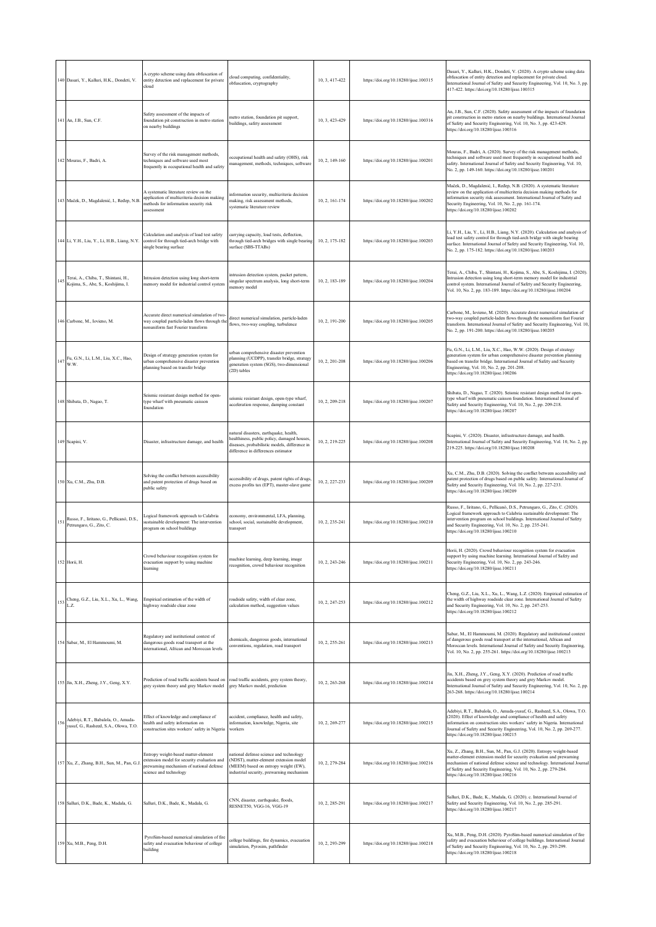|     | 140 Dasari, Y., Kalluri, H.K., Dondeti, V.                                   | A crypto scheme using data obfuscation of<br>entity detection and replacement for private<br>cloud                                                       | cloud computing, confidentiality,<br>obfuscation, cryptography                                                                                                                | 10, 3, 417-422 | https://doi.org/10.18280/ijsse.100315 | Dasari, Y., Kalluri, H.K., Dondeti, V. (2020). A crypto scheme using data<br>obfuscation of entity detection and replacement for private cloud.<br>International Journal of Safety and Security Engineering, Vol. 10, No. 3, pp.<br>417-422. https://doi.org/10.18280/ijsse.100315                                                              |
|-----|------------------------------------------------------------------------------|----------------------------------------------------------------------------------------------------------------------------------------------------------|-------------------------------------------------------------------------------------------------------------------------------------------------------------------------------|----------------|---------------------------------------|-------------------------------------------------------------------------------------------------------------------------------------------------------------------------------------------------------------------------------------------------------------------------------------------------------------------------------------------------|
|     | 141 An, J.B., Sun, C.F.                                                      | Safety assessment of the impacts of<br>foundation pit construction in metro station<br>on nearby buildings                                               | netro station, foundation pit support,<br>buildings, safety assessment                                                                                                        | 10, 3, 423-429 | https://doi.org/10.18280/ijsse.100316 | An, J.B., Sun, C.F. (2020). Safety assessment of the impacts of foundation<br>pit construction in metro station on nearby buildings. International Journal<br>of Safety and Security Engineering, Vol. 10, No. 3, pp. 423-429.<br>https://doi.org/10.18280/ijsse.100316                                                                         |
|     | 142 Mouras, F., Badri, A.                                                    | Survey of the risk management methods,<br>techniques and software used most<br>frequently in occupational health and safety                              | occupational health and safety (OHS), risk<br>management, methods, techniques, software                                                                                       | 10, 2, 149-160 | https://doi.org/10.18280/ijsse.100201 | Mouras, F., Badri, A. (2020). Survey of the risk management methods,<br>techniques and software used most frequently in occupational health and<br>safety. International Journal of Safety and Security Engineering, Vol. 10,<br>No. 2, pp. 149-160. https://doi.org/10.18280/ijsse.100201                                                      |
|     | 143 Maček, D., Magdalenić, I., Ređep, N.B.                                   | A systematic literature review on the<br>application of multicriteria decision making<br>methods for information security risk<br>assessment             | nformation security, multicriteria decision<br>naking, risk assessment methods,<br>systematic literature review                                                               | 10, 2, 161-174 | https://doi.org/10.18280/ijsse.100202 | Maček, D., Magdalenić, I., Ređep, N.B. (2020). A systematic literature<br>review on the application of multicriteria decision making methods for<br>information security risk assessment. International Journal of Safety and<br>Security Engineering, Vol. 10, No. 2, pp. 161-174.<br>https://doi.org/10.18280/ijsse.100202                    |
|     | 144 Li, Y.H., Liu, Y., Li, H.B., Liang, N.Y.                                 | Calculation and analysis of load test safety<br>control for through tied-arch bridge with<br>single bearing surface                                      | carrying capacity, load tests, deflection,<br>through tied-arch bridges with single bearing<br>surface (SBS-TTABs)                                                            | 10, 2, 175-182 | https://doi.org/10.18280/ijsse.100203 | Li, Y.H., Liu, Y., Li, H.B., Liang, N.Y. (2020). Calculation and analysis of<br>load test safety control for through tied-arch bridge with single bearing<br>surface. International Journal of Safety and Security Engineering, Vol. 10,<br>No. 2, pp. 175-182. https://doi.org/10.18280/ijsse.100203                                           |
| 145 | Terai, A., Chiba, T., Shintani, H.,<br>Kojima, S., Abe, S., Koshijima, I.    | Intrusion detection using long short-term<br>memory model for industrial control system                                                                  | intrusion detection system, packet pattern,<br>singular spectrum analysis, long short-term<br>memory model                                                                    | 10.2.183-189   | https://doi.org/10.18280/ijsse.100204 | Terai, A., Chiba, T., Shintani, H., Kojima, S., Abe, S., Koshijima, I. (2020).<br>Intrusion detection using long short-term memory model for industrial<br>control system. International Journal of Safety and Security Engineering,<br>Vol. 10, No. 2, pp. 183-189. https://doi.org/10.18280/ijsse.100204                                      |
|     | 146 Carbone, M., Iovieno, M.                                                 | Accurate direct numerical simulation of two-<br>way coupled particle-laden flows through th<br>nonuniform fast Fourier transform                         | direct numerical simulation, particle-laden<br>flows, two-way coupling, turbulence                                                                                            | 10, 2, 191-200 | https://doi.org/10.18280/ijsse.100205 | Carbone, M., Iovieno, M. (2020). Accurate direct numerical simulation of<br>two-way coupled particle-laden flows through the nonuniform fast Fourier<br>transform. International Journal of Safety and Security Engineering, Vol. 10,<br>No. 2, pp. 191-200. https://doi.org/10.18280/ijsse.100205                                              |
|     | 147 Fu, G.N., Li, L.M., Liu, X.C., Hao,<br>W.W.                              | Design of strategy generation system for<br>urban comprehensive disaster prevention<br>planning based on transfer bridge                                 | arban comprehensive disaster prevention<br>planning (UCDPP), transfer bridge, strategy<br>generation system (SGS), two-dimensional<br>(2D) tables                             | 10, 2, 201-208 | https://doi.org/10.18280/ijsse.100206 | Fu, G.N., Li, L.M., Liu, X.C., Hao, W.W. (2020). Design of strategy<br>generation system for urban comprehensive disaster prevention planning<br>based on transfer bridge. International Journal of Safety and Security<br>Engineering, Vol. 10, No. 2, pp. 201-208.<br>https://doi.org/10.18280/ijsse.100206                                   |
|     | 148 Shibata, D., Nagao, T.                                                   | Seismic resistant design method for open-<br>type wharf with pneumatic caisson<br>foundation                                                             | seismic resistant design, open-type wharf,<br>acceleration response, damping constant                                                                                         | 10, 2, 209-218 | https://doi.org/10.18280/ijsse.100207 | Shibata, D., Nagao, T. (2020). Seismic resistant design method for open-<br>type wharf with pneumatic caisson foundation. International Journal of<br>Safety and Security Engineering, Vol. 10, No. 2, pp. 209-218.<br>https://doi.org/10.18280/ijsse.100207                                                                                    |
|     | 149 Scapini, V.                                                              | Disaster, infrastructure damage, and health                                                                                                              | natural disasters, earthquake, health,<br>healthiness, public policy, damaged houses,<br>diseases, probabilistic models, difference in<br>difference in differences estimator | 10, 2, 219-225 | https://doi.org/10.18280/ijsse.100208 | Scapini, V. (2020). Disaster, infrastructure damage, and health.<br>International Journal of Safety and Security Engineering, Vol. 10, No. 2, pp.<br>219-225. https://doi.org/10.18280/ijsse.100208                                                                                                                                             |
|     | 150 Xu, C.M., Zhu, D.B.                                                      | Solving the conflict between accessibility<br>and patent protection of drugs based on<br>public safety                                                   | accessibility of drugs, patent rights of drugs,<br>excess profits tax (EPT), master-slave game                                                                                | 10, 2, 227-233 | https://doi.org/10.18280/ijsse.100209 | Xu, C.M., Zhu, D.B. (2020). Solving the conflict between accessibility and<br>patent protection of drugs based on public safety. International Journal of<br>Safety and Security Engineering, Vol. 10, No. 2, pp. 227-233.<br>https://doi.org/10.18280/ijsse.100209                                                                             |
| 151 | Russo, F., Iiritano, G., Pellicanò, D.S.,<br>Petrungaro, G., Zito, C.        | ogical framework approach to Calabria<br>sustainable development: The intervention<br>program on school buildings                                        | economy, environmental, LFA, planning,<br>school, social, sustainable development,<br>transport                                                                               | 10, 2, 235-241 | https://doi.org/10.18280/ijsse.100210 | Russo, F., Iiritano, G., Pellicanò, D.S., Petrungaro, G., Zito, C. (2020).<br>Logical framework approach to Calabria sustainable development: The<br>intervention program on school buildings. International Journal of Safety<br>and Security Engineering, Vol. 10, No. 2, pp. 235-241.<br>https://doi.org/10.18280/ijsse.100210               |
|     | 152 Horii, H.                                                                | Crowd behaviour recognition system for<br>evacuation support by using machine<br>learning                                                                | machine learning, deep learning, image<br>recognition, crowd behaviour recognition                                                                                            | 10, 2, 243-246 | https://doi.org/10.18280/ijsse.100211 | Horii, H. (2020). Crowd behaviour recognition system for evacuation<br>support by using machine learning. International Journal of Safety and<br>Security Engineering, Vol. 10, No. 2, pp. 243-246.<br>https://doi.org/10.18280/ijsse.100211                                                                                                    |
| 153 | Cheng, G.Z., Liu, X.L., Xu, L., Wang,<br>L.Z.                                | Empirical estimation of the width of<br>highway roadside clear zone                                                                                      | roadside safety, width of clear zone,<br>calculation method, suggestion values                                                                                                | 10, 2, 247-253 | https://doi.org/10.18280/ijsse.100212 | Cheng, G.Z., Liu, X.L., Xu, L., Wang, L.Z. (2020). Empirical estimation of<br>the width of highway roadside clear zone. International Journal of Safety<br>and Security Engineering, Vol. 10, No. 2, pp. 247-253.<br>https://doi.org/10.18280/ijsse.100212                                                                                      |
|     | 154 Sabar, M., El Hammoumi, M.                                               | Regulatory and institutional context of<br>dangerous goods road transport at the<br>international, African and Moroccan levels                           | chemicals, dangerous goods, international<br>conventions, regulation, road transport                                                                                          | 10, 2, 255-261 | https://doi.org/10.18280/ijsse.100213 | Sabar, M., El Hammoumi, M. (2020). Regulatory and institutional context<br>of dangerous goods road transport at the international, African and<br>Moroccan levels. International Journal of Safety and Security Engineering,<br>Vol. 10, No. 2, pp. 255-261. https://doi.org/10.18280/ijsse.100213                                              |
|     | 155 Jin, X.H., Zheng, J.Y., Geng, X.Y.                                       | Prediction of road traffic accidents based on<br>grey system theory and grey Markov model                                                                | road traffic accidents, grey system theory,<br>grey Markov model, prediction                                                                                                  | 10, 2, 263-268 | https://doi.org/10.18280/ijsse.100214 | Jin, X.H., Zheng, J.Y., Geng, X.Y. (2020). Prediction of road traffic<br>accidents based on grey system theory and grey Markov model.<br>International Journal of Safety and Security Engineering, Vol. 10, No. 2, pp.<br>263-268. https://doi.org/10.18280/ijsse.100214                                                                        |
| 156 | Adebiyi, R.T., Babalola, O., Amuda-<br>yusuf, G., Rasheed, S.A., Olowa, T.O. | Effect of knowledge and compliance of<br>health and safety information on<br>construction sites workers' safety in Nigeria                               | accident, compliance, health and safety,<br>information, knowledge, Nigeria, site<br>workers                                                                                  | 10, 2, 269-277 | https://doi.org/10.18280/ijsse.100215 | Adebiyi, R.T., Babalola, O., Amuda-yusuf, G., Rasheed, S.A., Olowa, T.O.<br>(2020). Effect of knowledge and compliance of health and safety<br>information on construction sites workers' safety in Nigeria. International<br>Journal of Safety and Security Engineering, Vol. 10, No. 2, pp. 269-277.<br>https://doi.org/10.18280/ijsse.100215 |
|     | 157 Xu, Z., Zhang, B.H., Sun, M., Pan, G.J.                                  | Entropy weight-based matter-element<br>extension model for security evaluation and<br>prewarning mechanism of national defense<br>science and technology | national defense science and technology<br>(NDST), matter-element extension model<br>(MEEM) based on entropy weight (EW),<br>industrial security, prewarning mechanism        | 10, 2, 279-284 | https://doi.org/10.18280/ijsse.100216 | Xu, Z., Zhang, B.H., Sun, M., Pan, G.J. (2020). Entropy weight-based<br>matter-element extension model for security evaluation and prewarning<br>mechanism of national defense science and technology. International Journal<br>of Safety and Security Engineering, Vol. 10, No. 2, pp. 279-284.<br>https://doi.org/10.18280/ijsse.100216       |
|     | 158 Salluri, D.K., Bade, K., Madala, G.                                      | Salluri, D.K., Bade, K., Madala, G.                                                                                                                      | CNN, disaster, earthquake, floods,<br>RESNET50, VGG-16, VGG-19                                                                                                                | 10, 2, 285-291 | https://doi.org/10.18280/ijsse.100217 | Salluri, D.K., Bade, K., Madala, G. (2020). c. International Journal of<br>Safety and Security Engineering, Vol. 10, No. 2, pp. 285-291.<br>https://doi.org/10.18280/ijsse.100217                                                                                                                                                               |
|     | 159 Xu, M.B., Peng, D.H.                                                     | PyroSim-based numerical simulation of fire<br>safety and evacuation behaviour of college<br>building                                                     | college buildings, fire dynamics, evacuation<br>simulation, Pyrosim, pathfinder                                                                                               | 10, 2, 293-299 | https://doi.org/10.18280/ijsse.100218 | Xu, M.B., Peng, D.H. (2020). PyroSim-based numerical simulation of fire<br>safety and evacuation behaviour of college buildings. International Journal<br>of Safety and Security Engineering, Vol. 10, No. 2, pp. 293-299.<br>https://doi.org/10.18280/ijsse.100218                                                                             |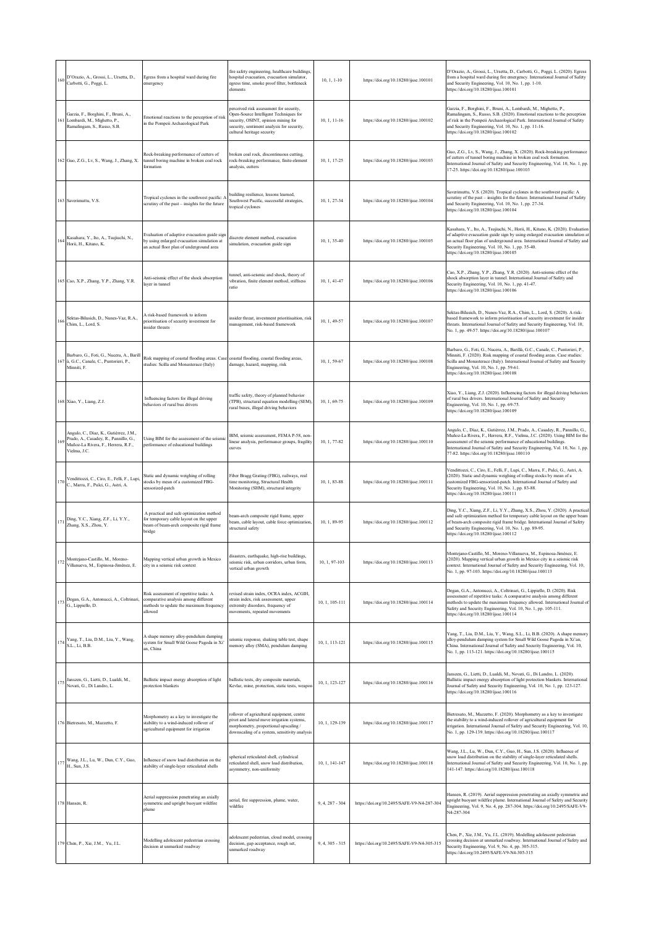| 160 | D'Orazio, A., Grossi, L., Ursetta, D.,<br>Carbotti, G., Poggi, L.                                                                      | Egress from a hospital ward during fire<br>emergency                                                                                     | fire safety engineering, healthcare buildings,<br>hospital evacuation, evacuation simulator,<br>egress time, smoke proof filter, bottleneck<br>elements                                              | $10, 1, 1-10$     | https://doi.org/10.18280/ijsse.100101      | D'Orazio, A., Grossi, L., Ursetta, D., Carbotti, G., Poggi, L. (2020). Egress<br>from a hospital ward during fire emergency. International Journal of Safety<br>and Security Engineering, Vol. 10, No. 1, pp. 1-10.<br>https://doi.org/10.18280/ijsse.100101                                                                                                  |
|-----|----------------------------------------------------------------------------------------------------------------------------------------|------------------------------------------------------------------------------------------------------------------------------------------|------------------------------------------------------------------------------------------------------------------------------------------------------------------------------------------------------|-------------------|--------------------------------------------|---------------------------------------------------------------------------------------------------------------------------------------------------------------------------------------------------------------------------------------------------------------------------------------------------------------------------------------------------------------|
| 161 | Garzia, F., Borghini, F., Bruni, A.,<br>Lombardi, M., Mighetto, P.,<br>Ramalingam, S., Russo, S.B.                                     | Emotional reactions to the perception of risk<br>in the Pompeii Archaeological Park                                                      | perceived risk assessment for security,<br>Open-Source Intelligent Techniques for<br>security, OSINT, opinion mining for<br>security, sentiment analysis for security,<br>cultural heritage security | $10, 1, 11-16$    | https://doi.org/10.18280/ijsse.100102      | Garzia, F., Borghini, F., Bruni, A., Lombardi, M., Mighetto, P.,<br>Ramalingam, S., Russo, S.B. (2020). Emotional reactions to the perception<br>of risk in the Pompeii Archaeological Park. International Journal of Safety<br>and Security Engineering, Vol. 10, No. 1, pp. 11-16.<br>https://doi.org/10.18280/ijsse.100102                                 |
|     | 162 Guo, Z.G., Lv, S., Wang, J., Zhang, X.                                                                                             | Rock-breaking performance of cutters of<br>tunnel boring machine in broken coal rock<br>formation                                        | broken coal rock, discontinuous cutting,<br>rock-breaking performance, finite-element<br>analysis, cutters                                                                                           | $10, 1, 17-25$    | https://doi.org/10.18280/ijsse.100103      | Guo, Z.G., Lv, S., Wang, J., Zhang, X. (2020). Rock-breaking performance<br>of cutters of tunnel boring machine in broken coal rock formation.<br>International Journal of Safety and Security Engineering, Vol. 10, No. 1, pp.<br>17-25. https://doi.org/10.18280/ijsse.100103                                                                               |
|     | 163 Saverimuttu, V.S.                                                                                                                  | Tropical cyclones in the southwest pacific: A<br>scrutiny of the past - insights for the future                                          | building resilience, lessons learned,<br>Southwest Pacific, successful strategies,<br>tropical cyclones                                                                                              | 10, 1, 27-34      | https://doi.org/10.18280/ijsse.100104      | Saverimuttu, V.S. (2020). Tropical cyclones in the southwest pacific: A<br>scrutiny of the past - insights for the future. International Journal of Safety<br>and Security Engineering, Vol. 10, No. 1, pp. 27-34.<br>https://doi.org/10.18280/ijsse.100104                                                                                                   |
| 164 | Kasahara, Y., Ito, A., Tsujiuchi, N.,<br>Horii, H., Kitano, K.                                                                         | Evaluation of adaptive evacuation guide sign<br>by using enlarged evacuation simulation at<br>an actual floor plan of underground area   | discrete element method, evacuation<br>simulation, evacuation guide sign                                                                                                                             | 10, 1, 35-40      | https://doi.org/10.18280/ijsse.100105      | Kasahara, Y., Ito, A., Tsujiuchi, N., Horii, H., Kitano, K. (2020). Evaluation<br>of adaptive evacuation guide sign by using enlarged evacuation simulation at<br>an actual floor plan of underground area. International Journal of Safety and<br>Security Engineering, Vol. 10, No. 1, pp. 35-40.<br>https://doi.org/10.18280/ijsse.100105                  |
|     | 165 Cao, X.P., Zhang, Y.P., Zhang, Y.R.                                                                                                | Anti-seismic effect of the shock absorption<br>laver in tunnel                                                                           | tunnel, anti-seismic and shock, theory of<br>vibration, finite element method, stiffness<br>ratio                                                                                                    | $10, 1, 41-47$    | https://doi.org/10.18280/ijsse.100106      | Cao, X.P., Zhang, Y.P., Zhang, Y.R. (2020). Anti-seismic effect of the<br>shock absorption layer in tunnel. International Journal of Safety and<br>Security Engineering, Vol. 10, No. 1, pp. 41-47.<br>https://doi.org/10.18280/ijsse.100106                                                                                                                  |
| 166 | Sektas-Bilusich, D., Nunes-Vaz, R.A.,<br>Chim, L., Lord, S.                                                                            | A risk-based framework to inform<br>prioritisation of security investment for<br>insider threats                                         | insider threat, investment prioritisaition, risk<br>management, risk-based framework                                                                                                                 | 10, 1, 49-57      | https://doi.org/10.18280/ijsse.100107      | Sektas-Bilusich, D., Nunes-Vaz, R.A., Chim, L., Lord, S. (2020). A risk-<br>based framework to inform prioritisation of security investment for insider<br>threats. International Journal of Safety and Security Engineering, Vol. 10,<br>No. 1, pp. 49-57. https://doi.org/10.18280/ijsse.100107                                                             |
| 167 | Barbaro, G., Foti, G., Nucera, A., Barill<br>à, G.C., Canale, C., Puntorieri, P.,<br>Minniti, F.                                       | Risk mapping of coastal flooding areas. Case<br>studies: Scilla and Monasterace (Italy)                                                  | coastal flooding, coastal flooding areas,<br>damage, hazard, mapping, risk                                                                                                                           | 10, 1, 59-67      | https://doi.org/10.18280/ijsse.100108      | Barbaro, G., Foti, G., Nucera, A., Barillà, G.C., Canale, C., Puntorieri, P.,<br>Minniti, F. (2020). Risk mapping of coastal flooding areas. Case studies:<br>Scilla and Monasterace (Italy). International Journal of Safety and Security<br>Engineering, Vol. 10, No. 1, pp. 59-61.<br>https://doi.org/10.18280/ijsse.100108                                |
|     | 168 Xiao, Y., Liang, Z.J.                                                                                                              | Influencing factors for illegal driving<br>behaviors of rural bus drivers                                                                | traffic safety, theory of planned behavior<br>(TPB), structural equation modelling (SEM),<br>rural buses, illegal driving behaviors                                                                  | 10, 1, 69-75      | https://doi.org/10.18280/ijsse.100109      | Xiao, Y., Liang, Z.J. (2020). Influencing factors for illegal driving behaviors<br>of rural bus drivers. International Journal of Safety and Security<br>Engineering, Vol. 10, No. 1, pp. 69-75.<br>https://doi.org/10.18280/ijsse.100109                                                                                                                     |
| 169 | Angulo, C., Díaz, K., Gutiérrez, J.M.,<br>Prado, A., Casadey, R., Pannillo, G.,<br>Muñoz-La Rivera, F., Herrera, R.F.,<br>Vielma, J.C. | Using BIM for the assessment of the seismi<br>performance of educational buildings                                                       | BIM, seismic assessment, FEMA P-58, non-<br>linear analysis, performance groups, fragility<br>curves                                                                                                 | 10, 1, 77-82      | https://doi.org/10.18280/ijsse.100110      | Angulo, C., Díaz, K., Gutiérrez, J.M., Prado, A., Casadey, R., Pannillo, G.,<br>Muñoz-La Rivera, F., Herrera, R.F., Vielma, J.C. (2020). Using BIM for the<br>assessment of the seismic performance of educational buildings<br>International Journal of Safety and Security Engineering, Vol. 10, No. 1, pp.<br>77-82. https://doi.org/10.18280/ijsse.100110 |
| 170 | Vendittozzi, C., Ciro, E., Felli, F., Lupi,<br>C., Marra, F., Pulci, G., Astri, A.                                                     | Static and dynamic weighing of rolling<br>stocks by mean of a customized FBG-<br>sensorized-patch                                        | Fiber Bragg Grating (FBG), railways, real<br>time monitoring, Structural Health<br>Monitoring (SHM), structural integrity                                                                            | 10, 1, 83-88      | https://doi.org/10.18280/ijsse.100111      | Vendittozzi, C., Ciro, E., Felli, F., Lupi, C., Marra, F., Pulci, G., Astri, A.<br>(2020). Static and dynamic weighing of rolling stocks by mean of a<br>customized FBG-sensorized-patch. International Journal of Safety and<br>Security Engineering, Vol. 10, No. 1, pp. 83-88.<br>https://doi.org/10.18280/ijsse.100111                                    |
| 171 | Ding, Y.C., Xiang, Z.F., Li, Y.Y.,<br>Zhang, X.S., Zhou, Y.                                                                            | A practical and safe optimization method<br>for temporary cable layout on the upper<br>beam of beam-arch composite rigid frame<br>bridge | eam-arch composite rigid frame, upper<br>beam, cable layout, cable force optimization,<br>structural safety                                                                                          | 10, 1, 89-95      | https://doi.org/10.18280/ijsse.100112      | Ding, Y.C., Xiang, Z.F., Li, Y.Y., Zhang, X.S., Zhou, Y. (2020). A practical<br>and safe optimization method for temporary cable layout on the upper beam<br>of beam-arch composite rigid frame bridge. International Journal of Safety<br>and Security Engineering, Vol. 10, No. 1, pp. 89-95.<br>https://doi.org/10.18280/ijsse.100112                      |
| 172 | Montejano-Castillo, M., Moreno-<br>Villanueva, M., Espinosa-Jiménez, E.                                                                | Mapping vertical urban growth in Mexico<br>city in a seismic risk context                                                                | disasters, earthquake, high-rise buildings,<br>seismic risk, urban corridors, urban form,<br>vertical urban growth                                                                                   | 10, 1, 97-103     | https://doi.org/10.18280/ijsse.100113      | Aontejano-Castillo, M., Moreno-Villanueva, M., Espinosa-Jiménez, E.<br>(2020). Mapping vertical urban growth in Mexico city in a seismic risk<br>context. International Journal of Safety and Security Engineering, Vol. 10,<br>No. 1, pp. 97-103. https://doi.org/10.18280/ijsse.100113                                                                      |
| 173 | Degan, G.A., Antonucci, A., Coltrinari,<br>G., Lippiello, D.                                                                           | Risk assessment of repetitive tasks: A<br>comparative analysis among different<br>methods to update the maximum frequency<br>allowed     | revised strain index, OCRA index, ACGIH,<br>strain index, risk assessment, upper<br>extremity disorders, frequency of<br>movements, repeated movements                                               | 10, 1, 105-111    | https://doi.org/10.18280/ijsse.100114      | Degan, G.A., Antonucci, A., Coltrinari, G., Lippiello, D. (2020). Risk<br>assessment of repetitive tasks: A comparative analysis among different<br>methods to update the maximum frequency allowed. International Journal of<br>Safety and Security Engineering, Vol. 10, No. 1, pp. 105-111.<br>https://doi.org/10.18280/ijsse.100114                       |
| 174 | Yang, T., Liu, D.M., Liu, Y., Wang,<br>S.L., Li, B.B.                                                                                  | A shape memory alloy-pendulum damping<br>system for Small Wild Goose Pagoda in Xi'<br>an, China                                          | eismic response, shaking table test, shape<br>memory alloy (SMA), pendulum damping                                                                                                                   | 10, 1, 113-121    | https://doi.org/10.18280/ijsse.100115      | Yang, T., Liu, D.M., Liu, Y., Wang, S.L., Li, B.B. (2020). A shape memory<br>alloy-pendulum damping system for Small Wild Goose Pagoda in Xi'an,<br>China. International Journal of Safety and Security Engineering, Vol. 10,<br>No. 1, pp. 113-121. https://doi.org/10.18280/ijsse.100115                                                                    |
| 175 | Janszen, G., Lietti, D., Lualdi, M.,<br>Novati, G., Di Landro, L.                                                                      | Ballistic impact energy absorption of light<br>protection blankets                                                                       | ballistic tests, dry composite materials,<br>Kevlar, mine, protection, static tests, weapon                                                                                                          | 10, 1, 123-127    | https://doi.org/10.18280/ijsse.100116      | Janszen, G., Lietti, D., Lualdi, M., Novati, G., Di Landro, L. (2020).<br>Ballistic impact energy absorption of light protection blankets. International<br>Journal of Safety and Security Engineering, Vol. 10, No. 1, pp. 123-127.<br>https://doi.org/10.18280/ijsse.100116                                                                                 |
|     | 176 Bietresato, M., Mazzetto, F.                                                                                                       | Morphometry as a key to investigate the<br>stability to a wind-induced rollover of<br>agricultural equipment for irrigation              | rollover of agricultural equipment, centre<br>pivot and lateral move irrigation systems,<br>morphometry, proportional upscaling /<br>downscaling of a system, sensitivity analysis                   | 10, 1, 129-139    | https://doi.org/10.18280/ijsse.100117      | Bietresato, M., Mazzetto, F. (2020). Morphometry as a key to investigate<br>the stability to a wind-induced rollover of agricultural equipment for<br>irrigation. International Journal of Safety and Security Engineering, Vol. 10,<br>No. 1, pp. 129-139. https://doi.org/10.18280/ijsse.100117                                                             |
| 177 | Wang, J.L., Lu, W., Dun, C.Y., Guo,<br>H., Sun, J.S.                                                                                   | Influence of snow load distribution on the<br>stability of single-layer reticulated shells                                               | spherical reticulated shell, cylindrical<br>reticulated shell, snow load distribution,<br>asymmetry, non-uniformity                                                                                  | 10, 1, 141-147    | https://doi.org/10.18280/ijsse.100118      | Wang, J.L., Lu, W., Dun, C.Y., Guo, H., Sun, J.S. (2020). Influence of<br>snow load distribution on the stability of single-layer reticulated shells.<br>International Journal of Safety and Security Engineering, Vol. 10, No. 1, pp.<br>141-147. https://doi.org/10.18280/ijsse.100118                                                                      |
|     | 178 Hansen, R.                                                                                                                         | Aerial suppression penetrating an axially<br>symmetric and upright buoyant wildfire<br>plume                                             | aerial, fire suppression, plume, water,<br>wildfire                                                                                                                                                  | 9, 4, 287 - 304   | https://doi.org/10.2495/SAFE-V9-N4-287-304 | Hansen, R. (2019). Aerial suppression penetrating an axially symmetric and<br>upright buoyant wildfire plume. International Journal of Safety and Security<br>Engineering, Vol. 9, No. 4, pp. 287-304. https://doi.org/10.2495/SAFE-V9-<br>N4-287-304                                                                                                         |
|     | 179 Chen, P., Xie, J.M., Yu, J.L.                                                                                                      | Modelling adolescent pedestrian crossing<br>decision at unmarked roadway                                                                 | adolescent pedestrian, cloud model, crossing<br>decision, gap acceptance, rough set,<br>unmarked roadway                                                                                             | $9, 4, 305 - 315$ | https://doi.org/10.2495/SAFE-V9-N4-305-315 | Chen, P., Xie, J.M., Yu, J.L. (2019). Modelling adolescent pedestrian<br>crossing decision at unmarked roadway. International Journal of Safety and<br>Security Engineering, Vol. 9, No. 4, pp. 305-315.<br>https://doi.org/10.2495/SAFE-V9-N4-305-315                                                                                                        |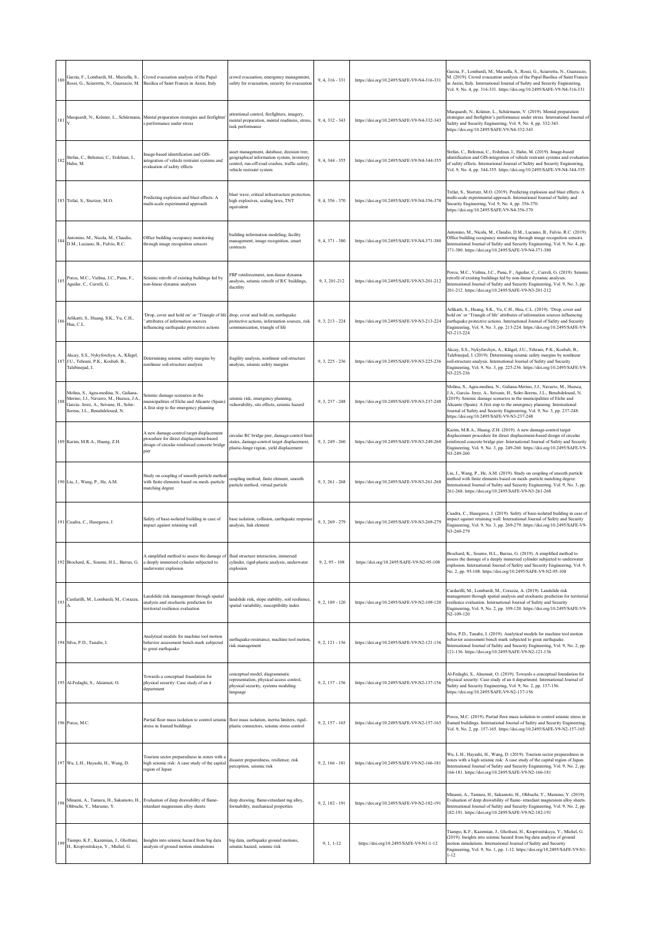| 180 | Rossi, G., Sciarretta, N., Guarascio, M. Basilica of Saint Francis in Assisi, Italy                                                                           | Garzia, F., Lombardi, M., Marsella, S., Crowd evacuation analysis of the Papal                                                                       | crowd evacuation, emergency management,<br>safety for evacuation, security for evacuation                                                                              | 9, 4, 316 - 331   | https://doi.org/10.2495/SAFE-V9-N4-316-331 | Garzia, F., Lombardi, M., Marsella, S., Rossi, G., Sciarretta, N., Guarascio,<br>M. (2019). Crowd evacuation analysis of the Papal Basilica of Saint Francis<br>in Assisi, Italy. International Journal of Safety and Security Engineering,<br>Vol. 9, No. 4, pp. 316-331. https://doi.org/10.2495/SAFE-V9-N4-316-331                                                                                                             |
|-----|---------------------------------------------------------------------------------------------------------------------------------------------------------------|------------------------------------------------------------------------------------------------------------------------------------------------------|------------------------------------------------------------------------------------------------------------------------------------------------------------------------|-------------------|--------------------------------------------|-----------------------------------------------------------------------------------------------------------------------------------------------------------------------------------------------------------------------------------------------------------------------------------------------------------------------------------------------------------------------------------------------------------------------------------|
| 181 |                                                                                                                                                               | Marquardt, N., Krämer, L., Schürmann, Mental preparation strategies and firefighter<br>s performance under stress                                    | attentional control, firefighters, imagery,<br>mental preparation, mental readiness, stress,<br>task performance                                                       | $9, 4, 332 - 343$ | https://doi.org/10.2495/SAFE-V9-N4-332-343 | Marquardt, N., Krämer, L., Schürmann, V. (2019). Mental preparation<br>strategies and firefighter's performance under stress. International Journal of<br>Safety and Security Engineering, Vol. 9, No. 4, pp. 332-343.<br>https://doi.org/10.2495/SAFE-V9-N4-332-343                                                                                                                                                              |
| 182 | Stefan, C., Beleznai, C., Erdelean, I.,<br>Hahn, M.                                                                                                           | Image-based identification and GIS-<br>integration of vehicle restraint systems and<br>evaluation of safety effects                                  | asset management, database, decision tree,<br>geographical information system, inventory<br>control, run-off-road crashes, traffic safety,<br>vehicle restraint system | 9, 4, 344 - 355   | https://doi.org/10.2495/SAFE-V9-N4-344-355 | Stefan, C., Beleznai, C., Erdelean, I., Hahn, M. (2019). Image-based<br>identification and GIS-integration of vehicle restraint systems and evaluation<br>of safety effects. International Journal of Safety and Security Engineering,<br>Vol. 9, No. 4, pp. 344-355. https://doi.org/10.2495/SAFE-V9-N4-344-355                                                                                                                  |
|     | 183 Trélat, S., Sturtzer, M.O.                                                                                                                                | Predicting explosion and blast effects: A<br>multi-scale experimental approach                                                                       | blast wave, critical infrastructure protection,<br>high explosives, scaling laws, TNT<br>equivalent                                                                    | 9, 4, 356 - 370   | https://doi.org/10.2495/SAFE-V9-N4-356-370 | Trélat, S., Sturtzer, M.O. (2019). Predicting explosion and blast effects: A<br>multi-scale experimental approach. International Journal of Safety and<br>Security Engineering, Vol. 9, No. 4, pp. 356-370.<br>https://doi.org/10.2495/SAFE-V9-N4-356-370                                                                                                                                                                         |
| 184 | Antonino, M., Nicola, M., Claudio,<br>D.M., Luciano, B., Fulvio, R.C.                                                                                         | Office building occupancy monitoring<br>through image recognition sensors                                                                            | building information modeling, facility<br>management, image recognition, smart<br>contracts                                                                           | 9, 4, 371 - 380   | https://doi.org/10.2495/SAFE-V9-N4-371-380 | Antonino, M., Nicola, M., Claudio, D.M., Luciano, B., Fulvio, R.C. (2019).<br>Office building occupancy monitoring through image recognition sensors.<br>International Journal of Safety and Security Engineering, Vol. 9, No. 4, pp.<br>371-380. https://doi.org/10.2495/SAFE-V9-N4-371-380                                                                                                                                      |
| 185 | Porcu, M.C., Vielma, J.C., Panu, F.,<br>Aguilar, C., Curreli, G.                                                                                              | Seismic retrofit of existing buildings led by<br>non-linear dynamic analyses                                                                         | FRP reinforcement, non-linear dynamic<br>analysis, seismic retrofit of R/C buildings,<br>ductility                                                                     | 9, 3, 201-212     | https://doi.org/10.2495/SAFE-V9-N3-201-212 | Porcu, M.C., Vielma, J.C., Panu, F., Aguilar, C., Curreli, G. (2019). Seismic<br>retrofit of existing buildings led by non-linear dynamic analyses.<br>International Journal of Safety and Security Engineering, Vol. 9, No. 3, pp.<br>201-212. https://doi.org/10.2495/SAFE-V9-N3-201-212                                                                                                                                        |
| 186 | Arlikatti, S., Huang, S.K., Yu, C.H.,<br>Hua, C.L.                                                                                                            | Drop, cover and hold on' or 'Triangle of life<br>attributes of information sources<br>influencing earthquake protective actions                      | drop, cover and hold on, earthquake<br>protective actions, information sources, risk<br>communication, triangle of life                                                | $9, 3, 213 - 224$ | https://doi.org/10.2495/SAFE-V9-N3-213-224 | Arlikatti, S., Huang, S.K., Yu, C.H., Hua, C.L. (2019). 'Drop, cover and<br>hold on' or 'Triangle of life' attributes of information sources influencing<br>earthquake protective actions. International Journal of Safety and Security<br>Engineering, Vol. 9, No. 3, pp. 213-224. https://doi.org/10.2495/SAFE-V9-<br>N3-213-224                                                                                                |
| 187 | Akcay, S.S., Nykyforchyn, A., Klügel,<br>J.U., Tehrani, P.K., Kosbab, B.,<br>Talebinejad, I.                                                                  | Determining seismic safety margins by<br>nonlinear soil-structure analysis                                                                           | fragility analysis, nonlinear soil-structure<br>analysis, seismic safety margins                                                                                       | $9, 3, 225 - 236$ | https://doi.org/10.2495/SAFE-V9-N3-225-236 | Akcay, S.S., Nykyforchyn, A., Klügel, J.U., Tehrani, P.K., Kosbab, B.,<br>Talebinejad, I. (2019). Determining seismic safety margins by nonlinear<br>soil-structure analysis. International Journal of Safety and Security<br>Engineering, Vol. 9, No. 3, pp. 225-236. https://doi.org/10.2495/SAFE-V9-<br>N3-225-236                                                                                                             |
| 18  | Molina, S., Agea-medina, N., Galiana-<br>Merino, J.J., Navarro, M., Huesca, J.A.<br>García- Jerez, A., Seivane, H., Soler-<br>llorens, J.L., Benabdeloued, N. | Seismic damage scenarios in the<br>municipalities of Elche and Alicante (Spain)<br>A first step to the emergency planning                            | seismic risk, emergency planning,<br>vulnerability, site effects, seismic hazard                                                                                       | $9.3.237 - 248$   | https://doi.org/10.2495/SAFE-V9-N3-237-248 | Molina, S., Agea-medina, N., Galiana-Merino, J.J., Navarro, M., Huesca,<br>J.A., García- Jerez, A., Seivane, H., Soler-Ilorens, J.L., Benabdeloued, N.<br>(2019). Seismic damage scenarios in the municipalities of Elche and<br>Alicante (Spain). A first step to the emergency planning. International<br>Journal of Safety and Security Engineering, Vol. 9, No. 3, pp. 237-248.<br>https://doi.org/10.2495/SAFE-V9-N3-237-248 |
|     | 189 Karim, M.R.A., Huang, Z.H.                                                                                                                                | A new damage-control target displacement<br>procedure for direct displacement-based<br>design of circular reinforced concrete bridge<br>pier         | circular RC bridge pier, damage-control limit<br>states, damage-control target displacement,<br>plastic-hinge region, yield displacement                               | $9, 3, 249 - 260$ | https://doi.org/10.2495/SAFE-V9-N3-249-260 | Karim, M.R.A., Huang, Z.H. (2019). A new damage-control target<br>displacement procedure for direct displacement-based design of circular<br>reinforced concrete bridge pier. International Journal of Safety and Security<br>Engineering, Vol. 9, No. 3, pp. 249-260. https://doi.org/10.2495/SAFE-V9-<br>N3-249-260                                                                                                             |
|     | 190 Liu, J., Wang, P., He, A.M.                                                                                                                               | Study on coupling of smooth particle method<br>with finite elements based on mesh-particle<br>matching degree                                        | coupling method, finite element, smooth<br>particle method, virtual particle                                                                                           | $9, 3, 261 - 268$ | https://doi.org/10.2495/SAFE-V9-N3-261-268 | Liu, J., Wang, P., He, A.M. (2019). Study on coupling of smooth particle<br>nethod with finite elements based on mesh-particle matching degree.<br>International Journal of Safety and Security Engineering, Vol. 9, No. 3, pp.<br>261-268. https://doi.org/10.2495/SAFE-V9-N3-261-268                                                                                                                                            |
|     | 191 Cuadra, C., Hasegawa, J.                                                                                                                                  | Safety of base-isolated building in case of<br>impact against retaining wall                                                                         | pase isolation, collision, earthquake response<br>analysis, link element                                                                                               | $9, 3, 269 - 279$ | https://doi.org/10.2495/SAFE-V9-N3-269-279 | Cuadra, C., Hasegawa, J. (2019). Safety of base-isolated building in case of<br>mpact against retaining wall. International Journal of Safety and Security<br>Engineering, Vol. 9, No. 3, pp. 269-279. https://doi.org/10.2495/SAFE-V9-<br>N3-269-279                                                                                                                                                                             |
|     | 192 Brochard, K., Sourne, H.L., Barras, G.                                                                                                                    | A simplified method to assess the damage of fluid structure interaction, immersed<br>a deeply immersed cylinder subjected to<br>underwater explosion | cylinder, rigid-plastic analysis, underwater<br>explosion                                                                                                              | $9, 2, 95 - 108$  | https://doi.org/10.2495/SAFE-V9-N2-95-108  | Brochard, K., Sourne, H.L., Barras, G. (2019). A simplified method to<br>assess the damage of a deeply immersed cylinder subjected to underwater<br>explosion. International Journal of Safety and Security Engineering, Vol. 9,<br>No. 2, pp. 95-108. https://doi.org/10.2495/SAFE-V9-N2-95-108                                                                                                                                  |
| 193 | Cardarilli, M., Lombardi, M., Corazza,                                                                                                                        | andslide risk management through spatial<br>analysis and stochastic prediction for<br>territorial resilience evaluation                              | landslide risk, slope stability, soil resilience,<br>spatial variability, susceptibility index                                                                         | $9, 2, 109 - 120$ | https://doi.org/10.2495/SAFE-V9-N2-109-120 | Cardarilli, M., Lombardi, M., Corazza, A. (2019). Landslide risk<br>management through spatial analysis and stochastic prediction for territorial<br>resilience evaluation. International Journal of Safety and Security<br>Engineering, Vol. 9, No. 2, pp. 109-120. https://doi.org/10.2495/SAFE-V9-<br>N2-109-120                                                                                                               |
|     | 194 Silva, P.D., Tanabe, I.                                                                                                                                   | Analytical models for machine tool motion<br>behavior assessment bench mark subjected<br>to great earthquake                                         | earthquake-resistance, machine tool motion,<br>risk management                                                                                                         | $9, 2, 121 - 136$ | https://doi.org/10.2495/SAFE-V9-N2-121-136 | Silva, P.D., Tanabe, I. (2019). Analytical models for machine tool motion<br>behavior assessment bench mark subjected to great earthquake.<br>International Journal of Safety and Security Engineering, Vol. 9, No. 2, pp.<br>121-136. https://doi.org/10.2495/SAFE-V9-N2-121-136                                                                                                                                                 |
|     | 195 Al-Fedaghi, S., Alsumait, O.                                                                                                                              | Towards a conceptual foundation for<br>physical security: Case study of an it<br>department                                                          | conceptual model, diagrammatic<br>representation, physical access control,<br>physical security, systems modeling<br>language                                          | $9, 2, 137 - 156$ | https://doi.org/10.2495/SAFE-V9-N2-137-156 | Al-Fedaghi, S., Alsumait, O. (2019). Towards a conceptual foundation for<br>physical security: Case study of an it department. International Journal of<br>Safety and Security Engineering, Vol. 9, No. 2, pp. 137-156.<br>https://doi.org/10.2495/SAFE-V9-N2-137-156                                                                                                                                                             |
|     | 196 Porcu, M.C.                                                                                                                                               | Partial floor mass isolation to control seismic floor mass isolation, inertia limiters, rigid-<br>stress in framed buildings                         | plastic connectors, seismic stress control                                                                                                                             | $9, 2, 157 - 165$ | https://doi.org/10.2495/SAFE-V9-N2-157-165 | Porcu, M.C. (2019). Partial floor mass isolation to control seismic stress in<br>framed buildings. International Journal of Safety and Security Engineering,<br>Vol. 9, No. 2, pp. 157-165. https://doi.org/10.2495/SAFE-V9-N2-157-165                                                                                                                                                                                            |
|     | 197 Wu, L.H., Hayashi, H., Wang, D.                                                                                                                           | Tourism sector preparedness in zones with a<br>high seismic risk: A case study of the capital<br>region of Japan                                     | disaster preparedness, resilience, risk<br>perception, seismic risk                                                                                                    | $9, 2, 166 - 181$ | https://doi.org/10.2495/SAFE-V9-N2-166-181 | Wu, L.H., Hayashi, H., Wang, D. (2019). Tourism sector preparedness in<br>zones with a high seismic risk: A case study of the capital region of Japan.<br>International Journal of Safety and Security Engineering, Vol. 9, No. 2, pp.<br>166-181. https://doi.org/10.2495/SAFE-V9-N2-166-181                                                                                                                                     |
| 198 | Ohbuchi, Y., Marumo, Y.                                                                                                                                       | Minami, A., Tamura, H., Sakamoto, H., Evaluation of deep drawability of flame-<br>retardant magnesium alloy sheets                                   | deep drawing, flame-retardant mg alloy,<br>formability, mechanical properties                                                                                          | $9, 2, 182 - 191$ | https://doi.org/10.2495/SAFE-V9-N2-182-191 | Minami, A., Tamura, H., Sakamoto, H., Ohbuchi, Y., Marumo, Y. (2019).<br>Evaluation of deep drawability of flame-retardant magnesium alloy sheets.<br>International Journal of Safety and Security Engineering, Vol. 9, No. 2, pp.<br>182-191. https://doi.org/10.2495/SAFE-V9-N2-182-191                                                                                                                                         |
| 19  | Tiampo, K.F., Kazemian, J., Ghofrani,<br>H., Kropivnitskaya, Y., Michel, G.                                                                                   | Insights into seismic hazard from big data<br>analysis of ground motion simulations                                                                  | vig data, earthquake ground motions,<br>seismic hazard, seismic risk                                                                                                   | 9, 1, 1-12        | https://doi.org/10.2495/SAFE-V9-N1-1-12    | Tiampo, K.F., Kazemian, J., Ghofrani, H., Kropivnitskaya, Y., Michel, G.<br>(2019). Insights into seismic hazard from big data analysis of ground<br>motion simulations. International Journal of Safety and Security<br>Engineering, Vol. 9, No. 1, pp. 1-12. https://doi.org/10.2495/SAFE-V9-N1-<br>$1 - 12$                                                                                                                    |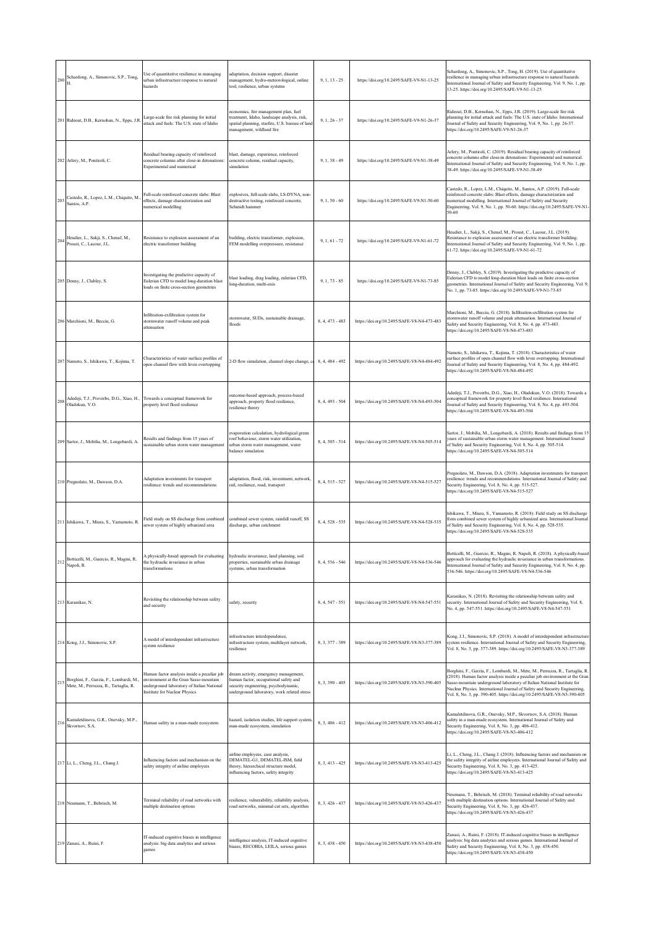| 200 | Schardong, A., Simonovic, S.P., Tong,<br>Н.                                      | Use of quantitative resilience in managing<br>urban infrastructure response to natural<br>hazards                                                                    | adaptation, decision support, disaster<br>management, hydro-meteorological, online<br>tool, resilience, urban systems                                                 | $9, 1, 13 - 25$ | https://doi.org/10.2495/SAFE-V9-N1-13-25   | Schardong, A., Simonovic, S.P., Tong, H. (2019). Use of quantitative<br>resilience in managing urban infrastructure response to natural hazards.<br>International Journal of Safety and Security Engineering, Vol. 9, No. 1, pp.<br>13-25. https://doi.org/10.2495/SAFE-V9-N1-13-25                                                                                                             |
|-----|----------------------------------------------------------------------------------|----------------------------------------------------------------------------------------------------------------------------------------------------------------------|-----------------------------------------------------------------------------------------------------------------------------------------------------------------------|-----------------|--------------------------------------------|-------------------------------------------------------------------------------------------------------------------------------------------------------------------------------------------------------------------------------------------------------------------------------------------------------------------------------------------------------------------------------------------------|
|     | 201 Rideout, D.B., Kernohan, N., Epps, J.R.                                      | Large-scale fire risk planning for initial<br>attack and fuels: The U.S. state of Idaho                                                                              | economics, fire management plan, fuel<br>treatment, Idaho, landscape analysis, risk,<br>spatial planning, starfire, U.S. bureau of land<br>management, wildland fire  | $9, 1, 26 - 37$ | https://doi.org/10.2495/SAFE-V9-N1-26-37   | Rideout, D.B., Kernohan, N., Epps, J.R. (2019). Large-scale fire risk<br>planning for initial attack and fuels: The U.S. state of Idaho. International<br>Journal of Safety and Security Engineering, Vol. 9, No. 1, pp. 26-37.<br>https://doi.org/10.2495/SAFE-V9-N1-26-37                                                                                                                     |
|     | 202 Arlery, M., Pontiroli, C.                                                    | Residual bearing capacity of reinforced<br>concrete columns after close-in detonations<br>Experimental and numerical                                                 | blast, damage, experience, reinforced<br>concrete column, residual capacity,<br>simulation                                                                            | $9, 1, 38 - 49$ | https://doi.org/10.2495/SAFE-V9-N1-38-49   | Arlery, M., Pontiroli, C. (2019). Residual bearing capacity of reinforced<br>concrete columns after close-in detonations: Experimental and numerical.<br>International Journal of Safety and Security Engineering, Vol. 9, No. 1, pp.<br>38-49. https://doi.org/10.2495/SAFE-V9-N1-38-49                                                                                                        |
| 203 | Castedo, R., Lopez, L.M., Chiquito, M.,<br>Santos, A.P.                          | Full-scale reinforced concrete slabs: Blast<br>effects, damage characterization and<br>numerical modelling                                                           | explosives, full-scale slabs, LS-DYNA, non-<br>destructive testing, reinforced concrete,<br>Schmidt hammer                                                            | $9, 1, 50 - 60$ | https://doi.org/10.2495/SAFE-V9-N1-50-60   | Castedo, R., Lopez, L.M., Chiquito, M., Santos, A.P. (2019). Full-scale<br>reinforced concrete slabs: Blast effects, damage characterization and<br>numerical modelling. International Journal of Safety and Security<br>Engineering, Vol. 9, No. 1, pp. 50-60. https://doi.org/10.2495/SAFE-V9-N1-<br>50-60                                                                                    |
| 204 | Heudier, L., Sakji, S., Chenaf, M.,<br>Proust, C., Lacour, J.L.                  | Resistance to explosion assessment of an<br>electric transformer building                                                                                            | building, electric transformer, explosion,<br>FEM modelling overpressure, resistance                                                                                  | $9, 1, 61 - 72$ | https://doi.org/10.2495/SAFE-V9-N1-61-72   | Heudier, L., Sakji, S., Chenaf, M., Proust, C., Lacour, J.L. (2019).<br>Resistance to explosion assessment of an electric transformer building.<br>International Journal of Safety and Security Engineering, Vol. 9, No. 1, pp.<br>61-72. https://doi.org/10.2495/SAFE-V9-N1-61-72                                                                                                              |
|     | 205 Denny, J., Clubley, S.                                                       | Investigating the predictive capacity of<br>Eulerian CFD to model long-duration blast<br>loads on finite cross-section geometries                                    | blast loading, drag loading, eulerian CFD,<br>long-duration, multi-axis                                                                                               | $9.1.73 - 85$   | https://doi.org/10.2495/SAFE-V9-N1-73-85   | Denny, J., Clubley, S. (2019). Investigating the predictive capacity of<br>Eulerian CFD to model long-duration blast loads on finite cross-section<br>geometries. International Journal of Safety and Security Engineering, Vol. 9,<br>No. 1, pp. 73-85. https://doi.org/10.2495/SAFE-V9-N1-73-85                                                                                               |
|     | 206 Marchioni, M., Becciu, G.                                                    | Infiltration-exfiltration system for<br>stormwater runoff volume and peak<br>attenuation                                                                             | stormwater, SUDs, sustainable drainage,<br>floods                                                                                                                     | 8, 4, 473 - 483 | https://doi.org/10.2495/SAFE-V8-N4-473-483 | Marchioni, M., Becciu, G. (2018). Infiltration-exfiltration system for<br>stormwater runoff volume and peak attenuation. International Journal of<br>Safety and Security Engineering, Vol. 8, No. 4, pp. 473-483.<br>https://doi.org/10.2495/SAFE-V8-N4-473-483                                                                                                                                 |
|     | 207 Namoto, S., Ishikawa, T., Kojima, T.                                         | Characteristics of water surface profiles of<br>open channel flow with levee overtopping                                                                             | 2-D flow simulation, channel slope change, c                                                                                                                          | 8.4.484 - 492   | https://doi.org/10.2495/SAFE-V8-N4-484-492 | Namoto, S., Ishikawa, T., Kojima, T. (2018). Characteristics of water<br>surface profiles of open channel flow with levee overtopping. International<br>Journal of Safety and Security Engineering, Vol. 8, No. 4, pp. 484-492.<br>https://doi.org/10.2495/SAFE-V8-N4-484-492                                                                                                                   |
| 208 | Adedeji, T.J., Proverbs, D.G., Xiao, H.,<br>Oladokun, V.O.                       | Towards a conceptual framework for<br>property level flood resilience                                                                                                | outcome-based approach, process-based<br>approach, property flood resilience,<br>resilience theory                                                                    | 8.4.493 - 504   | https://doi.org/10.2495/SAFE-V8-N4-493-504 | Adedeji, T.J., Proverbs, D.G., Xiao, H., Oladokun, V.O. (2018). Towards a<br>conceptual framework for property level flood resilience. International<br>Journal of Safety and Security Engineering, Vol. 8, No. 4, pp. 493-504.<br>https://doi.org/10.2495/SAFE-V8-N4-493-504                                                                                                                   |
|     | 209 Sartor, J., Mobilia, M., Longobardi, A.                                      | Results and findings from 15 years of<br>sustainable urban storm water management                                                                                    | evaporation calculation, hydrological green<br>roof behaviour, storm water utilization,<br>urban storm water management, water<br>balance simulation                  | 8, 4, 505 - 514 | https://doi.org/10.2495/SAFE-V8-N4-505-514 | Sartor, J., Mobilia, M., Longobardi, A. (2018). Results and findings from 15<br>years of sustainable urban storm water management. International Journal<br>of Safety and Security Engineering, Vol. 8, No. 4, pp. 505-514.<br>https://doi.org/10.2495/SAFE-V8-N4-505-514                                                                                                                       |
|     | 210 Pregnolato, M., Dawson, D.A.                                                 | Adaptation investments for transport<br>resilience: trends and recommendations                                                                                       | adaptation, flood, risk, investment, network,<br>rail, resilience, road, transport                                                                                    | 8, 4, 515 - 527 | https://doi.org/10.2495/SAFE-V8-N4-515-527 | Pregnolato, M., Dawson, D.A. (2018). Adaptation investments for transport<br>resilience: trends and recommendations. International Journal of Safety and<br>Security Engineering, Vol. 8, No. 4, pp. 515-527.<br>https://doi.org/10.2495/SAFE-V8-N4-515-527                                                                                                                                     |
|     | 211 Ishikawa, T., Miura, S., Yamamoto, R.                                        | Field study on SS discharge from combined<br>sewer system of highly urbanized area                                                                                   | combined sewer system, rainfall runoff, SS<br>discharge, urban catchment                                                                                              | 8, 4, 528 - 535 | https://doi.org/10.2495/SAFE-V8-N4-528-535 | Ishikawa, T., Miura, S., Yamamoto, R. (2018). Field study on SS discharge<br>from combined sewer system of highly urbanized area. International Journal<br>of Safety and Security Engineering, Vol. 8, No. 4, pp. 528-535.<br>https://doi.org/10.2495/SAFE-V8-N4-528-535                                                                                                                        |
| 212 | Botticelli, M., Guercio, R., Magini, R.<br>Napoli, R.                            | A physically-based approach for evaluating<br>the hydraulic invariance in urban<br>transformations                                                                   | hydraulic invariance, land planning, soil<br>properties, sustainable urban drainage<br>systems, urban transformation                                                  | 8, 4, 536 - 546 | https://doi.org/10.2495/SAFE-V8-N4-536-546 | Botticelli, M., Guercio, R., Magini, R. Napoli, R. (2018). A physically-based<br>approach for evaluating the hydraulic invariance in urban transformations.<br>International Journal of Safety and Security Engineering, Vol. 8, No. 4, pp.<br>536-546. https://doi.org/10.2495/SAFE-V8-N4-536-546                                                                                              |
|     | 213 Karanikas, N.                                                                | Revisiting the relationship between safety<br>and security                                                                                                           | safety, security                                                                                                                                                      | 8, 4, 547 - 551 | https://doi.org/10.2495/SAFE-V8-N4-547-551 | Karanikas, N. (2018). Revisiting the relationship between safety and<br>security. International Journal of Safety and Security Engineering, Vol. 8,<br>No. 4, pp. 547-551. https://doi.org/10.2495/SAFE-V8-N4-547-551                                                                                                                                                                           |
|     | 214 Kong, J.J., Simonovic, S.P.                                                  | A model of interdependent infrastructure<br>system resilience                                                                                                        | infrastructure interdependence,<br>infrastructure system, multilayer network,<br>resilience                                                                           | 8, 3, 377 - 389 | https://doi.org/10.2495/SAFE-V8-N3-377-389 | Kong, J.J., Simonovic, S.P. (2018). A model of interdependent infrastructure<br>system resilience. International Journal of Safety and Security Engineering,<br>Vol. 8, No. 3, pp. 377-389. https://doi.org/10.2495/SAFE-V8-N3-377-389                                                                                                                                                          |
| 215 | Borghini, F., Garzia, F., Lombardi, M.,<br>Mete, M., Perruzza, R., Tartaglia, R. | Human factor analysis inside a peculiar job<br>environment at the Gran Sasso mountain<br>underground laboratory of Italian National<br>Institute for Nuclear Physics | dream activity, emergency management,<br>human factor, occupational safety and<br>security engineering, psychodynamic,<br>underground laboratory, work related stress | 8, 3, 390 - 405 | https://doi.org/10.2495/SAFE-V8-N3-390-405 | Borghini, F., Garzia, F., Lombardi, M., Mete, M., Perruzza, R., Tartaglia, R.<br>(2018). Human factor analysis inside a peculiar job environment at the Gran<br>Sasso mountain underground laboratory of Italian National Institute for<br>Nuclear Physics. International Journal of Safety and Security Engineering,<br>Vol. 8, No. 3, pp. 390-405. https://doi.org/10.2495/SAFE-V8-N3-390-405 |
| 216 | Kamaletdinova, G.R., Onevsky, M.P.,<br>Skvortsov, S.A.                           | Human safety in a man-made ecosystem                                                                                                                                 | hazard, isolation studies, life support system,<br>man-made ecosystem, simulation                                                                                     | 8, 3, 406 - 412 | https://doi.org/10.2495/SAFE-V8-N3-406-412 | Kamaletdinova, G.R., Onevsky, M.P., Skvortsov, S.A. (2018). Human<br>safety in a man-made ecosystem. International Journal of Safety and<br>Security Engineering, Vol. 8, No. 3, pp. 406-412.<br>https://doi.org/10.2495/SAFE-V8-N3-406-412                                                                                                                                                     |
|     | 217 Li, L., Cheng, J.L., Chang J.                                                | Influencing factors and mechanism on the<br>safety integrity of airline employees                                                                                    | airline employees, case analysis,<br>DEMATEL-G1, DEMATEL-ISM, field<br>theory, hierarchical structure model,<br>influencing factors, safety integrity                 | 8, 3, 413 - 425 | https://doi.org/10.2495/SAFE-V8-N3-413-425 | Li, L., Cheng, J.L., Chang J. (2018). Influencing factors and mechanism on<br>the safety integrity of airline employees. International Journal of Safety and<br>Security Engineering, Vol. 8, No. 3, pp. 413-425.<br>https://doi.org/10.2495/SAFE-V8-N3-413-425                                                                                                                                 |
|     | 218 Neumann, T., Behrisch, M.                                                    | Terminal reliability of road networks with<br>multiple destination options                                                                                           | resilience, vulnerability, reliability analysis,<br>road networks, minimal cut sets, algorithm                                                                        | 8, 3, 426 - 437 | https://doi.org/10.2495/SAFE-V8-N3-426-437 | Neumann, T., Behrisch, M. (2018). Terminal reliability of road networks<br>with multiple destination options. International Journal of Safety and<br>Security Engineering, Vol. 8, No. 3, pp. 426-437.<br>https://doi.org/10.2495/SAFE-V8-N3-426-437                                                                                                                                            |
|     | 219 Zanasi, A., Ruini, F.                                                        | IT-induced cognitive biases in intelligence<br>analysis: big data analytics and serious<br>games                                                                     | ntelligence analysis, IT-induced cognitive<br>biases, RECOBIA, LEILA, serious games                                                                                   | 8, 3, 438 - 450 | https://doi.org/10.2495/SAFE-V8-N3-438-450 | Zanasi, A., Ruini, F. (2018). IT-induced cognitive biases in intelligence<br>analysis: big data analytics and serious games. International Journal of<br>Safety and Security Engineering, Vol. 8, No. 3, pp. 438-450.<br>https://doi.org/10.2495/SAFE-V8-N3-438-450                                                                                                                             |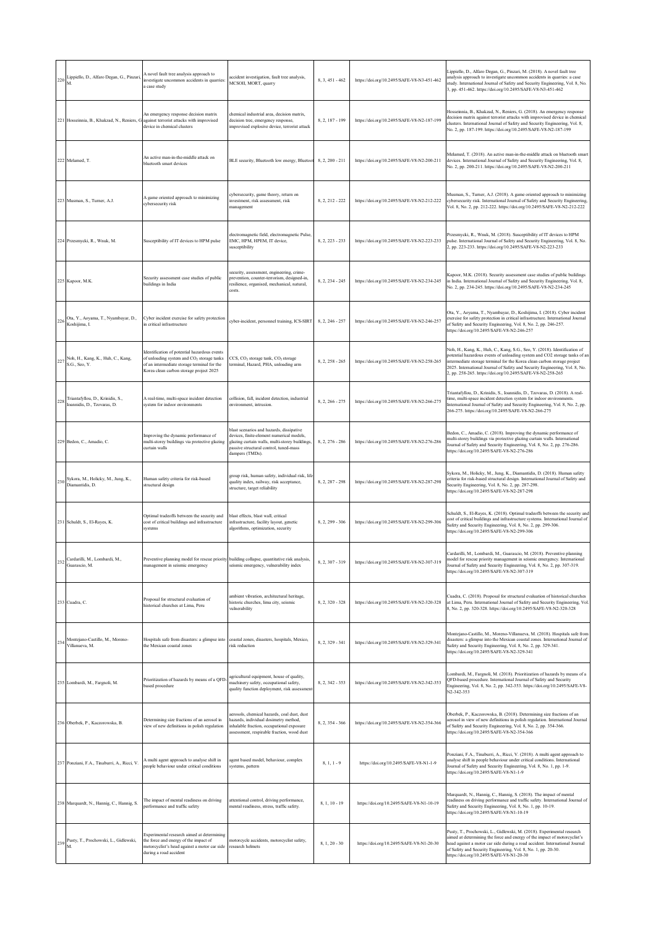| 220 | Lippiello, D., Alfaro Degan, G., Pinzari,<br>M.                 | A novel fault tree analysis approach to<br>investigate uncommon accidents in quarries:<br>a case study                                                                                          | accident investigation, fault tree analysis,<br>MCSOII, MORT, quarry                                                                                                                                 | 8, 3, 451 - 462   | https://doi.org/10.2495/SAFE-V8-N3-451-462 | Lippiello, D., Alfaro Degan, G., Pinzari, M. (2018). A novel fault tree<br>analysis approach to investigate uncommon accidents in quarries: a case<br>study. International Journal of Safety and Security Engineering, Vol. 8, No.<br>3, pp. 451-462. https://doi.org/10.2495/SAFE-V8-N3-451-462                                                                                |
|-----|-----------------------------------------------------------------|-------------------------------------------------------------------------------------------------------------------------------------------------------------------------------------------------|------------------------------------------------------------------------------------------------------------------------------------------------------------------------------------------------------|-------------------|--------------------------------------------|---------------------------------------------------------------------------------------------------------------------------------------------------------------------------------------------------------------------------------------------------------------------------------------------------------------------------------------------------------------------------------|
|     | 221 Hosseinnia, B., Khakzad, N., Reniers, G                     | An emergency response decision matrix<br>against terrorist attacks with improvised<br>device in chemical clusters                                                                               | chemical industrial area, decision matrix,<br>decision tree, emergency response,<br>improvised explosive device, terrorist attack                                                                    | 8, 2, 187 - 199   | https://doi.org/10.2495/SAFE-V8-N2-187-199 | Hosseinnia, B., Khakzad, N., Reniers, G. (2018). An emergency response<br>decision matrix against terrorist attacks with improvised device in chemical<br>clusters. International Journal of Safety and Security Engineering, Vol. 8,<br>No. 2, pp. 187-199. https://doi.org/10.2495/SAFE-V8-N2-187-199                                                                         |
|     | 222 Melamed, T.                                                 | An active man-in-the-middle attack on<br>bluetooth smart devices                                                                                                                                | BLE security, Bluetooth low energy, Bluetoot                                                                                                                                                         | $8, 2, 200 - 211$ | https://doi.org/10.2495/SAFE-V8-N2-200-211 | Melamed, T. (2018). An active man-in-the-middle attack on bluetooth smart<br>devices. International Journal of Safety and Security Engineering, Vol. 8,<br>No. 2, pp. 200-211. https://doi.org/10.2495/SAFE-V8-N2-200-211                                                                                                                                                       |
|     | 223 Musman, S., Turner, A.J.                                    | A game oriented approach to minimizing<br>cybersecurity risk                                                                                                                                    | cybersecurity, game theory, return on<br>investment, risk assessment, risk<br>management                                                                                                             | 8, 2, 212 - 222   | https://doi.org/10.2495/SAFE-V8-N2-212-222 | Musman, S., Turner, A.J. (2018). A game oriented approach to minimizing<br>cybersecurity risk. International Journal of Safety and Security Engineering,<br>Vol. 8, No. 2, pp. 212-222. https://doi.org/10.2495/SAFE-V8-N2-212-222                                                                                                                                              |
|     | 224 Przesmycki, R., Wnuk, M.                                    | Susceptibility of IT devices to HPM pulse                                                                                                                                                       | electromagnetic field, electromagnetic Pulse,<br>EMC, HPM, HPEM, IT device,<br>susceptibility                                                                                                        | 8, 2, 223 - 233   | https://doi.org/10.2495/SAFE-V8-N2-223-233 | Przesmycki, R., Wnuk, M. (2018). Susceptibility of IT devices to HPM<br>pulse. International Journal of Safety and Security Engineering, Vol. 8, No.<br>2, pp. 223-233. https://doi.org/10.2495/SAFE-V8-N2-223-233                                                                                                                                                              |
|     | 225 Kapoor, M.K.                                                | Security assessment case studies of public<br>buildings in India                                                                                                                                | security, assessment, engineering, crime-<br>prevention, counter-terrorism, designed-in,<br>resilience, organised, mechanical, natural,<br>costs.                                                    | 8, 2, 234 - 245   | https://doi.org/10.2495/SAFE-V8-N2-234-245 | Kapoor, M.K. (2018). Security assessment case studies of public buildings<br>in India. International Journal of Safety and Security Engineering, Vol. 8,<br>No. 2, pp. 234-245. https://doi.org/10.2495/SAFE-V8-N2-234-245                                                                                                                                                      |
| 226 | Ota, Y., Aoyama, T., Nyambayar, D.,<br>Koshiiima. I.            | Cyber incident exercise for safety protection<br>in critical infrastructure                                                                                                                     | cyber-incident, personnel training, ICS-SIRT                                                                                                                                                         | 8.2.246 - 257     | https://doi.org/10.2495/SAFE-V8-N2-246-257 | Ota, Y., Aoyama, T., Nyambayar, D., Koshijima, I. (2018). Cyber incident<br>exercise for safety protection in critical infrastructure. International Journal<br>of Safety and Security Engineering, Vol. 8, No. 2, pp. 246-257.<br>https://doi.org/10.2495/SAFE-V8-N2-246-257                                                                                                   |
| 227 | Noh, H., Kang, K., Huh, C., Kang,<br>S.G., Seo, Y.              | Identification of potential hazardous events<br>of unloading system and CO <sub>2</sub> storage tanks<br>of an intermediate storage terminal for the<br>Korea clean carbon storage project 2025 | CCS, CO <sub>2</sub> storage tank, CO <sub>2</sub> storage<br>terminal, Hazard, PHA, unloading arm                                                                                                   | $8, 2, 258 - 265$ | https://doi.org/10.2495/SAFE-V8-N2-258-265 | Noh, H., Kang, K., Huh, C., Kang, S.G., Seo, Y. (2018). Identification of<br>potential hazardous events of unloading system and CO2 storage tanks of ar<br>ntermediate storage terminal for the Korea clean carbon storage project<br>2025. International Journal of Safety and Security Engineering, Vol. 8, No.<br>2, pp. 258-265. https://doi.org/10.2495/SAFE-V8-N2-258-265 |
| 22  | Triantafyllou, D., Krinidis, S.,<br>Ioannidis, D., Tzovaras, D. | A real-time, multi-space incident detection<br>system for indoor environments                                                                                                                   | collision, fall, incident detection, industrial<br>environment, intrusion                                                                                                                            | 8, 2, 266 - 275   | https://doi.org/10.2495/SAFE-V8-N2-266-275 | Triantafyllou, D., Krinidis, S., Ioannidis, D., Tzovaras, D. (2018). A real-<br>time, multi-space incident detection system for indoor environments.<br>International Journal of Safety and Security Engineering, Vol. 8, No. 2, pp.<br>266-275. https://doi.org/10.2495/SAFE-V8-N2-266-275                                                                                     |
|     | 229 Bedon, C., Amadio, C.                                       | Improving the dynamic performance of<br>multi-storey buildings via protective glazing<br>curtain walls                                                                                          | blast scenarios and hazards, dissipative<br>devices, finite-element numerical models,<br>glazing curtain walls, multi-storey buildings,<br>passive structural control, tuned-mass<br>dampers (TMDs). | 8, 2, 276 - 286   | https://doi.org/10.2495/SAFE-V8-N2-276-286 | Bedon, C., Amadio, C. (2018). Improving the dynamic performance of<br>multi-storey buildings via protective glazing curtain walls. International<br>Journal of Safety and Security Engineering, Vol. 8, No. 2, pp. 276-286.<br>https://doi.org/10.2495/SAFE-V8-N2-276-286                                                                                                       |
| 230 | Sykora, M., Holicky, M., Jung, K.,<br>Diamantidis, D.           | Human safety criteria for risk-based<br>structural design                                                                                                                                       | group risk, human safety, individual risk, life<br>quality index, railway, risk acceptance,<br>structure, target reliability                                                                         | 8, 2, 287 - 298   | https://doi.org/10.2495/SAFE-V8-N2-287-298 | Sykora, M., Holicky, M., Jung, K., Diamantidis, D. (2018). Human safety<br>criteria for risk-based structural design. International Journal of Safety and<br>Security Engineering, Vol. 8, No. 2, pp. 287-298.<br>https://doi.org/10.2495/SAFE-V8-N2-287-298                                                                                                                    |
|     | 231 Schuldt, S., El-Rayes, K.                                   | Optimal tradeoffs between the security and<br>cost of critical buildings and infrastructure<br>systems                                                                                          | blast effects, blast wall, critical<br>infrastructure, facility layout, genetic<br>algorithms, optimization, security                                                                                | 8, 2, 299 - 306   | https://doi.org/10.2495/SAFE-V8-N2-299-306 | Schuldt, S., El-Rayes, K. (2018). Optimal tradeoffs between the security and<br>cost of critical buildings and infrastructure systems. International Journal of<br>Safety and Security Engineering, Vol. 8, No. 2, pp. 299-306.<br>https://doi.org/10.2495/SAFE-V8-N2-299-306                                                                                                   |
| 232 | Cardarilli, M., Lombardi, M.,<br>Guarascio, M.                  | Preventive planning model for rescue priority building collapse, quantitative risk analysis,<br>management in seismic emergency                                                                 | seismic emergency, vulnerability index                                                                                                                                                               | 8, 2, 307 - 319   | https://doi.org/10.2495/SAFE-V8-N2-307-319 | ardarilli, M., Lombardi, M., Guarascio, M. (2018). Preventive planning<br>model for rescue priority management in seismic emergency. International<br>Journal of Safety and Security Engineering, Vol. 8, No. 2, pp. 307-319.<br>https://doi.org/10.2495/SAFE-V8-N2-307-319                                                                                                     |
|     | 233 Cuadra, C.                                                  | Proposal for structural evaluation of<br>historical churches at Lima, Peru                                                                                                                      | ambient vibration, architectural heritage,<br>historic churches, lima city, seismic<br>vulnerability                                                                                                 | 8, 2, 320 - 328   | https://doi.org/10.2495/SAFE-V8-N2-320-328 | Cuadra, C. (2018). Proposal for structural evaluation of historical churches<br>at Lima, Peru. International Journal of Safety and Security Engineering, Vol.<br>8, No. 2, pp. 320-328. https://doi.org/10.2495/SAFE-V8-N2-320-328                                                                                                                                              |
| 234 | Montejano-Castillo, M., Moreno-<br>Villanueva, M.               | Hospitals safe from disasters: a glimpse into<br>the Mexican coastal zones                                                                                                                      | coastal zones, disasters, hospitals, Mexico,<br>risk reduction                                                                                                                                       | 8, 2, 329 - 341   | https://doi.org/10.2495/SAFE-V8-N2-329-341 | Montejano-Castillo, M., Moreno-Villanueva, M. (2018). Hospitals safe from<br>disasters: a glimpse into the Mexican coastal zones. International Journal of<br>Safety and Security Engineering, Vol. 8, No. 2, pp. 329-341.<br>https://doi.org/10.2495/SAFE-V8-N2-329-341                                                                                                        |
|     | 235 Lombardi, M., Fargnoli, M.                                  | Prioritization of hazards by means of a QFD-<br>based procedure                                                                                                                                 | agricultural equipment, house of quality,<br>machinery safety, occupational safety,<br>quality function deployment, risk assessment                                                                  | 8, 2, 342 - 353   | https://doi.org/10.2495/SAFE-V8-N2-342-353 | Lombardi, M., Fargnoli, M. (2018). Prioritization of hazards by means of a<br>QFD-based procedure. International Journal of Safety and Security<br>Engineering, Vol. 8, No. 2, pp. 342-353. https://doi.org/10.2495/SAFE-V8-<br>N2-342-353                                                                                                                                      |
|     | 236 Oberbek, P., Kaczorowska, B.                                | Determining size fractions of an aerosol in<br>view of new definitions in polish regulation                                                                                                     | aerosols, chemical hazards, coal dust, dust<br>hazards, individual dosimetry method,<br>inhalable fraction, occupational exposure<br>assessment, respirable fraction, wood dust                      | 8, 2, 354 - 366   | https://doi.org/10.2495/SAFE-V8-N2-354-366 | Oberbek, P., Kaczorowska, B. (2018). Determining size fractions of an<br>aerosol in view of new definitions in polish regulation. International Journal<br>of Safety and Security Engineering, Vol. 8, No. 2, pp. 354-366.<br>https://doi.org/10.2495/SAFE-V8-N2-354-366                                                                                                        |
|     | 237 Ponziani, F.A., Tinaburri, A., Ricci, V.                    | A multi agent approach to analyse shift in<br>people behaviour under critical conditions                                                                                                        | agent based model, behaviour, complex<br>systems, pattern                                                                                                                                            | $8, 1, 1 - 9$     | https://doi.org/10.2495/SAFE-V8-N1-1-9     | Ponziani, F.A., Tinaburri, A., Ricci, V. (2018). A multi agent approach to<br>analyse shift in people behaviour under critical conditions. International<br>Journal of Safety and Security Engineering, Vol. 8, No. 1, pp. 1-9.<br>https://doi.org/10.2495/SAFE-V8-N1-1-9                                                                                                       |
|     | 238 Marquardt, N., Hannig, C., Hannig, S.                       | The impact of mental readiness on driving<br>performance and traffic safety                                                                                                                     | attentional control, driving performance,<br>mental readiness, stress, traffic safety.                                                                                                               | $8.1.10 - 19$     | https://doi.org/10.2495/SAFE-V8-N1-10-19   | Marquardt, N., Hannig, C., Hannig, S. (2018). The impact of mental<br>readiness on driving performance and traffic safety. International Journal of<br>Safety and Security Engineering, Vol. 8, No. 1, pp. 10-19.<br>https://doi.org/10.2495/SAFE-V8-N1-10-19                                                                                                                   |
| 239 | Pusty, T., Prochowski, L., Gidlewski,<br>M.                     | Experimental research aimed at determining<br>the force and energy of the impact of<br>motorcyclist's head against a motor car side<br>during a road accident                                   | motorcycle accidents, motorcyclist safety,<br>research helmets                                                                                                                                       | $8, 1, 20 - 30$   | https://doi.org/10.2495/SAFE-V8-N1-20-30   | Pusty, T., Prochowski, L., Gidlewski, M. (2018). Experimental research<br>aimed at determining the force and energy of the impact of motorcyclist's<br>head against a motor car side during a road accident. International Journal<br>of Safety and Security Engineering, Vol. 8, No. 1, pp. 20-30.<br>https://doi.org/10.2495/SAFE-V8-N1-20-30                                 |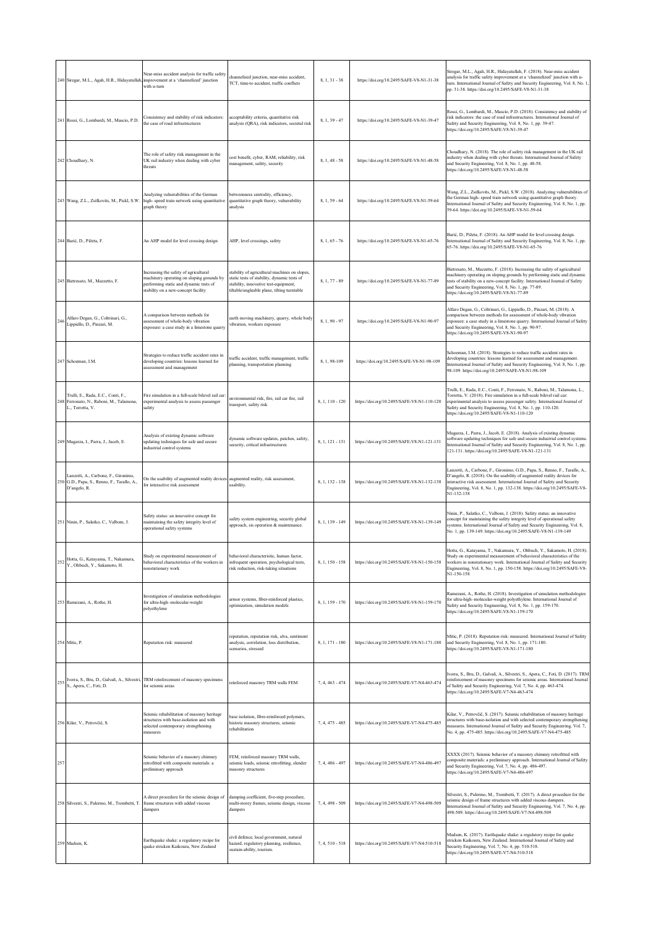|     | 240 Siregar, M.L., Agah, H.R., Hidayatullah                                                         | Near-miss accident analysis for traffic safety<br>improvement at a 'channelized' junction<br>with u-turn                                                            | channelized junction, near-miss accident,<br>TCT, time-to accident, traffic conflicts                                                                                                | $8, 1, 31 - 38$ | https://doi.org/10.2495/SAFE-V8-N1-31-38   | Siregar, M.L., Agah, H.R., Hidayatullah, F. (2018). Near-miss accident<br>analysis for traffic safety improvement at a 'channelized' junction with u-<br>turn. International Journal of Safety and Security Engineering, Vol. 8, No. 1,<br>pp. 31-38. https://doi.org/10.2495/SAFE-V8-N1-31-38                                                    |
|-----|-----------------------------------------------------------------------------------------------------|---------------------------------------------------------------------------------------------------------------------------------------------------------------------|--------------------------------------------------------------------------------------------------------------------------------------------------------------------------------------|-----------------|--------------------------------------------|---------------------------------------------------------------------------------------------------------------------------------------------------------------------------------------------------------------------------------------------------------------------------------------------------------------------------------------------------|
|     | 241 Rossi, G., Lombardi, M., Mascio, P.D.                                                           | Consistency and stability of risk indicators:<br>the case of road infrastructures                                                                                   | acceptability criteria, quantitative risk<br>analysis (QRA), risk indicators, societal risk                                                                                          | $8, 1, 39 - 47$ | https://doi.org/10.2495/SAFE-V8-N1-39-47   | Rossi, G., Lombardi, M., Mascio, P.D. (2018). Consistency and stability of<br>risk indicators: the case of road infrastructures. International Journal of<br>Safety and Security Engineering, Vol. 8, No. 1, pp. 39-47.<br>https://doi.org/10.2495/SAFE-V8-N1-39-47                                                                               |
|     | 242 Choudhary, N.                                                                                   | The role of safety risk management in the<br>UK rail industry when dealing with cyber<br>threats                                                                    | cost benefit, cyber, RAM, reliability, risk<br>management, safety, security                                                                                                          | $8, 1, 48 - 58$ | https://doi.org/10.2495/SAFE-V8-N1-48-58   | Choudhary, N. (2018). The role of safety risk management in the UK rail<br>industry when dealing with cyber threats. International Journal of Safety<br>and Security Engineering, Vol. 8, No. 1, pp. 48-58.<br>https://doi.org/10.2495/SAFE-V8-N1-48-58                                                                                           |
|     | 243 Wang, Z.L., Zsifkovits, M., Pickl, S.W.                                                         | Analyzing vulnerabilities of the German<br>high-speed train network using quantitative<br>graph theory                                                              | betweenness centrality, efficiency,<br>quantitative graph theory, vulnerability<br>analysis                                                                                          | $8, 1, 59 - 64$ | https://doi.org/10.2495/SAFE-V8-N1-59-64   | Wang, Z.L., Zsifkovits, M., Pickl, S.W. (2018). Analyzing vulnerabilities of<br>the German high-speed train network using quantitative graph theory.<br>International Journal of Safety and Security Engineering, Vol. 8, No. 1, pp.<br>59-64. https://doi.org/10.2495/SAFE-V8-N1-59-64                                                           |
|     | 244 Barić, D., Pižeta, F.                                                                           | An AHP model for level crossing design                                                                                                                              | AHP, level crossings, safety                                                                                                                                                         | $8, 1, 65 - 76$ | https://doi.org/10.2495/SAFE-V8-N1-65-76   | Barić, D., Pižeta, F. (2018). An AHP model for level crossing design.<br>International Journal of Safety and Security Engineering, Vol. 8, No. 1, pp.<br>65-76. https://doi.org/10.2495/SAFE-V8-N1-65-76                                                                                                                                          |
|     | 245 Bietresato, M., Mazzetto, F.                                                                    | Increasing the safety of agricultural<br>machinery operating on sloping grounds by<br>performing static and dynamic tests of<br>stability on a new-concept facility | stability of agricultural machines on slopes,<br>static tests of stability, dynamic tests of<br>stability, innovative test-equipment,<br>tiltable/angleable plane, tilting turntable | 8, 1, 77 - 89   | https://doi.org/10.2495/SAFE-V8-N1-77-89   | Bietresato, M., Mazzetto, F. (2018). Increasing the safety of agricultural<br>machinery operating on sloping grounds by performing static and dynamic<br>tests of stability on a new-concept facility. International Journal of Safety<br>and Security Engineering, Vol. 8, No. 1, pp. 77-89.<br>https://doi.org/10.2495/SAFE-V8-N1-77-89         |
| 246 | Alfaro Degan, G., Coltrinari, G.,<br>Lippiello, D., Pinzari, M.                                     | A comparison between methods for<br>assessment of whole-body vibration<br>exposure: a case study in a limestone quarry                                              | earth moving machinery, quarry, whole body<br>vibration, workers exposure                                                                                                            | 8, 1, 90 - 97   | https://doi.org/10.2495/SAFE-V8-N1-90-97   | Alfaro Degan, G., Coltrinari, G., Lippiello, D., Pinzari, M. (2018). A<br>comparison between methods for assessment of whole-body vibration<br>exposure: a case study in a limestone quarry. International Journal of Safety<br>and Security Engineering, Vol. 8, No. 1, pp. 90-97.<br>https://doi.org/10.2495/SAFE-V8-N1-90-97                   |
|     | 247 Schoeman, I.M.                                                                                  | Strategies to reduce traffic accident rates in<br>developing countries: lessons learned for<br>assessment and management                                            | traffic accident, traffic management, traffic<br>planning, transportation planning                                                                                                   | 8, 1, 98-109    | https://doi.org/10.2495/SAFE-V8-N1-98-109  | Schoeman, I.M. (2018). Strategies to reduce traffic accident rates in<br>developing countries: lessons learned for assessment and management.<br>International Journal of Safety and Security Engineering, Vol. 8, No. 1, pp.<br>98-109. https://doi.org/10.2495/SAFE-V8-N1-98-109                                                                |
|     | Trulli, E., Rada, E.C., Conti, F.,<br>248 Ferronato, N., Raboni, M., Talamona,<br>L., Torretta, V.  | Fire simulation in a full-scale bilevel rail car:<br>experimental analysis to assess passenger<br>safety                                                            | environmental risk, fire, rail car fire, rail<br>transport, safety risk                                                                                                              | 8, 1, 110 - 120 | https://doi.org/10.2495/SAFE-V8-N1-110-120 | Trulli, E., Rada, E.C., Conti, F., Ferronato, N., Raboni, M., Talamona, L.,<br>Torretta, V. (2018). Fire simulation in a full-scale bilevel rail car:<br>experimental analysis to assess passenger safety. International Journal of<br>Safety and Security Engineering, Vol. 8, No. 1, pp. 110-120.<br>https://doi.org/10.2495/SAFE-V8-N1-110-120 |
|     | 249 Mugarza, I., Parra, J., Jacob, E.                                                               | Analysis of existing dynamic software<br>updating techniques for safe and secure<br>industrial control systems                                                      | dynamic software updates, patches, safety,<br>security, critical infrastructures                                                                                                     | 8, 1, 121 - 131 | https://doi.org/10.2495/SAFE-V8-N1-121-131 | Mugarza, I., Parra, J., Jacob, E. (2018). Analysis of existing dynamic<br>software updating techniques for safe and secure industrial control systems.<br>International Journal of Safety and Security Engineering, Vol. 8, No. 1, pp.<br>121-131. https://doi.org/10.2495/SAFE-V8-N1-121-131                                                     |
|     | Lanzotti, A., Carbone, F., Gironimo,<br>250 G.D., Papa, S., Renno, F., Tarallo, A.,<br>D'angelo, R. | On the usability of augmented reality devices augmented reality, risk assessment,<br>for interactive risk assessment                                                | usability.                                                                                                                                                                           | 8, 1, 132 - 138 | https://doi.org/10.2495/SAFE-V8-N1-132-138 | Lanzotti, A., Carbone, F., Gironimo, G.D., Papa, S., Renno, F., Tarallo, A.,<br>D'angelo, R. (2018). On the usability of augmented reality devices for<br>interactive risk assessment. International Journal of Safety and Security<br>Engineering, Vol. 8, No. 1, pp. 132-138. https://doi.org/10.2495/SAFE-V8-<br>N1-132-138                    |
|     | 251 Ninin, P., Salatko, C., Valbom, J.                                                              | Safety status: an innovative concept for<br>maintaining the safety integrity level of<br>operational safety systems                                                 | safety system engineering, security global<br>approach, sis operation & maintenance.                                                                                                 | 8, 1, 139 - 149 | https://doi.org/10.2495/SAFE-V8-N1-139-149 | Ninin, P., Salatko, C., Valbom, J. (2018). Safety status: an innovative<br>concept for maintaining the safety integrity level of operational safety<br>systems. International Journal of Safety and Security Engineering, Vol. 8,<br>No. 1, pp. 139-149. https://doi.org/10.2495/SAFE-V8-N1-139-149                                               |
|     | 252 Hotta, G., Katayama, T., Nakamura,<br>Y., Ohbuch, Y., Sakamoto, H.                              | Study on experimental measurement of<br>behavioral characteristics of the workers in<br>nonstationary work                                                          | behavioral characteristic, human factor,<br>infrequent operation, psychological tests,<br>risk reduction, risk-taking situations                                                     | 8, 1, 150 - 158 | https://doi.org/10.2495/SAFE-V8-N1-150-158 | Hotta, G., Katayama, T., Nakamura, Y., Ohbuch, Y., Sakamoto, H. (2018).<br>Study on experimental measurement of behavioral characteristics of the<br>workers in nonstationary work. International Journal of Safety and Security<br>Engineering, Vol. 8, No. 1, pp. 150-158. https://doi.org/10.2495/SAFE-V8-<br>N1-150-158                       |
|     | 253 Ramezani, A., Rothe, H.                                                                         | Investigation of simulation methodologies<br>for ultra-high-molecular-weight<br>polyethylene                                                                        | armor systems, fiber-reinforced plastics,<br>optimization, simulation models                                                                                                         | 8, 1, 159 - 170 | https://doi.org/10.2495/SAFE-V8-N1-159-170 | Ramezani, A., Rothe, H. (2018). Investigation of simulation methodologies<br>for ultra-high-molecular-weight polyethylene. International Journal of<br>Safety and Security Engineering, Vol. 8, No. 1, pp. 159-170.<br>https://doi.org/10.2495/SAFE-V8-N1-159-170                                                                                 |
|     | 254 Mitic, P.                                                                                       | Reputation risk: measured                                                                                                                                           | reputation, reputation risk, alva, sentiment<br>analysis, correlation, loss distribution,<br>scenarios, stressed                                                                     | 8, 1, 171 - 180 | https://doi.org/10.2495/SAFE-V8-N1-171-180 | Mitic, P. (2018). Reputation risk: measured. International Journal of Safety<br>and Security Engineering, Vol. 8, No. 1, pp. 171-180.<br>https://doi.org/10.2495/SAFE-V8-N1-171-180                                                                                                                                                               |
| 255 | Ivorra, S., Bru, D., Galvañ, A., Silvestri,<br>S., Apera, C., Foti, D.                              | TRM reinforcement of masonry specimens<br>for seismic areas                                                                                                         | reinforced masonry TRM walls FEM                                                                                                                                                     | 7, 4, 463 - 474 | https://doi.org/10.2495/SAFE-V7-N4-463-474 | Ivorra, S., Bru, D., Galvañ, A., Silvestri, S., Apera, C., Foti, D. (2017). TRM<br>reinforcement of masonry specimens for seismic areas. International Journal<br>of Safety and Security Engineering, Vol. 7, No. 4, pp. 463-474.<br>https://doi.org/10.2495/SAFE-V7-N4-463-474                                                                   |
|     | 256 Kilar, V., Petrovčič, S.                                                                        | Seismic rehabilitation of masonry heritage<br>structures with base-isolation and with<br>selected contemporary strengthening<br>measures                            | pase isolation, fibre-reinforced polymers,<br>historic masonry structures, seismic<br>rehabilitation                                                                                 | 7, 4, 475 - 485 | https://doi.org/10.2495/SAFE-V7-N4-475-485 | Kilar, V., Petrovčič, S. (2017). Seismic rehabilitation of masonry heritage<br>structures with base-isolation and with selected contemporary strengthening<br>measures. International Journal of Safety and Security Engineering, Vol. 7,<br>No. 4, pp. 475-485. https://doi.org/10.2495/SAFE-V7-N4-475-485                                       |
| 257 |                                                                                                     | Seismic behavior of a masonry chimney<br>retrofitted with composite materials: a<br>preliminary approach                                                            | FEM, reinforced masonry TRM walls,<br>seismic loads, seismic retrofitting, slender<br>masonry structures                                                                             | 7, 4, 486 - 497 | https://doi.org/10.2495/SAFE-V7-N4-486-497 | XXXX (2017). Seismic behavior of a masonry chimney retrofitted with<br>composite materials: a preliminary approach. International Journal of Safety<br>and Security Engineering, Vol. 7, No. 4, pp. 486-497.<br>https://doi.org/10.2495/SAFE-V7-N4-486-497                                                                                        |
|     | 258 Silvestri, S., Palermo, M., Trombetti, T.                                                       | A direct procedure for the seismic design of<br>frame structures with added viscous<br>dampers                                                                      | damping coefficient, five-step procedure,<br>multi-storey frames, seismic design, viscous<br>dampers                                                                                 | 7.4.498 - 509   | https://doi.org/10.2495/SAFE-V7-N4-498-509 | Silvestri, S., Palermo, M., Trombetti, T. (2017). A direct procedure for the<br>seismic design of frame structures with added viscous dampers.<br>International Journal of Safety and Security Engineering, Vol. 7, No. 4, pp.<br>498-509. https://doi.org/10.2495/SAFE-V7-N4-498-509                                                             |
|     | 259 Madsen, K.                                                                                      | Earthquake shake: a regulatory recipe for<br>quake stricken Kaikoura, New Zealand                                                                                   | civil defence, local government, natural<br>hazard, regulatory planning, resilience,<br>sustain-ability, tourism.                                                                    | 7, 4, 510 - 518 | https://doi.org/10.2495/SAFE-V7-N4-510-518 | Madsen, K. (2017). Earthquake shake: a regulatory recipe for quake<br>stricken Kaikoura, New Zealand. International Journal of Safety and<br>Security Engineering, Vol. 7, No. 4, pp. 510-518.<br>https://doi.org/10.2495/SAFE-V7-N4-510-518                                                                                                      |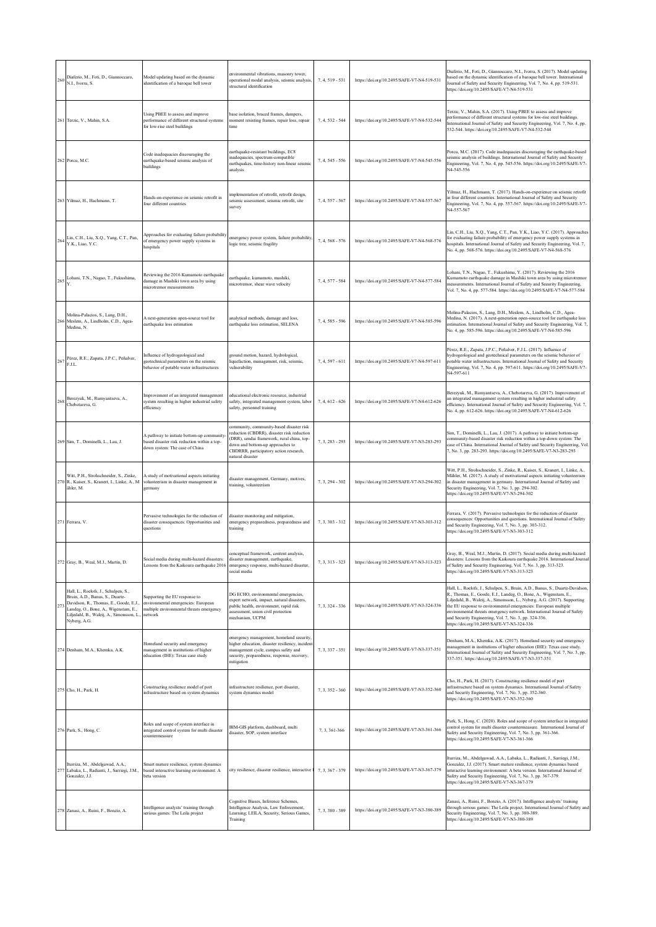| 260 | Diaferio, M., Foti, D., Giannoccaro,<br>N.I., Ivorra, S.                                                                                                                                                              | Model updating based on the dynamic<br>identification of a baroque bell tower                                               | environmental vibrations, masonry tower,<br>operational modal analysis, seismic analysis,<br>structural identification                                                                                                                 | 7, 4, 519 - 531   | https://doi.org/10.2495/SAFE-V7-N4-519-531 | Diaferio, M., Foti, D., Giannoccaro, N.I., Ivorra, S. (2017). Model updating<br>based on the dynamic identification of a baroque bell tower. International<br>lournal of Safety and Security Engineering, Vol. 7, No. 4, pp. 519-531.<br>https://doi.org/10.2495/SAFE-V7-N4-519-531                                                                                                                                                                                                   |
|-----|-----------------------------------------------------------------------------------------------------------------------------------------------------------------------------------------------------------------------|-----------------------------------------------------------------------------------------------------------------------------|----------------------------------------------------------------------------------------------------------------------------------------------------------------------------------------------------------------------------------------|-------------------|--------------------------------------------|---------------------------------------------------------------------------------------------------------------------------------------------------------------------------------------------------------------------------------------------------------------------------------------------------------------------------------------------------------------------------------------------------------------------------------------------------------------------------------------|
|     | 261 Terzic, V., Mahin, S.A.                                                                                                                                                                                           | Using PBEE to assess and improve<br>performance of different structural systems<br>for low-rise steel buildings             | base isolation, braced frames, dampers,<br>moment resisting frames, repair loss, repair<br>time                                                                                                                                        | 7, 4, 532 - 544   | https://doi.org/10.2495/SAFE-V7-N4-532-544 | Terzic, V., Mahin, S.A. (2017). Using PBEE to assess and improve<br>performance of different structural systems for low-rise steel buildings.<br>International Journal of Safety and Security Engineering, Vol. 7, No. 4, pp.<br>532-544. https://doi.org/10.2495/SAFE-V7-N4-532-544                                                                                                                                                                                                  |
|     | 262 Porcu, M.C.                                                                                                                                                                                                       | Code inadequacies discouraging the<br>earthquake-based seismic analysis of<br>buildings                                     | earthquake-resistant buildings, EC8<br>inadequacies, spectrum-compatible<br>earthquakes, time-history non-linear seismic<br>analysis                                                                                                   | 7, 4, 545 - 556   | https://doi.org/10.2495/SAFE-V7-N4-545-556 | Porcu, M.C. (2017). Code inadequacies discouraging the earthquake-based<br>seismic analysis of buildings. International Journal of Safety and Security<br>Engineering, Vol. 7, No. 4, pp. 545-556. https://doi.org/10.2495/SAFE-V7-<br>N4-545-556                                                                                                                                                                                                                                     |
|     | 263 Yilmaz, H., Hachmann, T.                                                                                                                                                                                          | Hands-on-experience on seismic retrofit in<br>four different countries                                                      | implementation of retrofit, retrofit design,<br>seismic assessment, seismic retrofit, site<br>survey                                                                                                                                   | 7, 4, 557 - 567   | https://doi.org/10.2495/SAFE-V7-N4-557-567 | Yilmaz, H., Hachmann, T. (2017). Hands-on-experience on seismic retrofit<br>in four different countries. International Journal of Safety and Security<br>Engineering, Vol. 7, No. 4, pp. 557-567. https://doi.org/10.2495/SAFE-V7-<br>N4-557-567                                                                                                                                                                                                                                      |
| 264 | Lin, C.H., Liu, X.Q., Yang, C.T., Pan,<br>Y.K., Liao, Y.C.                                                                                                                                                            | Approaches for evaluating failure probability<br>of emergency power supply systems in<br>hospitals                          | emergency power system, failure probability,<br>logic tree, seismic fragility                                                                                                                                                          | 7, 4, 568 - 576   | https://doi.org/10.2495/SAFE-V7-N4-568-576 | Lin, C.H., Liu, X.Q., Yang, C.T., Pan, Y.K., Liao, Y.C. (2017). Approaches<br>for evaluating failure probability of emergency power supply systems in<br>hospitals. International Journal of Safety and Security Engineering, Vol. 7,<br>No. 4, pp. 568-576. https://doi.org/10.2495/SAFE-V7-N4-568-576                                                                                                                                                                               |
| 265 | Lohani, T.N., Nagao, T., Fukushima,                                                                                                                                                                                   | Reviewing the 2016 Kumamoto earthquake<br>damage in Mashiki town area by using<br>microtremor measurements                  | earthquake, kumamoto, mashiki,<br>microtremor, shear wave velocity                                                                                                                                                                     | 7, 4, 577 - 584   | https://doi.org/10.2495/SAFE-V7-N4-577-584 | Lohani, T.N., Nagao, T., Fukushima, Y. (2017). Reviewing the 2016<br>Kumamoto earthquake damage in Mashiki town area by using microtremor<br>measurements. International Journal of Safety and Security Engineering,<br>Vol. 7, No. 4, pp. 577-584. https://doi.org/10.2495/SAFE-V7-N4-577-584                                                                                                                                                                                        |
|     | Molina-Palacios, S., Lang, D.H.,<br>266 Meslem, A., Lindholm, C.D., Agea-<br>Medina, N.                                                                                                                               | A next-generation open-source tool for<br>earthquake loss estimation                                                        | analytical methods, damage and loss,<br>earthquake loss estimation, SELENA                                                                                                                                                             | 7, 4, 585 - 596   | https://doi.org/10.2495/SAFE-V7-N4-585-596 | Molina-Palacios, S., Lang, D.H., Meslem, A., Lindholm, C.D., Agea-<br>Medina, N. (2017). A next-generation open-source tool for earthquake loss<br>estimation. International Journal of Safety and Security Engineering, Vol. 7,<br>No. 4, pp. 585-596. https://doi.org/10.2495/SAFE-V7-N4-585-596                                                                                                                                                                                    |
| 267 | Pérez, R.E., Zapata, J.P.C., Peñalver,<br>F.J.L.                                                                                                                                                                      | Influence of hydrogeological and<br>geotechnical parameters on the seismic<br>behavior of potable water infrastructures     | ground motion, hazard, hydrological,<br>liquefaction, management, risk, seismic,<br>vulnerability                                                                                                                                      | 7, 4, 597 - 611   | https://doi.org/10.2495/SAFE-V7-N4-597-611 | Pérez, R.E., Zapata, J.P.C., Peñalver, F.J.L. (2017). Influence of<br>hydrogeological and geotechnical parameters on the seismic behavior of<br>potable water infrastructures. International Journal of Safety and Security<br>Engineering, Vol. 7, No. 4, pp. 597-611. https://doi.org/10.2495/SAFE-V7-<br>N4-597-611                                                                                                                                                                |
| 26  | Berezyuk, M., Rumyantseva, A.,<br>Chebotareva, G.                                                                                                                                                                     | Improvement of an integrated management<br>system resulting in higher industrial safety<br>efficiency                       | educational electronic resource, industrial<br>safety, integrated management system, labor<br>safety, personnel training                                                                                                               | $7, 4, 612 - 626$ | https://doi.org/10.2495/SAFE-V7-N4-612-626 | Berezyuk, M., Rumyantseva, A., Chebotareva, G. (2017). Improvement of<br>an integrated management system resulting in higher industrial safety<br>efficiency. International Journal of Safety and Security Engineering, Vol. 7,<br>No. 4, pp. 612-626. https://doi.org/10.2495/SAFE-V7-N4-612-626                                                                                                                                                                                     |
|     | 269 Sim, T., Dominelli, L., Lau, J.                                                                                                                                                                                   | A pathway to initiate bottom-up community<br>based disaster risk reduction within a top-<br>down system: The case of China  | community, community-based disaster risk<br>reduction (CBDRR), disaster risk reduction<br>(DRR), sendai framework, rural china, top-<br>down and bottom-up approaches to<br>CBDRRR, participatory action research,<br>natural disaster | $7, 3, 283 - 293$ | https://doi.org/10.2495/SAFE-V7-N3-283-293 | Sim, T., Dominelli, L., Lau, J. (2017). A pathway to initiate bottom-up<br>community-based disaster risk reduction within a top-down system: The<br>case of China. International Journal of Safety and Security Engineering, Vol.<br>7, No. 3, pp. 283-293. https://doi.org/10.2495/SAFE-V7-N3-283-293                                                                                                                                                                                |
|     | Witt, P.H., Strohschneider, S., Zinke,<br>270 R., Kaiser, S., Kranert, I., Linke, A., M.<br>ähler, M.                                                                                                                 | A study of motivational aspects initiating<br>volunteerism in disaster management in<br>germany                             | disaster management, Germany, motives,<br>training, volunteerism                                                                                                                                                                       | 7, 3, 294 - 302   | https://doi.org/10.2495/SAFE-V7-N3-294-302 | Witt, P.H., Strohschneider, S., Zinke, R., Kaiser, S., Kranert, I., Linke, A.,<br>Mähler, M. (2017). A study of motivational aspects initiating volunteerism<br>in disaster management in germany. International Journal of Safety and<br>Security Engineering, Vol. 7, No. 3, pp. 294-302.<br>https://doi.org/10.2495/SAFE-V7-N3-294-302                                                                                                                                             |
|     | 271 Ferrara, V.                                                                                                                                                                                                       | Pervasive technologies for the reduction of<br>disaster consequences: Opportunities and<br>questions                        | disaster monitoring and mitigation,<br>emergency preparedness, preparedness and<br>training                                                                                                                                            | $7.3.303 - 312$   | https://doi.org/10.2495/SAFE-V7-N3-303-312 | Ferrara, V. (2017). Pervasive technologies for the reduction of disaster<br>consequences: Opportunities and questions. International Journal of Safety<br>and Security Engineering, Vol. 7, No. 3, pp. 303-312.<br>https://doi.org/10.2495/SAFE-V7-N3-303-312                                                                                                                                                                                                                         |
|     | 272 Gray, B., Weal, M.J., Martin, D.                                                                                                                                                                                  | Social media during multi-hazard disasters:<br>Lessons from the Kaikoura earthquake 2016                                    | conceptual framework, content analysis.<br>disaster management, earthquake,<br>emergency response, multi-hazard disaster,<br>social media                                                                                              | 7, 3, 313 - 323   | https://doi.org/10.2495/SAFE-V7-N3-313-323 | Gray, B., Weal, M.J., Martin, D. (2017). Social media during multi-hazard<br>disasters: Lessons from the Kaikoura earthquake 2016. International Journal<br>of Safety and Security Engineering, Vol. 7, No. 3, pp. 313-323.<br>https://doi.org/10.2495/SAFE-V7-N3-313-323                                                                                                                                                                                                             |
| 273 | Hall, L., Roelofs, J., Schulpen, S.,<br>Bruin, A.D., Banus, S., Duarte-<br>Davidson, R., Thomas, E., Goode, E.J.,<br>Landeg, O., Bone, A., Wigenstam, E.,<br>Liljedahl, B., Waleij, A., Simonsson, L.<br>Nyberg, A.G. | Supporting the EU response to<br>environmental emergencies: European<br>multiple environmental threats emergency<br>network | DG ECHO, environmental emergencies,<br>expert network, impact, natural disasters,<br>public health, environment, rapid risk<br>assessment, union civil protection<br>mechanism, UCPM                                                   | 7, 3, 324 - 336   | https://doi.org/10.2495/SAFE-V7-N3-324-336 | Hall, L., Roelofs, J., Schulpen, S., Bruin, A.D., Banus, S., Duarte-Davidson,<br>R., Thomas, E., Goode, E.J., Landeg, O., Bone, A., Wigenstam, E.,<br>Liljedahl, B., Waleij, A., Simonsson, L., Nyberg, A.G. (2017). Supporting<br>the EU response to environmental emergencies: European multiple<br>environmental threats emergency network. International Journal of Safety<br>and Security Engineering, Vol. 7, No. 3, pp. 324-336.<br>https://doi.org/10.2495/SAFE-V7-N3-324-336 |
|     | 274 Denham, M.A., Khemka, A.K.                                                                                                                                                                                        | Homeland security and emergency<br>management in institutions of higher<br>education (IHE): Texas case study                | emergency management, homeland security,<br>higher education, disaster resiliency, incident<br>management cycle, campus safety and<br>security, preparedness, response, recovery,<br>mitigation                                        | 7, 3, 337 - 351   | https://doi.org/10.2495/SAFE-V7-N3-337-351 | Denham, M.A., Khemka, A.K. (2017). Homeland security and emergency<br>management in institutions of higher education (IHE): Texas case study.<br>International Journal of Safety and Security Engineering, Vol. 7, No. 3, pp.<br>337-351. https://doi.org/10.2495/SAFE-V7-N3-337-351                                                                                                                                                                                                  |
|     | 275 Cho, H., Park, H.                                                                                                                                                                                                 | Constructing resilience model of port<br>infrastructure based on system dynamics                                            | infrastructure resilience, port disaster,<br>system dynamics model                                                                                                                                                                     | 7, 3, 352 - 360   | https://doi.org/10.2495/SAFE-V7-N3-352-360 | Cho, H., Park, H. (2017). Constructing resilience model of port<br>infrastructure based on system dynamics. International Journal of Safety<br>and Security Engineering, Vol. 7, No. 3, pp. 352-360.<br>https://doi.org/10.2495/SAFE-V7-N3-352-360                                                                                                                                                                                                                                    |
|     | 276 Park, S., Hong, C.                                                                                                                                                                                                | Roles and scope of system interface in<br>integrated control system for multi disaster<br>countermeasure                    | BIM-GIS platform, dashboard, multi<br>disaster, SOP, system interface                                                                                                                                                                  | 7.3.361-366       | https://doi.org/10.2495/SAFE-V7-N3-361-366 | Park, S., Hong, C. (2020). Roles and scope of system interface in integrated<br>control system for multi disaster countermeasure. International Journal of<br>Safety and Security Engineering, Vol. 7, No. 3, pp. 361-366.<br>https://doi.org/10.2495/SAFE-V7-N3-361-366                                                                                                                                                                                                              |
|     | Iturriza, M., Abdelgawad, A.A.,<br>277 Labaka, L., Radianti, J., Sarriegi, J.M.<br>Gonzalez, J.J.                                                                                                                     | Smart mature resilience, system dynamics<br>based interactive learning environment: A<br>beta version                       | city resilience, disaster resilience, interactive l                                                                                                                                                                                    | 7, 3, 367 - 379   | https://doi.org/10.2495/SAFE-V7-N3-367-379 | Iturriza, M., Abdelgawad, A.A., Labaka, L., Radianti, J., Sarriegi, J.M.,<br>Gonzalez, J.J. (2017). Smart mature resilience, system dynamics based<br>interactive learning environment: A beta version. International Journal of<br>Safety and Security Engineering, Vol. 7, No. 3, pp. 367-379.<br>https://doi.org/10.2495/SAFE-V7-N3-367-379                                                                                                                                        |
|     | 278 Zanasi, A., Ruini, F., Bonzio, A.                                                                                                                                                                                 | Intelligence analysts' training through<br>serious games: The Leila project                                                 | Cognitive Biases, Inference Schemes,<br>Intelligence Analysis, Law Enforcement,<br>Learning; LEILA, Security, Serious Games,<br>Training                                                                                               | 7, 3, 380 - 389   | https://doi.org/10.2495/SAFE-V7-N3-380-389 | Zanasi, A., Ruini, F., Bonzio, A. (2017). Intelligence analysts' training<br>through serious games: The Leila project. International Journal of Safety and<br>Security Engineering, Vol. 7, No. 3, pp. 380-389.<br>https://doi.org/10.2495/SAFE-V7-N3-380-389                                                                                                                                                                                                                         |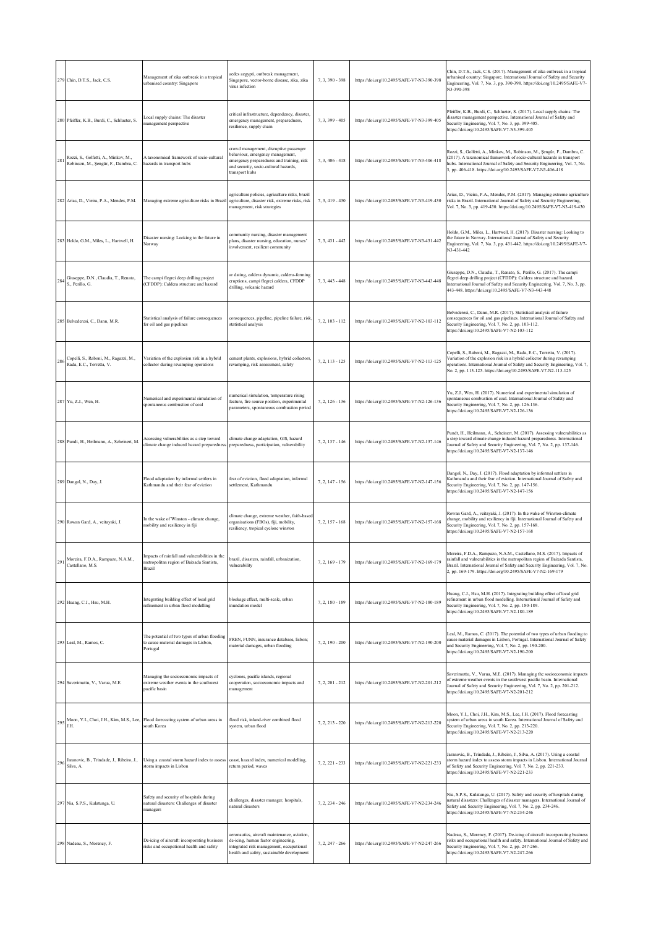|     | 279 Chin, D.T.S., Jack, C.S.                                                 | Management of zika outbreak in a tropical<br>urbanised country: Singapore                            | aedes aegypti, outbreak management,<br>Singapore, vector-borne disease, zika, zika<br>virus infection                                                                              | 7, 3, 390 - 398   | https://doi.org/10.2495/SAFE-V7-N3-390-398 | Chin, D.T.S., Jack, C.S. (2017). Management of zika outbreak in a tropical<br>urbanised country: Singapore. International Journal of Safety and Security<br>Engineering, Vol. 7, No. 3, pp. 390-398. https://doi.org/10.2495/SAFE-V7-<br>N3-390-398                                                   |
|-----|------------------------------------------------------------------------------|------------------------------------------------------------------------------------------------------|------------------------------------------------------------------------------------------------------------------------------------------------------------------------------------|-------------------|--------------------------------------------|-------------------------------------------------------------------------------------------------------------------------------------------------------------------------------------------------------------------------------------------------------------------------------------------------------|
|     | 280 Pfeiffer, K.B., Burdi, C., Schlueter, S.                                 | ocal supply chains: The disaster<br>nanagement perspective                                           | critical infrastructure, dependency, disaster,<br>emergency management, preparedness,<br>resilience, supply chain                                                                  | 7, 3, 399 - 405   | https://doi.org/10.2495/SAFE-V7-N3-399-405 | Pfeiffer, K.B., Burdi, C., Schlueter, S. (2017). Local supply chains: The<br>disaster management perspective. International Journal of Safety and<br>Security Engineering, Vol. 7, No. 3, pp. 399-405.<br>https://doi.org/10.2495/SAFE-V7-N3-399-405                                                  |
| 281 | Rozzi, S., Golfetti, A., Minkov, M.,<br>Robinson, M., Şengür, F., Dambra, C. | A taxonomical framework of socio-cultural<br>hazards in transport hubs                               | crowd management, disruptive passenger<br>behaviour, emergency management,<br>emergency preparedness and training, risk<br>and security, socio-cultural hazards,<br>transport hubs | $7, 3, 406 - 418$ | https://doi.org/10.2495/SAFE-V7-N3-406-418 | Rozzi, S., Golfetti, A., Minkov, M., Robinson, M., Șengür, F., Dambra, C.<br>(2017). A taxonomical framework of socio-cultural hazards in transport<br>hubs. International Journal of Safety and Security Engineering, Vol. 7, No.<br>3, pp. 406-418. https://doi.org/10.2495/SAFE-V7-N3-406-418      |
|     | 282 Arias, D., Vieira, P.A., Mendes, P.M.                                    | Managing extreme agriculture risks in Brazil                                                         | agriculture policies, agriculture risks, brazil<br>agriculture, disaster risk, extreme risks, risk<br>management, risk strategies                                                  | 7, 3, 419 - 430   | https://doi.org/10.2495/SAFE-V7-N3-419-430 | Arias, D., Vieira, P.A., Mendes, P.M. (2017). Managing extreme agriculture<br>risks in Brazil. International Journal of Safety and Security Engineering,<br>Vol. 7, No. 3, pp. 419-430. https://doi.org/10.2495/SAFE-V7-N3-419-430                                                                    |
|     | 283 Holdo, G.M., Miles, L., Hartwell, H.                                     | Disaster nursing: Looking to the future in<br>Norway                                                 | community nursing, disaster management<br>plans, disaster nursing, education, nurses'<br>involvement, resilient community                                                          | $7, 3, 431 - 442$ | https://doi.org/10.2495/SAFE-V7-N3-431-442 | Holdo, G.M., Miles, L., Hartwell, H. (2017). Disaster nursing: Looking to<br>the future in Norway. International Journal of Safety and Security<br>Engineering, Vol. 7, No. 3, pp. 431-442. https://doi.org/10.2495/SAFE-V7-<br>N3-431-442                                                            |
| 284 | Giuseppe, D.N., Claudia, T., Renato,<br>S., Perillo, G.                      | The campi flegrei deep drilling project<br>(CFDDP): Caldera structure and hazard                     | ar dating, caldera dynamic, caldera-forming<br>eruptions, campi flegrei caldera, CFDDP<br>drilling, volcanic hazard                                                                | $7, 3, 443 - 448$ | https://doi.org/10.2495/SAFE-V7-N3-443-448 | Giuseppe, D.N., Claudia, T., Renato, S., Perillo, G. (2017). The campi<br>flegrei deep drilling project (CFDDP): Caldera structure and hazard.<br>International Journal of Safety and Security Engineering, Vol. 7, No. 3, pp.<br>443-448. https://doi.org/10.2495/SAFE-V7-N3-443-448                 |
|     | 285 Belvederesi, C., Dann, M.R.                                              | Statistical analysis of failure consequences<br>for oil and gas pipelines                            | consequences, pipeline, pipeline failure, risk,<br>statistical analysis                                                                                                            | $7.2.103 - 112$   | https://doi.org/10.2495/SAFE-V7-N2-103-112 | Belvederesi, C., Dann, M.R. (2017). Statistical analysis of failure<br>consequences for oil and gas pipelines. International Journal of Safety and<br>Security Engineering, Vol. 7, No. 2, pp. 103-112.<br>https://doi.org/10.2495/SAFE-V7-N2-103-112                                                 |
| 286 | Copelli, S., Raboni, M., Ragazzi, M.,<br>Rada, E.C., Torretta, V.            | Variation of the explosion risk in a hybrid<br>collector during revamping operations                 | cement plants, explosions, hybrid collectors,<br>revamping, risk assessment, safety                                                                                                | $7, 2, 113 - 125$ | https://doi.org/10.2495/SAFE-V7-N2-113-125 | Copelli, S., Raboni, M., Ragazzi, M., Rada, E.C., Torretta, V. (2017).<br>Variation of the explosion risk in a hybrid collector during revamping<br>operations. International Journal of Safety and Security Engineering, Vol. 7,<br>No. 2, pp. 113-125. https://doi.org/10.2495/SAFE-V7-N2-113-125   |
|     | 287 Yu, Z.J., Wen, H.                                                        | Numerical and experimental simulation of<br>spontaneous combustion of coal                           | numerical simulation, temperature rising<br>feature, fire source position, experimental<br>parameters, spontaneous combustion period                                               | 7, 2, 126 - 136   | https://doi.org/10.2495/SAFE-V7-N2-126-136 | Yu, Z.J., Wen, H. (2017). Numerical and experimental simulation of<br>spontaneous combustion of coal. International Journal of Safety and<br>Security Engineering, Vol. 7, No. 2, pp. 126-136.<br>https://doi.org/10.2495/SAFE-V7-N2-126-136                                                          |
|     | 288 Pundt, H., Heilmann, A., Scheinert, M.                                   | Assessing vulnerabilities as a step toward<br>climate change induced hazard preparedness             | climate change adaptation, GIS, hazard<br>preparedness, participation, vulnerability                                                                                               | $7, 2, 137 - 146$ | https://doi.org/10.2495/SAFE-V7-N2-137-146 | Pundt, H., Heilmann, A., Scheinert, M. (2017). Assessing vulnerabilities as<br>a step toward climate change induced hazard preparedness. International<br>Journal of Safety and Security Engineering, Vol. 7, No. 2, pp. 137-146.<br>https://doi.org/10.2495/SAFE-V7-N2-137-146                       |
|     | 289 Dangol, N., Day, J.                                                      | Flood adaptation by informal settlers in<br>Kathmandu and their fear of eviction                     | fear of eviction, flood adaptation, informal<br>settlement, Kathmandu                                                                                                              | $7, 2, 147 - 156$ | https://doi.org/10.2495/SAFE-V7-N2-147-156 | Dangol, N., Day, J. (2017). Flood adaptation by informal settlers in<br>Kathmandu and their fear of eviction. International Journal of Safety and<br>Security Engineering, Vol. 7, No. 2, pp. 147-156.<br>https://doi.org/10.2495/SAFE-V7-N2-147-156                                                  |
|     | 290 Rowan Gard, A., veitayaki, J.                                            | In the wake of Winston - climate change,<br>mobility and resiliency in fiji                          | climate change, extreme weather, faith-based<br>organisations (FBOs), fiji, mobility,<br>resiliency, tropical cyclone winston                                                      | $7, 2, 157 - 168$ | https://doi.org/10.2495/SAFE-V7-N2-157-168 | Rowan Gard, A., veitayaki, J. (2017). In the wake of Winston-climate<br>change, mobility and resiliency in fiji. International Journal of Safety and<br>Security Engineering, Vol. 7, No. 2, pp. 157-168.<br>https://doi.org/10.2495/SAFE-V7-N2-157-168                                               |
| 291 | Moreira, F.D.A., Rampazo, N.A.M.,<br>Castellano, M.S.                        | Impacts of rainfall and vulnerabilities in the<br>metropolitan region of Baixada Santista,<br>Brazil | prazil, disasters, rainfall, urbanization,<br>vulnerability                                                                                                                        | 7, 2, 169 - 179   | https://doi.org/10.2495/SAFE-V7-N2-169-179 | vioreira, F.D.A., Kampazo, N.A.M., Castellano, M.S. (2017). Impacts of<br>rainfall and vulnerabilities in the metropolitan region of Baixada Santista,<br>Brazil. International Journal of Safety and Security Engineering, Vol. 7, No.<br>2, pp. 169-179. https://doi.org/10.2495/SAFE-V7-N2-169-179 |
|     | 292 Huang, C.J., Hsu, M.H.                                                   | Integrating building effect of local grid<br>refinement in urban flood modelling                     | blockage effect, multi-scale, urban<br>inundation model                                                                                                                            | 7, 2, 180 - 189   | https://doi.org/10.2495/SAFE-V7-N2-180-189 | Huang, C.J., Hsu, M.H. (2017). Integrating building effect of local grid<br>refinement in urban flood modelling. International Journal of Safety and<br>Security Engineering, Vol. 7, No. 2, pp. 180-189.<br>https://doi.org/10.2495/SAFE-V7-N2-180-189                                               |
|     | 293 Leal, M., Ramos, C.                                                      | The potential of two types of urban flooding<br>to cause material damages in Lisbon,<br>Portugal     | FREN, FUNN, insurance database, lisbon;<br>material damages, urban flooding                                                                                                        | 7, 2, 190 - 200   | https://doi.org/10.2495/SAFE-V7-N2-190-200 | Leal, M., Ramos, C. (2017). The potential of two types of urban flooding to<br>cause material damages in Lisbon, Portugal. International Journal of Safety<br>and Security Engineering, Vol. 7, No. 2, pp. 190-200.<br>https://doi.org/10.2495/SAFE-V7-N2-190-200                                     |
|     | 294 Saverimuttu, V., Varua, M.E.                                             | Managing the socioeconomic impacts of<br>extreme weather events in the southwest<br>pacific basin    | cyclones, pacific islands, regional<br>cooperation, socioeconomic impacts and<br>management                                                                                        | $7, 2, 201 - 212$ | https://doi.org/10.2495/SAFE-V7-N2-201-212 | Saverimuttu, V., Varua, M.E. (2017). Managing the socioeconomic impacts<br>of extreme weather events in the southwest pacific basin. International<br>Journal of Safety and Security Engineering, Vol. 7, No. 2, pp. 201-212.<br>https://doi.org/10.2495/SAFE-V7-N2-201-212                           |
| 295 | J.H.                                                                         | Moon, Y.I., Choi, J.H., Kim, M.S., Lee, Flood forecasting system of urban areas in<br>south Korea    | flood risk, inland-river combined flood<br>system, urban flood                                                                                                                     | $7, 2, 213 - 220$ | https://doi.org/10.2495/SAFE-V7-N2-213-220 | Moon, Y.I., Choi, J.H., Kim, M.S., Lee, J.H. (2017). Flood forecasting<br>system of urban areas in south Korea. International Journal of Safety and<br>Security Engineering, Vol. 7, No. 2, pp. 213-220.<br>https://doi.org/10.2495/SAFE-V7-N2-213-220                                                |
| 296 | Jaranovic, B., Trindade, J., Ribeiro, J.,<br>Silva, A.                       | Using a coastal storm hazard index to assess<br>storm impacts in Lisbon                              | coast, hazard index, numerical modelling,<br>return period, waves                                                                                                                  | 7, 2, 221 - 233   | https://doi.org/10.2495/SAFE-V7-N2-221-233 | Jaranovic, B., Trindade, J., Ribeiro, J., Silva, A. (2017). Using a coastal<br>storm hazard index to assess storm impacts in Lisbon. International Journal<br>of Safety and Security Engineering, Vol. 7, No. 2, pp. 221-233.<br>https://doi.org/10.2495/SAFE-V7-N2-221-233                           |
|     | 297 Nia, S.P.S., Kulatunga, U.                                               | Safety and security of hospitals during<br>natural disasters: Challenges of disaster<br>managers     | challenges, disaster manager, hospitals,<br>natural disasters                                                                                                                      | $7, 2, 234 - 246$ | https://doi.org/10.2495/SAFE-V7-N2-234-246 | Nia, S.P.S., Kulatunga, U. (2017). Safety and security of hospitals during<br>natural disasters: Challenges of disaster managers. International Journal of<br>Safety and Security Engineering, Vol. 7, No. 2, pp. 234-246.<br>https://doi.org/10.2495/SAFE-V7-N2-234-246                              |
|     | 298 Nadeau, S., Morency, F.                                                  | De-icing of aircraft: incorporating business<br>risks and occupational health and safety             | aeronautics, aircraft maintenance, aviation,<br>de-icing, human factor engineering,<br>integrated risk management, occupational<br>health and safety, sustainable development      | $7, 2, 247 - 266$ | https://doi.org/10.2495/SAFE-V7-N2-247-266 | Nadeau, S., Morency, F. (2017). De-icing of aircraft: incorporating business<br>risks and occupational health and safety. International Journal of Safety and<br>Security Engineering, Vol. 7, No. 2, pp. 247-266.<br>https://doi.org/10.2495/SAFE-V7-N2-247-266                                      |